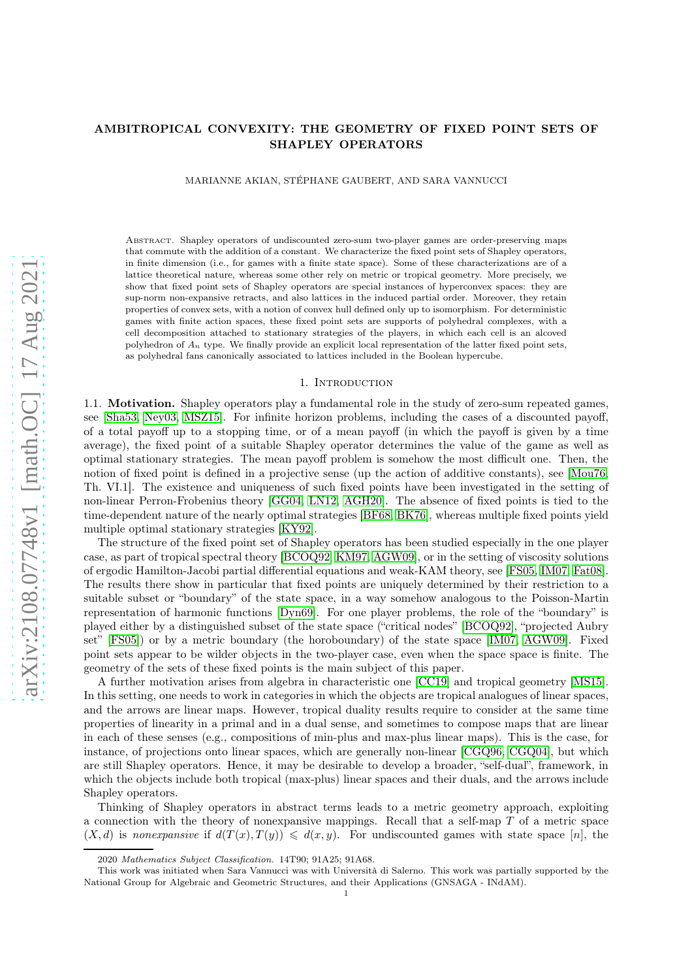# AMBITROPICAL CONVEXITY: THE GEOMETRY OF FIXED POINT SETS OF SHAPLEY OPERATORS

MARIANNE AKIAN, STÉPHANE GAUBERT, AND SARA VANNUCCI

Abstract. Shapley operators of undiscounted zero-sum two-player games are order-preserving maps that commute with the addition of a constant. We characterize the fixed point sets of Shapley operators, in finite dimension (i.e., for games with a finite state space). Some of these characterizations are of a lattice theoretical nature, whereas some other rely on metric or tropical geometry. More precisely, we show that fixed point sets of Shapley operators are special instances of hyperconvex spaces: they are sup-norm non-expansive retracts, and also lattices in the induced partial order. Moreover, they retain properties of convex sets, with a notion of convex hull defined only up to isomorphism. For deterministic games with finite action spaces, these fixed point sets are supports of polyhedral complexes, with a cell decomposition attached to stationary strategies of the players, in which each cell is an alcoved polyhedron of  $A_n$  type. We finally provide an explicit local representation of the latter fixed point sets, as polyhedral fans canonically associated to lattices included in the Boolean hypercube.

#### 1. INTRODUCTION

<span id="page-0-0"></span>1.1. Motivation. Shapley operators play a fundamental role in the study of zero-sum repeated games, see [\[Sha53,](#page-27-0) [Ney03,](#page-27-1) [MSZ15\]](#page-27-2). For infinite horizon problems, including the cases of a discounted payoff, of a total payoff up to a stopping time, or of a mean payoff (in which the payoff is given by a time average), the fixed point of a suitable Shapley operator determines the value of the game as well as optimal stationary strategies. The mean payoff problem is somehow the most difficult one. Then, the notion of fixed point is defined in a projective sense (up the action of additive constants), see [\[Mou76,](#page-27-3) Th. VI.1]. The existence and uniqueness of such fixed points have been investigated in the setting of non-linear Perron-Frobenius theory [\[GG04,](#page-26-0) [LN12,](#page-27-4) [AGH20\]](#page-25-0). The absence of fixed points is tied to the time-dependent nature of the nearly optimal strategies [\[BF68,](#page-26-1) [BK76\]](#page-26-2), whereas multiple fixed points yield multiple optimal stationary strategies [\[KY92\]](#page-26-3).

The structure of the fixed point set of Shapley operators has been studied especially in the one player case, as part of tropical spectral theory [\[BCOQ92,](#page-26-4) [KM97,](#page-26-5) [AGW09\]](#page-26-6), or in the setting of viscosity solutions of ergodic Hamilton-Jacobi partial differential equations and weak-KAM theory, see [\[FS05,](#page-26-7) [IM07,](#page-26-8) [Fat08\]](#page-26-9). The results there show in particular that fixed points are uniquely determined by their restriction to a suitable subset or "boundary" of the state space, in a way somehow analogous to the Poisson-Martin representation of harmonic functions [\[Dyn69\]](#page-26-10). For one player problems, the role of the "boundary" is played either by a distinguished subset of the state space ("critical nodes" [\[BCOQ92\]](#page-26-4), "projected Aubry set" [\[FS05\]](#page-26-7)) or by a metric boundary (the horoboundary) of the state space [\[IM07,](#page-26-8) [AGW09\]](#page-26-6). Fixed point sets appear to be wilder objects in the two-player case, even when the space space is finite. The geometry of the sets of these fixed points is the main subject of this paper.

A further motivation arises from algebra in characteristic one [\[CC19\]](#page-26-11) and tropical geometry [\[MS15\]](#page-27-5). In this setting, one needs to work in categories in which the objects are tropical analogues of linear spaces, and the arrows are linear maps. However, tropical duality results require to consider at the same time properties of linearity in a primal and in a dual sense, and sometimes to compose maps that are linear in each of these senses (e.g., compositions of min-plus and max-plus linear maps). This is the case, for instance, of projections onto linear spaces, which are generally non-linear [\[CGQ96,](#page-26-12) [CGQ04\]](#page-26-13), but which are still Shapley operators. Hence, it may be desirable to develop a broader, "self-dual", framework, in which the objects include both tropical (max-plus) linear spaces and their duals, and the arrows include Shapley operators.

Thinking of Shapley operators in abstract terms leads to a metric geometry approach, exploiting a connection with the theory of nonexpansive mappings. Recall that a self-map T of a metric space  $(X, d)$  is nonexpansive if  $d(T(x), T(y)) \leq d(x, y)$ . For undiscounted games with state space [n], the

<sup>2020</sup> *Mathematics Subject Classification.* 14T90; 91A25; 91A68.

This work was initiated when Sara Vannucci was with Università di Salerno. This work was partially supported by the National Group for Algebraic and Geometric Structures, and their Applications (GNSAGA - INdAM).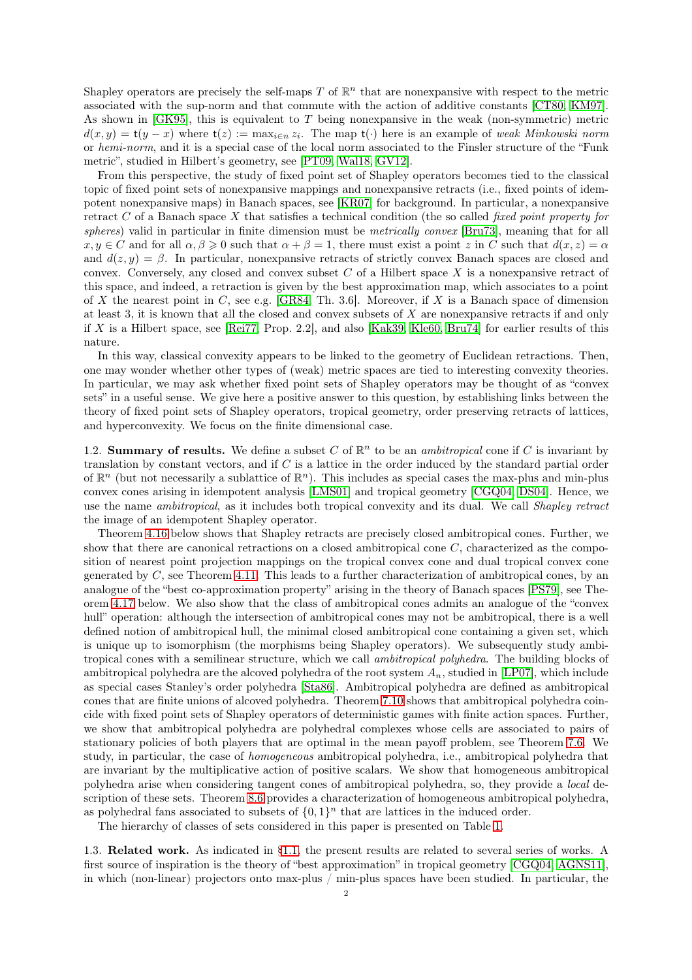Shapley operators are precisely the self-maps T of  $\mathbb{R}^n$  that are nonexpansive with respect to the metric associated with the sup-norm and that commute with the action of additive constants [\[CT80,](#page-26-14) [KM97\]](#page-26-5). As shown in [\[GK95\]](#page-26-15), this is equivalent to T being nonexpansive in the weak (non-symmetric) metric  $d(x,y) = t(y-x)$  where  $t(z) := \max_{i \in n} z_i$ . The map  $t(\cdot)$  here is an example of weak Minkowski norm or hemi-norm, and it is a special case of the local norm associated to the Finsler structure of the "Funk metric", studied in Hilbert's geometry, see [\[PT09,](#page-27-6) [Wal18,](#page-27-7) [GV12\]](#page-26-16).

From this perspective, the study of fixed point set of Shapley operators becomes tied to the classical topic of fixed point sets of nonexpansive mappings and nonexpansive retracts (i.e., fixed points of idempotent nonexpansive maps) in Banach spaces, see [\[KR07\]](#page-26-17) for background. In particular, a nonexpansive retract C of a Banach space X that satisfies a technical condition (the so called *fixed point property for* spheres) valid in particular in finite dimension must be *metrically convex* [\[Bru73\]](#page-26-18), meaning that for all  $x, y \in C$  and for all  $\alpha, \beta \geq 0$  such that  $\alpha + \beta = 1$ , there must exist a point z in C such that  $d(x, z) = \alpha$ and  $d(z, y) = \beta$ . In particular, nonexpansive retracts of strictly convex Banach spaces are closed and convex. Conversely, any closed and convex subset  $C$  of a Hilbert space  $X$  is a nonexpansive retract of this space, and indeed, a retraction is given by the best approximation map, which associates to a point of X the nearest point in C, see e.g. [\[GR84,](#page-26-19) Th. 3.6]. Moreover, if X is a Banach space of dimension at least 3, it is known that all the closed and convex subsets of X are nonexpansive retracts if and only if X is a Hilbert space, see [\[Rei77,](#page-27-8) Prop. 2.2], and also [\[Kak39,](#page-26-20) [Kle60,](#page-26-21) [Bru74\]](#page-26-22) for earlier results of this nature.

In this way, classical convexity appears to be linked to the geometry of Euclidean retractions. Then, one may wonder whether other types of (weak) metric spaces are tied to interesting convexity theories. In particular, we may ask whether fixed point sets of Shapley operators may be thought of as "convex sets" in a useful sense. We give here a positive answer to this question, by establishing links between the theory of fixed point sets of Shapley operators, tropical geometry, order preserving retracts of lattices, and hyperconvexity. We focus on the finite dimensional case.

1.2. Summary of results. We define a subset C of  $\mathbb{R}^n$  to be an *ambitropical* cone if C is invariant by translation by constant vectors, and if  $C$  is a lattice in the order induced by the standard partial order of  $\mathbb{R}^n$  (but not necessarily a sublattice of  $\mathbb{R}^n$ ). This includes as special cases the max-plus and min-plus convex cones arising in idempotent analysis [\[LMS01\]](#page-27-9) and tropical geometry [\[CGQ04,](#page-26-13) [DS04\]](#page-26-23). Hence, we use the name ambitropical, as it includes both tropical convexity and its dual. We call Shapley retract the image of an idempotent Shapley operator.

Theorem [4.16](#page-11-0) below shows that Shapley retracts are precisely closed ambitropical cones. Further, we show that there are canonical retractions on a closed ambitropical cone  $C$ , characterized as the composition of nearest point projection mappings on the tropical convex cone and dual tropical convex cone generated by  $C$ , see Theorem [4.11.](#page-9-0) This leads to a further characterization of ambitropical cones, by an analogue of the "best co-approximation property" arising in the theory of Banach spaces [\[PS79\]](#page-27-10), see Theorem [4.17](#page-11-1) below. We also show that the class of ambitropical cones admits an analogue of the "convex hull" operation: although the intersection of ambitropical cones may not be ambitropical, there is a well defined notion of ambitropical hull, the minimal closed ambitropical cone containing a given set, which is unique up to isomorphism (the morphisms being Shapley operators). We subsequently study ambitropical cones with a semilinear structure, which we call ambitropical polyhedra. The building blocks of ambitropical polyhedra are the alcoved polyhedra of the root system  $A_n$ , studied in [\[LP07\]](#page-27-11), which include as special cases Stanley's order polyhedra [\[Sta86\]](#page-27-12). Ambitropical polyhedra are defined as ambitropical cones that are finite unions of alcoved polyhedra. Theorem [7.10](#page-20-0) shows that ambitropical polyhedra coincide with fixed point sets of Shapley operators of deterministic games with finite action spaces. Further, we show that ambitropical polyhedra are polyhedral complexes whose cells are associated to pairs of stationary policies of both players that are optimal in the mean payoff problem, see Theorem [7.6.](#page-18-0) We study, in particular, the case of homogeneous ambitropical polyhedra, i.e., ambitropical polyhedra that are invariant by the multiplicative action of positive scalars. We show that homogeneous ambitropical polyhedra arise when considering tangent cones of ambitropical polyhedra, so, they provide a local description of these sets. Theorem [8.6](#page-22-0) provides a characterization of homogeneous ambitropical polyhedra, as polyhedral fans associated to subsets of  $\{0,1\}^n$  that are lattices in the induced order.

The hierarchy of classes of sets considered in this paper is presented on Table [1.](#page-2-0)

1.3. Related work. As indicated in [§1.1,](#page-0-0) the present results are related to several series of works. A first source of inspiration is the theory of "best approximation" in tropical geometry [\[CGQ04,](#page-26-13) [AGNS11\]](#page-26-24), in which (non-linear) projectors onto max-plus / min-plus spaces have been studied. In particular, the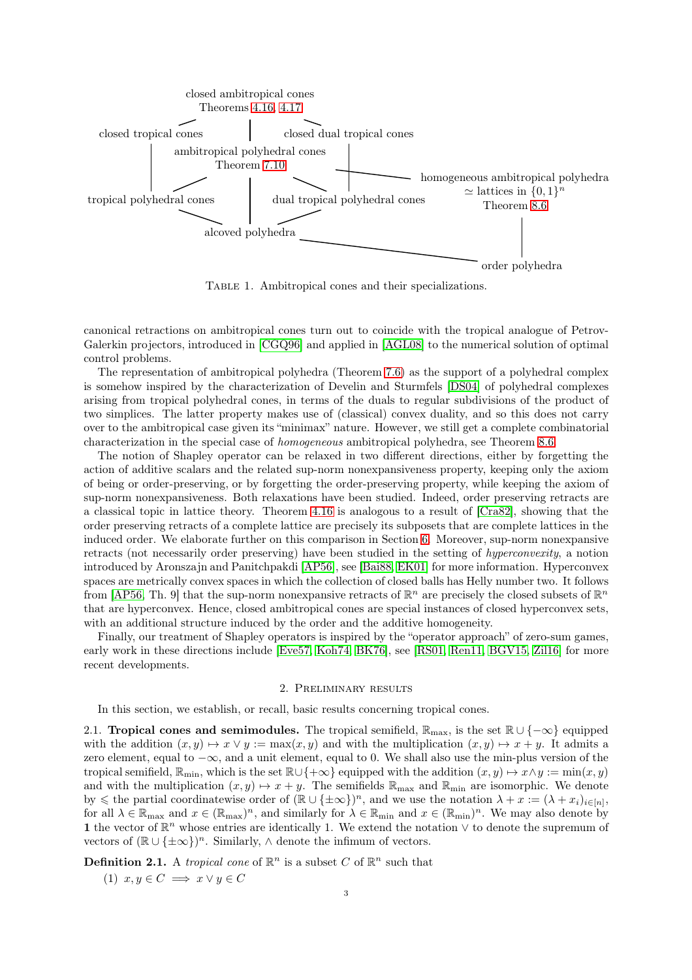

<span id="page-2-0"></span>TABLE 1. Ambitropical cones and their specializations.

canonical retractions on ambitropical cones turn out to coincide with the tropical analogue of Petrov-Galerkin projectors, introduced in [\[CGQ96\]](#page-26-12) and applied in [\[AGL08\]](#page-25-1) to the numerical solution of optimal control problems.

The representation of ambitropical polyhedra (Theorem [7.6\)](#page-18-0) as the support of a polyhedral complex is somehow inspired by the characterization of Develin and Sturmfels [\[DS04\]](#page-26-23) of polyhedral complexes arising from tropical polyhedral cones, in terms of the duals to regular subdivisions of the product of two simplices. The latter property makes use of (classical) convex duality, and so this does not carry over to the ambitropical case given its "minimax" nature. However, we still get a complete combinatorial characterization in the special case of homogeneous ambitropical polyhedra, see Theorem [8.6.](#page-22-0)

The notion of Shapley operator can be relaxed in two different directions, either by forgetting the action of additive scalars and the related sup-norm nonexpansiveness property, keeping only the axiom of being or order-preserving, or by forgetting the order-preserving property, while keeping the axiom of sup-norm nonexpansiveness. Both relaxations have been studied. Indeed, order preserving retracts are a classical topic in lattice theory. Theorem [4.16](#page-11-0) is analogous to a result of [\[Cra82\]](#page-26-25), showing that the order preserving retracts of a complete lattice are precisely its subposets that are complete lattices in the induced order. We elaborate further on this comparison in Section [6.](#page-15-0) Moreover, sup-norm nonexpansive retracts (not necessarily order preserving) have been studied in the setting of hyperconvexity, a notion introduced by Aronszajn and Panitchpakdi [\[AP56\]](#page-26-26), see [\[Bai88,](#page-26-27) [EK01\]](#page-26-28) for more information. Hyperconvex spaces are metrically convex spaces in which the collection of closed balls has Helly number two. It follows from [\[AP56,](#page-26-26) Th. 9] that the sup-norm nonexpansive retracts of  $\mathbb{R}^n$  are precisely the closed subsets of  $\mathbb{R}^n$ that are hyperconvex. Hence, closed ambitropical cones are special instances of closed hyperconvex sets, with an additional structure induced by the order and the additive homogeneity.

Finally, our treatment of Shapley operators is inspired by the "operator approach" of zero-sum games, early work in these directions include [\[Eve57,](#page-26-29) [Koh74,](#page-26-30) [BK76\]](#page-26-2), see [\[RS01,](#page-27-13) [Ren11,](#page-27-14) [BGV15,](#page-26-31) [Zil16\]](#page-27-15) for more recent developments.

### 2. Preliminary results

<span id="page-2-2"></span>In this section, we establish, or recall, basic results concerning tropical cones.

2.1. **Tropical cones and semimodules.** The tropical semifield,  $\mathbb{R}_{\text{max}}$ , is the set  $\mathbb{R} \cup \{-\infty\}$  equipped with the addition  $(x, y) \mapsto x \vee y := \max(x, y)$  and with the multiplication  $(x, y) \mapsto x + y$ . It admits a zero element, equal to −∞, and a unit element, equal to 0. We shall also use the min-plus version of the tropical semifield,  $\mathbb{R}_{\min}$ , which is the set  $\mathbb{R}\cup\{+\infty\}$  equipped with the addition  $(x, y) \mapsto x \wedge y := \min(x, y)$ and with the multiplication  $(x, y) \mapsto x + y$ . The semifields  $\mathbb{R}_{\text{max}}$  and  $\mathbb{R}_{\text{min}}$  are isomorphic. We denote by  $\leq$  the partial coordinatewise order of  $(\mathbb{R} \cup {\pm \infty})^n$ , and we use the notation  $\lambda + x := (\lambda + x_i)_{i \in [n]},$ for all  $\lambda \in \mathbb{R}_{\max}$  and  $x \in (\mathbb{R}_{\max})^n$ , and similarly for  $\lambda \in \mathbb{R}_{\min}$  and  $x \in (\mathbb{R}_{\min})^n$ . We may also denote by 1 the vector of  $\mathbb{R}^n$  whose entries are identically 1. We extend the notation  $\vee$  to denote the supremum of vectors of  $(\mathbb{R} \cup {\pm \infty})^n$ . Similarly,  $\wedge$  denote the infimum of vectors.

<span id="page-2-1"></span>**Definition 2.1.** A *tropical cone* of  $\mathbb{R}^n$  is a subset C of  $\mathbb{R}^n$  such that

(1)  $x, y \in C \implies x \vee y \in C$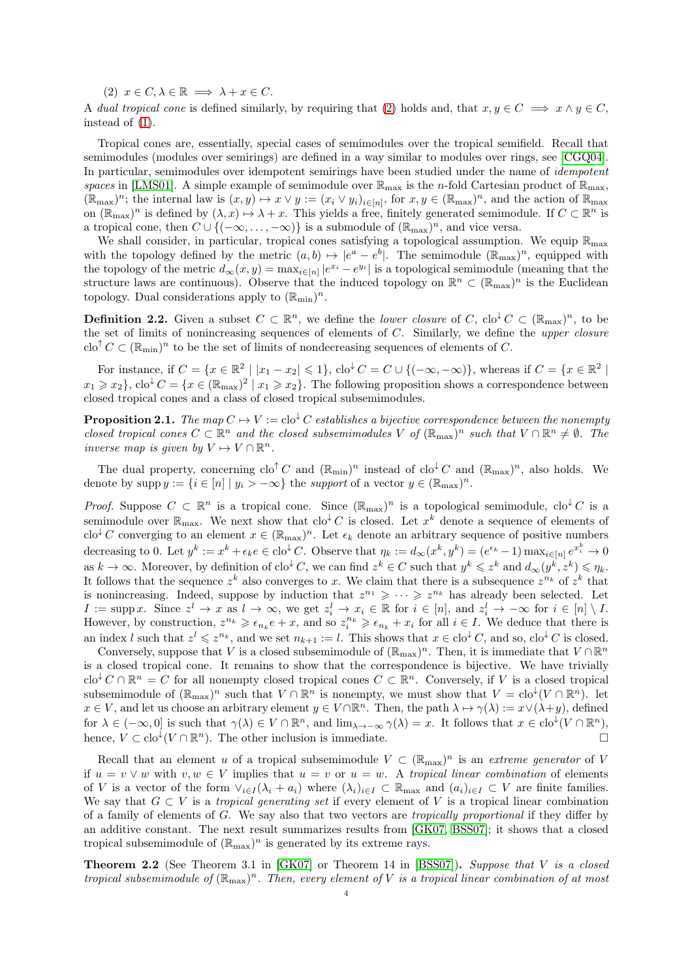<span id="page-3-0"></span>(2)  $x \in C, \lambda \in \mathbb{R} \implies \lambda + x \in C.$ 

A dual tropical cone is defined similarly, by requiring that [\(2\)](#page-3-0) holds and, that  $x, y \in C \implies x \wedge y \in C$ , instead of [\(1\)](#page-2-1).

Tropical cones are, essentially, special cases of semimodules over the tropical semifield. Recall that semimodules (modules over semirings) are defined in a way similar to modules over rings, see [\[CGQ04\]](#page-26-13). In particular, semimodules over idempotent semirings have been studied under the name of *idempotent* spaces in [\[LMS01\]](#page-27-9). A simple example of semimodule over  $\mathbb{R}_{\text{max}}$  is the *n*-fold Cartesian product of  $\mathbb{R}_{\text{max}}$ ,  $(\mathbb{R}_{\max})^n$ ; the internal law is  $(x, y) \mapsto x \vee y := (x_i \vee y_i)_{i \in [n]},$  for  $x, y \in (\mathbb{R}_{\max})^n$ , and the action of  $\mathbb{R}_{\max}$ on  $(\mathbb{R}_{\max})^n$  is defined by  $(\lambda, x) \mapsto \lambda + x$ . This yields a free, finitely generated semimodule. If  $C \subset \mathbb{R}^n$  is a tropical cone, then  $C \cup \{(-\infty,\ldots,-\infty)\}\)$  is a submodule of  $(\mathbb{R}_{\max})^n$ , and vice versa.

We shall consider, in particular, tropical cones satisfying a topological assumption. We equip  $\mathbb{R}_{\max}$ with the topology defined by the metric  $(a, b) \mapsto |e^a - e^b|$ . The semimodule  $(\mathbb{R}_{\text{max}})^n$ , equipped with the topology of the metric  $d_{\infty}(x, y) = \max_{i \in [n]} |e^{x_i} - e^{y_i}|$  is a topological semimodule (meaning that the structure laws are continuous). Observe that the induced topology on  $\mathbb{R}^n \subset (\mathbb{R}_{\text{max}})^n$  is the Euclidean topology. Dual considerations apply to  $(\mathbb{R}_{min})^n$ .

<span id="page-3-2"></span>**Definition 2.2.** Given a subset  $C \subset \mathbb{R}^n$ , we define the *lower closure* of C, clo<sup> $\downarrow$ </sup>C  $\subset (\mathbb{R}_{\max})^n$ , to be the set of limits of nonincreasing sequences of elements of  $C$ . Similarly, we define the upper closure clo<sup>↑</sup>  $C \subset (\mathbb{R}_{min})^n$  to be the set of limits of nondecreasing sequences of elements of C.

For instance, if  $C = \{x \in \mathbb{R}^2 \mid |x_1 - x_2| \leqslant 1\}$ ,  $\text{clo}^{\downarrow} C = C \cup \{(-\infty, -\infty)\}\$ , whereas if  $C = \{x \in \mathbb{R}^2 \mid |x_1 - x_2| \leqslant 1\}$  $x_1 \geqslant x_2$ ,  $\text{clo}^{\downarrow} C = \{x \in (\mathbb{R}_{\text{max}})^2 \mid x_1 \geqslant x_2\}.$  The following proposition shows a correspondence between closed tropical cones and a class of closed tropical subsemimodules.

<span id="page-3-3"></span>**Proposition 2.1.** The map  $C \mapsto V := \text{clo}^{\downarrow} C$  establishes a bijective correspondence between the nonempty closed tropical cones  $C \subset \mathbb{R}^n$  and the closed subsemimodules V of  $(\mathbb{R}_{max})^n$  such that  $V \cap \mathbb{R}^n \neq \emptyset$ . The inverse map is given by  $V \mapsto V \cap \mathbb{R}^n$ .

The dual property, concerning  $\text{clo}^{\uparrow} C$  and  $(\mathbb{R}_{\text{min}})^n$  instead of  $\text{clo}^{\downarrow} C$  and  $(\mathbb{R}_{\text{max}})^n$ , also holds. We denote by  $\text{supp } y := \{i \in [n] \mid y_i > -\infty\}$  the *support* of a vector  $y \in (\mathbb{R}_{\text{max}})^n$ .

*Proof.* Suppose  $C \subset \mathbb{R}^n$  is a tropical cone. Since  $(\mathbb{R}_{max})^n$  is a topological semimodule,  $\text{clo}^{\downarrow}C$  is a semimodule over  $\mathbb{R}_{\text{max}}$ . We next show that  $\text{clo}^{\downarrow}C$  is closed. Let  $x^k$  denote a sequence of elements of  $\text{clo}^{\downarrow} C$  converging to an element  $x \in (\mathbb{R}_{\text{max}})^n$ . Let  $\epsilon_k$  denote an arbitrary sequence of positive numbers decreasing to 0. Let  $y^k := x^k + \epsilon_k e \in \text{clo}^{\downarrow} C$ . Observe that  $\eta_k := d_{\infty}(x^k, y^k) = (e^{\epsilon_k} - 1) \max_{i \in [n]} e^{x_i^k} \to 0$ as  $k \to \infty$ . Moreover, by definition of  $\text{clo}^{\downarrow} C$ , we can find  $z^k \in C$  such that  $y^k \leqslant z^k$  and  $d_{\infty}(y^k, z^k) \leqslant \eta_k$ . It follows that the sequence  $z^k$  also converges to x. We claim that there is a subsequence  $z^{n_k}$  of  $z^k$  that is nonincreasing. Indeed, suppose by induction that  $z^{n_1} \geqslant \cdots \geqslant z^{n_k}$  has already been selected. Let  $I := \text{supp } x$ . Since  $z^l \to x$  as  $l \to \infty$ , we get  $z_i^l \to x_i \in \mathbb{R}$  for  $i \in [n]$ , and  $z_i^l \to -\infty$  for  $i \in [n] \setminus I$ . However, by construction,  $z^{n_k} \geqslant \epsilon_{n_k} e + x$ , and so  $z_i^{n_k} \geqslant \epsilon_{n_k} + x_i$  for all  $i \in I$ . We deduce that there is an index l such that  $z^l \leqslant z^{n_k}$ , and we set  $n_{k+1} := l$ . This shows that  $x \in \text{clo}^{\downarrow}C$ , and so,  $\text{clo}^{\downarrow}C$  is closed.

Conversely, suppose that V is a closed subsemimodule of  $(\mathbb{R}_{max})^n$ . Then, it is immediate that  $V \cap \mathbb{R}^n$ is a closed tropical cone. It remains to show that the correspondence is bijective. We have trivially  $\operatorname{clo}^{\downarrow} C \cap \mathbb{R}^n = C$  for all nonempty closed tropical cones  $C \subset \mathbb{R}^n$ . Conversely, if V is a closed tropical subsemimodule of  $(\mathbb{R}_{max})^n$  such that  $V \cap \mathbb{R}^n$  is nonempty, we must show that  $V = \text{clo}^{\downarrow}(V \cap \mathbb{R}^n)$ . let  $x \in V$ , and let us choose an arbitrary element  $y \in V \cap \mathbb{R}^n$ . Then, the path  $\lambda \mapsto \gamma(\lambda) := x \vee (\lambda + y)$ , defined for  $\lambda \in (-\infty, 0]$  is such that  $\gamma(\lambda) \in V \cap \mathbb{R}^n$ , and  $\lim_{\lambda \to -\infty} \gamma(\lambda) = x$ . It follows that  $x \in \text{clo}^{\downarrow}(V \cap \mathbb{R}^n)$ , hence,  $V \subset \text{clo}^{\downarrow}(V \cap \mathbb{R}^n)$ . The other inclusion is immediate.

Recall that an element u of a tropical subsemimodule  $V \subset (\mathbb{R}_{max})^n$  is an extreme generator of V if  $u = v \vee w$  with  $v, w \in V$  implies that  $u = v$  or  $u = w$ . A tropical linear combination of elements of V is a vector of the form  $\vee_{i\in I} (\lambda_i + a_i)$  where  $(\lambda_i)_{i\in I} \subset \mathbb{R}_{\text{max}}$  and  $(a_i)_{i\in I} \subset V$  are finite families. We say that  $G \subset V$  is a tropical generating set if every element of V is a tropical linear combination of a family of elements of G. We say also that two vectors are tropically proportional if they differ by an additive constant. The next result summarizes results from [\[GK07,](#page-26-32) [BSS07\]](#page-26-33); it shows that a closed tropical subsemimodule of  $(\mathbb{R}_{max})^n$  is generated by its extreme rays.

<span id="page-3-1"></span>Theorem 2.2 (See Theorem 3.1 in [\[GK07\]](#page-26-32) or Theorem 14 in [\[BSS07\]](#page-26-33)). Suppose that V is a closed tropical subsemimodule of  $(\mathbb{R}_{\max})^n$ . Then, every element of V is a tropical linear combination of at most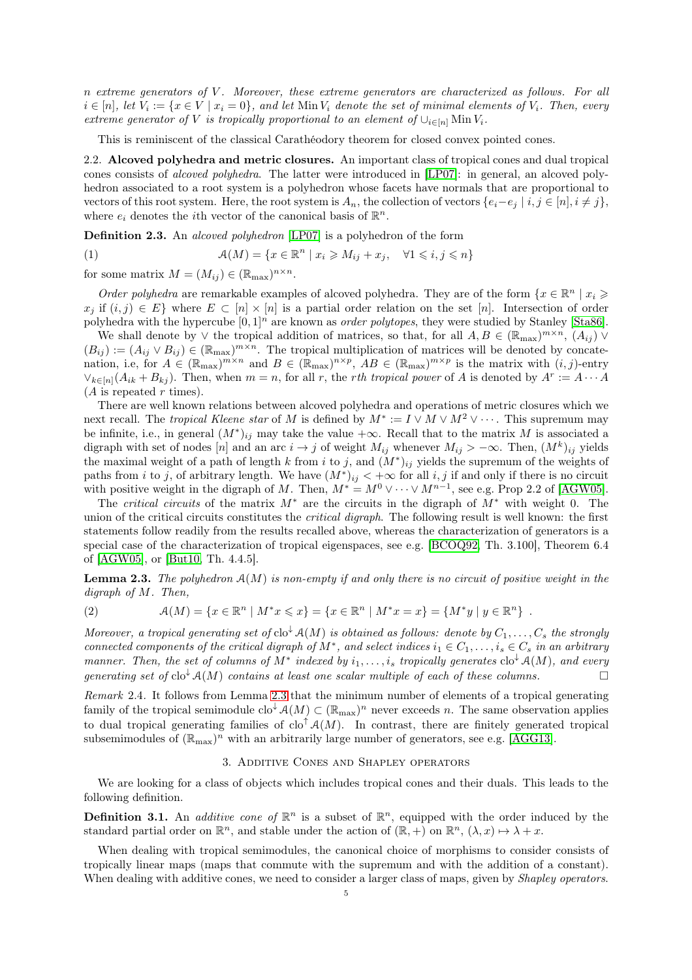n extreme generators of V . Moreover, these extreme generators are characterized as follows. For all  $i \in [n]$ , let  $V_i := \{x \in V \mid x_i = 0\}$ , and let  $\text{Min } V_i$  denote the set of minimal elements of  $V_i$ . Then, every extreme generator of V is tropically proportional to an element of  $\cup_{i\in[n]}$  Min  $V_i$ .

This is reminiscent of the classical Carathéodory theorem for closed convex pointed cones.

2.2. Alcoved polyhedra and metric closures. An important class of tropical cones and dual tropical cones consists of alcoved polyhedra. The latter were introduced in [\[LP07\]](#page-27-11): in general, an alcoved polyhedron associated to a root system is a polyhedron whose facets have normals that are proportional to vectors of this root system. Here, the root system is  $A_n$ , the collection of vectors  $\{e_i-e_j \mid i,j \in [n], i \neq j\}$ , where  $e_i$  denotes the *i*<sup>th</sup> vector of the canonical basis of  $\mathbb{R}^n$ .

Definition 2.3. An alcoved polyhedron [\[LP07\]](#page-27-11) is a polyhedron of the form

(1) 
$$
\mathcal{A}(M) = \{x \in \mathbb{R}^n \mid x_i \geqslant M_{ij} + x_j, \quad \forall 1 \leqslant i, j \leqslant n\}
$$

for some matrix  $M = (M_{ij}) \in (\mathbb{R}_{max})^{n \times n}$ .

Order polyhedra are remarkable examples of alcoved polyhedra. They are of the form  $\{x \in \mathbb{R}^n \mid x_i \geq 0\}$  $x_j$  if  $(i, j) \in E$  where  $E \subset [n] \times [n]$  is a partial order relation on the set  $[n]$ . Intersection of order polyhedra with the hypercube  $[0, 1]^n$  are known as *order polytopes*, they were studied by Stanley [\[Sta86\]](#page-27-12).

We shall denote by  $\vee$  the tropical addition of matrices, so that, for all  $A, B \in (\mathbb{R}_{max})^{m \times n}$ ,  $(A_{ij}) \vee$  $(B_{ij}) := (A_{ij} \vee B_{ij}) \in (\mathbb{R}_{\text{max}})^{m \times n}$ . The tropical multiplication of matrices will be denoted by concatenation, i.e, for  $A \in (\mathbb{R}_{max})^{m \times n}$  and  $B \in (\mathbb{R}_{max})^{n \times p}$ ,  $AB \in (\mathbb{R}_{max})^{m \times p}$  is the matrix with  $(i, j)$ -entry  $\vee_{k\in[n]}(A_{ik}+B_{kj})$ . Then, when  $m=n$ , for all r, the rth tropical power of A is denoted by  $A^r:=A\cdots A$  $(A \text{ is repeated } r \text{ times}).$ 

There are well known relations between alcoved polyhedra and operations of metric closures which we next recall. The *tropical Kleene star* of M is defined by  $M^* := I \vee M \vee M^2 \vee \cdots$ . This supremum may be infinite, i.e., in general  $(M^*)_{ij}$  may take the value  $+\infty$ . Recall that to the matrix M is associated a digraph with set of nodes [n] and an arc  $i \to j$  of weight  $M_{ij}$  whenever  $M_{ij} > -\infty$ . Then,  $(M^k)_{ij}$  yields the maximal weight of a path of length k from i to j, and  $(M^*)_{ij}$  yields the supremum of the weights of paths from i to j, of arbitrary length. We have  $(M^*)_{ij} < +\infty$  for all i, j if and only if there is no circuit with positive weight in the digraph of M. Then,  $M^* = M^0 \vee \cdots \vee M^{n-1}$ , see e.g. Prop 2.2 of [\[AGW05\]](#page-26-34).

The critical circuits of the matrix  $M^*$  are the circuits in the digraph of  $M^*$  with weight 0. The union of the critical circuits constitutes the *critical digraph*. The following result is well known: the first statements follow readily from the results recalled above, whereas the characterization of generators is a special case of the characterization of tropical eigenspaces, see e.g. [\[BCOQ92,](#page-26-4) Th. 3.100], Theorem 6.4 of [\[AGW05\]](#page-26-34), or [\[But10,](#page-26-35) Th. 4.4.5].

<span id="page-4-0"></span>**Lemma 2.3.** The polyhedron  $A(M)$  is non-empty if and only there is no circuit of positive weight in the digraph of M. Then,

<span id="page-4-2"></span>(2) 
$$
\mathcal{A}(M) = \{x \in \mathbb{R}^n \mid M^*x \leq x\} = \{x \in \mathbb{R}^n \mid M^*x = x\} = \{M^*y \mid y \in \mathbb{R}^n\} .
$$

Moreover, a tropical generating set of  $\text{clo}^{\downarrow} A(M)$  is obtained as follows: denote by  $C_1, \ldots, C_s$  the strongly connected components of the critical digraph of  $M^*$ , and select indices  $i_1 \in C_1, \ldots, i_s \in C_s$  in an arbitrary manner. Then, the set of columns of  $M^*$  indexed by  $i_1,\ldots,i_s$  tropically generates  $\text{clo}^{\downarrow} \mathcal{A}(M)$ , and every generating set of  $\text{clo}^{\downarrow} \mathcal{A}(M)$  contains at least one scalar multiple of each of these columns.

Remark 2.4. It follows from Lemma [2.3](#page-4-0) that the minimum number of elements of a tropical generating family of the tropical semimodule  $\text{clo}^{\downarrow} \mathcal{A}(M) \subset (\mathbb{R}_{\text{max}})^n$  never exceeds n. The same observation applies to dual tropical generating families of  $\text{cl} \circ \text{Ad}(M)$ . In contrast, there are finitely generated tropical subsemimodules of  $(\mathbb{R}_{\text{max}})^n$  with an arbitrarily large number of generators, see e.g. [\[AGG13\]](#page-25-2).

### 3. Additive Cones and Shapley operators

We are looking for a class of objects which includes tropical cones and their duals. This leads to the following definition.

**Definition 3.1.** An *additive cone of*  $\mathbb{R}^n$  is a subset of  $\mathbb{R}^n$ , equipped with the order induced by the standard partial order on  $\mathbb{R}^n$ , and stable under the action of  $(\mathbb{R}, +)$  on  $\mathbb{R}^n$ ,  $(\lambda, x) \mapsto \lambda + x$ .

<span id="page-4-1"></span>When dealing with tropical semimodules, the canonical choice of morphisms to consider consists of tropically linear maps (maps that commute with the supremum and with the addition of a constant). When dealing with additive cones, we need to consider a larger class of maps, given by *Shapley operators*.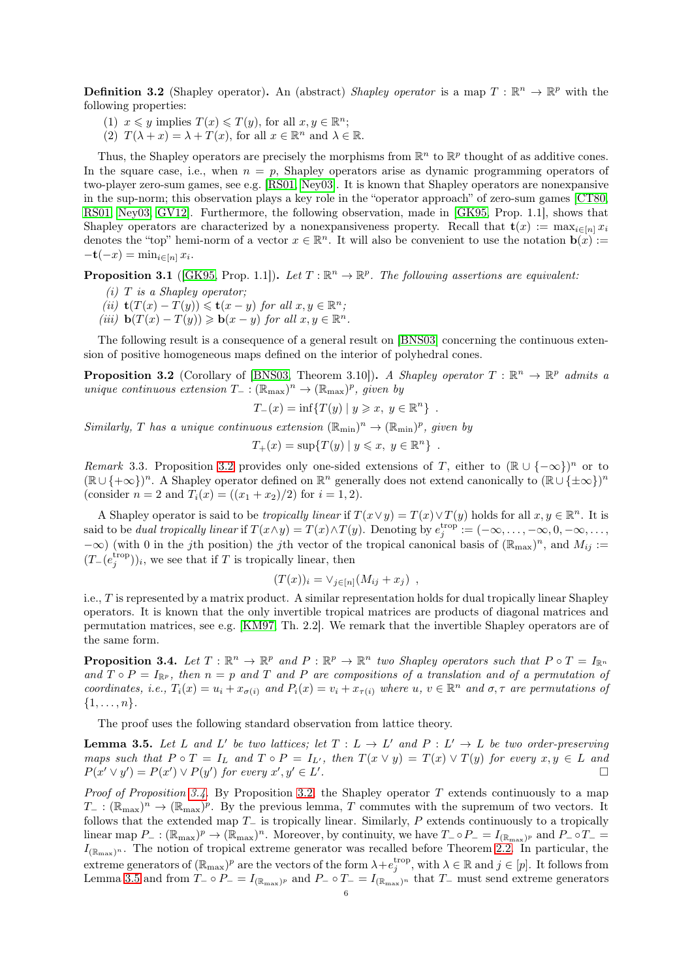**Definition 3.2** (Shapley operator). An (abstract) Shapley operator is a map  $T : \mathbb{R}^n \to \mathbb{R}^p$  with the following properties:

(1)  $x \leq y$  implies  $T(x) \leq T(y)$ , for all  $x, y \in \mathbb{R}^n$ ;

(2)  $T(\lambda + x) = \lambda + T(x)$ , for all  $x \in \mathbb{R}^n$  and  $\lambda \in \mathbb{R}$ .

Thus, the Shapley operators are precisely the morphisms from  $\mathbb{R}^n$  to  $\mathbb{R}^p$  thought of as additive cones. In the square case, i.e., when  $n = p$ , Shapley operators arise as dynamic programming operators of two-player zero-sum games, see e.g. [\[RS01,](#page-27-13) [Ney03\]](#page-27-1). It is known that Shapley operators are nonexpansive in the sup-norm; this observation plays a key role in the "operator approach" of zero-sum games [\[CT80,](#page-26-14) [RS01,](#page-27-13) [Ney03,](#page-27-1) [GV12\]](#page-26-16). Furthermore, the following observation, made in [\[GK95,](#page-26-15) Prop. 1.1], shows that Shapley operators are characterized by a nonexpansiveness property. Recall that  $\mathbf{t}(x) := \max_{i \in [n]} x_i$ denotes the "top" hemi-norm of a vector  $x \in \mathbb{R}^n$ . It will also be convenient to use the notation  $\mathbf{b}(x) :=$  $-\mathbf{t}(-x) = \min_{i \in [n]} x_i.$ 

<span id="page-5-3"></span>**Proposition 3.1** ([\[GK95,](#page-26-15) Prop. 1.1]). Let  $T : \mathbb{R}^n \to \mathbb{R}^p$ . The following assertions are equivalent:

- $(i)$  T is a Shapley operator:
- (ii)  $\mathbf{t}(T(x) T(y)) \leqslant \mathbf{t}(x y)$  for all  $x, y \in \mathbb{R}^n$ ;
- (iii)  $\mathbf{b}(T(x) T(y)) \geq \mathbf{b}(x y)$  for all  $x, y \in \mathbb{R}^n$ .

<span id="page-5-0"></span>The following result is a consequence of a general result on [\[BNS03\]](#page-26-36) concerning the continuous extension of positive homogeneous maps defined on the interior of polyhedral cones.

**Proposition 3.2** (Corollary of [\[BNS03,](#page-26-36) Theorem 3.10]). A Shapley operator  $T : \mathbb{R}^n \to \mathbb{R}^p$  admits a unique continuous extension  $T_{-}: (\mathbb{R}_{\text{max}})^n \to (\mathbb{R}_{\text{max}})^p$ , given by

$$
T_{-}(x) = \inf \{ T(y) \mid y \geqslant x, y \in \mathbb{R}^{n} \} .
$$

Similarly, T has a unique continuous extension  $(\mathbb{R}_{min})^n \to (\mathbb{R}_{min})^p$ , given by

$$
T_+(x) = \sup\{T(y) \mid y \leqslant x, y \in \mathbb{R}^n\} .
$$

Remark 3.3. Proposition [3.2](#page-5-0) provides only one-sided extensions of T, either to  $(\mathbb{R} \cup \{-\infty\})^n$  or to  $(\mathbb{R} \cup \{+\infty\})^n$ . A Shapley operator defined on  $\mathbb{R}^n$  generally does not extend canonically to  $(\mathbb{R} \cup \{\pm \infty\})^n$ (consider  $n = 2$  and  $T_i(x) = ((x_1 + x_2)/2)$  for  $i = 1, 2$ ).

A Shapley operator is said to be *tropically linear* if  $T(x \vee y) = T(x) \vee T(y)$  holds for all  $x, y \in \mathbb{R}^n$ . It is said to be *dual tropically linear* if  $T(x \wedge y) = T(x) \wedge T(y)$ . Denoting by  $e_j^{\text{trop}} := (-\infty, \ldots, -\infty, 0, -\infty, \ldots,$  $-\infty$ ) (with 0 in the jth position) the jth vector of the tropical canonical basis of  $(\mathbb{R}_{max})^n$ , and  $M_{ij} :=$  $(T_-(e_j^{\text{trop}}))_i$ , we see that if T is tropically linear, then

$$
(T(x))_i = \vee_{j \in [n]} (M_{ij} + x_j) ,
$$

i.e., T is represented by a matrix product. A similar representation holds for dual tropically linear Shapley operators. It is known that the only invertible tropical matrices are products of diagonal matrices and permutation matrices, see e.g. [\[KM97,](#page-26-5) Th. 2.2]. We remark that the invertible Shapley operators are of the same form.

<span id="page-5-1"></span>**Proposition 3.4.** Let  $T : \mathbb{R}^n \to \mathbb{R}^p$  and  $P : \mathbb{R}^p \to \mathbb{R}^n$  two Shapley operators such that  $P \circ T = I_{\mathbb{R}^n}$ and  $T \circ P = I_{\mathbb{R}^p}$ , then  $n = p$  and  $T$  and  $P$  are compositions of a translation and of a permutation of coordinates, i.e.,  $T_i(x) = u_i + x_{\sigma(i)}$  and  $P_i(x) = v_i + x_{\tau(i)}$  where  $u, v \in \mathbb{R}^n$  and  $\sigma, \tau$  are permutations of  $\{1, \ldots, n\}.$ 

<span id="page-5-2"></span>The proof uses the following standard observation from lattice theory.

**Lemma 3.5.** Let L and L' be two lattices; let  $T: L \to L'$  and  $P: L' \to L$  be two order-preserving maps such that  $P \circ T = I_L$  and  $T \circ P = I_{L'}$ , then  $T(x \vee y) = T(x) \vee T(y)$  for every  $x, y \in L$  and  $P(x' \vee y') = P(x') \vee P(y')$  for every  $x', y' \in L'$ .

*Proof of Proposition [3.4.](#page-5-1)* By Proposition [3.2,](#page-5-0) the Shapley operator T extends continuously to a map  $T_-: (\mathbb{R}_{\max})^n \to (\mathbb{R}_{\max})^p$ . By the previous lemma, T commutes with the supremum of two vectors. It follows that the extended map  $T_$  is tropically linear. Similarly, P extends continuously to a tropically linear map  $P_-: (\mathbb{R}_{\text{max}})^p \to (\mathbb{R}_{\text{max}})^n$ . Moreover, by continuity, we have  $T_- \circ P_- = I_{(\mathbb{R}_{\text{max}})^p}$  and  $P_- \circ T_- =$  $I_{(\mathbb{R}_{\text{max}})^n}$ . The notion of tropical extreme generator was recalled before Theorem [2.2.](#page-3-1) In particular, the extreme generators of  $(\mathbb{R}_{max})^p$  are the vectors of the form  $\lambda + e_j^{\text{trop}}$ , with  $\lambda \in \mathbb{R}$  and  $j \in [p]$ . It follows from Lemma [3.5](#page-5-2) and from  $T_-\circ P_-=I_{(\mathbb{R}_{\text{max}})^p}$  and  $P_-\circ T_-=I_{(\mathbb{R}_{\text{max}})^n}$  that  $T_-\text{ must send extreme generators}$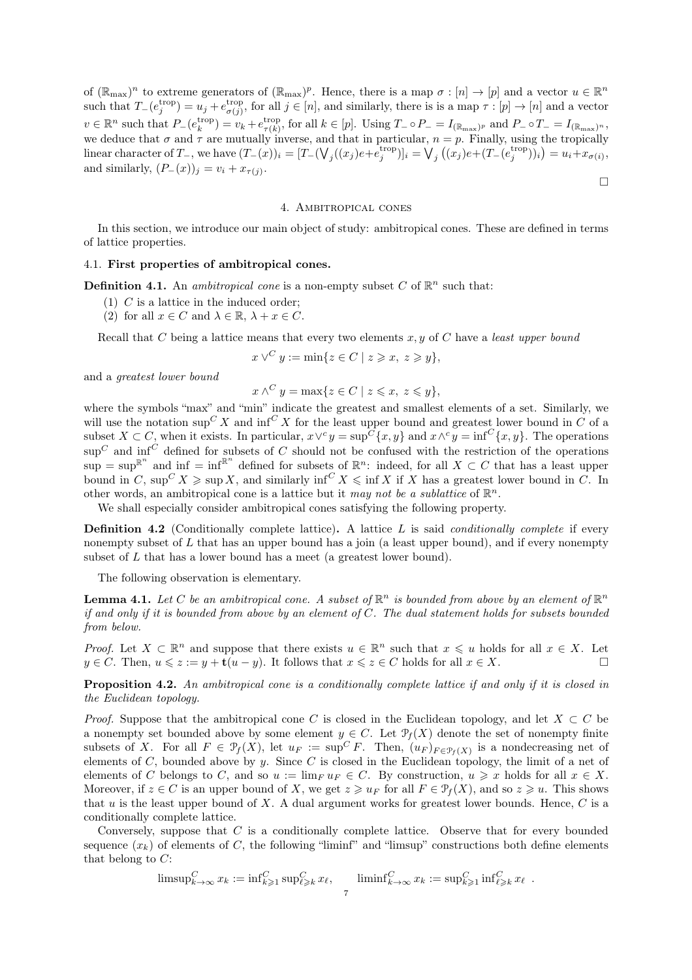of  $(\mathbb{R}_{max})^n$  to extreme generators of  $(\mathbb{R}_{max})^p$ . Hence, there is a map  $\sigma : [n] \to [p]$  and a vector  $u \in \mathbb{R}^n$ such that  $T_{-}(e_j^{\text{trop}}) = u_j + e_{\sigma(j)}^{\text{trop}}$  $\sigma(j)$ , for all  $j \in [n]$ , and similarly, there is is a map  $\tau : [p] \to [n]$  and a vector  $v \in \mathbb{R}^n$  such that  $P_{-}(e_k^{\text{trop}}) = v_k + e_{\tau(k)}^{\text{trop}}$ <sup>trop</sup>, for all  $k \in [p]$ . Using  $T_{-} \circ P_{-} = I_{(\mathbb{R}_{max})^p}$  and  $P_{-} \circ T_{-} = I_{(\mathbb{R}_{max})^n}$ , we deduce that  $\sigma$  and  $\tau$  are mutually inverse, and that in particular,  $n = p$ . Finally, using the tropically linear character of  $T_$ , we have  $(T_-(x))_i = [T_-(\bigvee_j((x_j)e + e_j^{\text{trop}})]_i = \bigvee_j((x_j)e + (T_-(e_j^{\text{trop}}))_i) = u_i + x_{\sigma(i)},$ and similarly,  $(P_-(x))_j = v_i + x_{\tau(j)}$ .  $\Box$ 

### 4. Ambitropical cones

<span id="page-6-1"></span>In this section, we introduce our main object of study: ambitropical cones. These are defined in terms of lattice properties.

### 4.1. First properties of ambitropical cones.

**Definition 4.1.** An *ambitropical cone* is a non-empty subset C of  $\mathbb{R}^n$  such that:

- (1) C is a lattice in the induced order;
- (2) for all  $x \in C$  and  $\lambda \in \mathbb{R}$ ,  $\lambda + x \in C$ .

Recall that C being a lattice means that every two elements  $x, y$  of C have a least upper bound

$$
x \vee^C y := \min\{z \in C \mid z \geqslant x, \ z \geqslant y\},\
$$

and a greatest lower bound

 $x \wedge^C y = \max\{z \in C \mid z \leqslant x, z \leqslant y\},\$ 

where the symbols "max" and "min" indicate the greatest and smallest elements of a set. Similarly, we will use the notation  $\sup C X$  and  $\inf C X$  for the least upper bound and greatest lower bound in C of a subset  $X \subset C$ , when it exists. In particular,  $x \vee^c y = \sup^{\overline{C}} \{x, y\}$  and  $x \wedge^c y = \inf^{\overline{C}} \{x, y\}$ . The operations  $\sup^C$  and  $\inf^C$  defined for subsets of C should not be confused with the restriction of the operations  $\sup = \sup \mathbb{R}^n$  and  $\inf = \inf \mathbb{R}^n$  defined for subsets of  $\mathbb{R}^n$ : indeed, for all  $X \subset C$  that has a least upper bound in C,  $\sup C$   $\times$   $\sup X$   $\ge$   $\sup X$ , and similarly  $\inf C$   $\times$   $\le$   $\inf X$  if X has a greatest lower bound in C. In other words, an ambitropical cone is a lattice but it may not be a sublattice of  $\mathbb{R}^n$ .

We shall especially consider ambitropical cones satisfying the following property.

**Definition 4.2** (Conditionally complete lattice). A lattice  $L$  is said *conditionally complete* if every nonempty subset of  $L$  that has an upper bound has a join (a least upper bound), and if every nonempty subset of L that has a lower bound has a meet (a greatest lower bound).

<span id="page-6-2"></span>The following observation is elementary.

**Lemma 4.1.** Let C be an ambitropical cone. A subset of  $\mathbb{R}^n$  is bounded from above by an element of  $\mathbb{R}^n$ if and only if it is bounded from above by an element of  $C$ . The dual statement holds for subsets bounded from below.

*Proof.* Let  $X \subset \mathbb{R}^n$  and suppose that there exists  $u \in \mathbb{R}^n$  such that  $x \leq u$  holds for all  $x \in X$ . Let  $y \in C$ . Then,  $u \leq z := y + \mathbf{t}(u - y)$ . It follows that  $x \leq z \in C$  holds for all  $x \in X$ .

<span id="page-6-0"></span>**Proposition 4.2.** An ambitropical cone is a conditionally complete lattice if and only if it is closed in the Euclidean topology.

*Proof.* Suppose that the ambitropical cone C is closed in the Euclidean topology, and let  $X \subset C$  be a nonempty set bounded above by some element  $y \in C$ . Let  $\mathcal{P}_f(X)$  denote the set of nonempty finite subsets of X. For all  $F \in \mathcal{P}_f(X)$ , let  $u_F := \sup^C F$ . Then,  $(u_F)_{F \in \mathcal{P}_f(X)}$  is a nondecreasing net of elements of C, bounded above by y. Since C is closed in the Euclidean topology, the limit of a net of elements of C belongs to C, and so  $u := \lim_{F \downarrow F} \in C$ . By construction,  $u \geq x$  holds for all  $x \in X$ . Moreover, if  $z \in C$  is an upper bound of X, we get  $z \geqslant u_F$  for all  $F \in \mathcal{P}_f(X)$ , and so  $z \geqslant u$ . This shows that u is the least upper bound of X. A dual argument works for greatest lower bounds. Hence,  $C$  is a conditionally complete lattice.

Conversely, suppose that C is a conditionally complete lattice. Observe that for every bounded sequence  $(x_k)$  of elements of C, the following "liminf" and "limsup" constructions both define elements that belong to  $C$ :

$$
\text{limsup}_{k \to \infty}^C x_k := \text{inf}_{k \geq 1}^C \text{sup}_{\ell \geq k}^C x_\ell, \quad \quad \text{liminf}_{k \to \infty}^C x_k := \text{sup}_{k \geq 1}^C \text{inf}_{\ell \geq k}^C x_\ell.
$$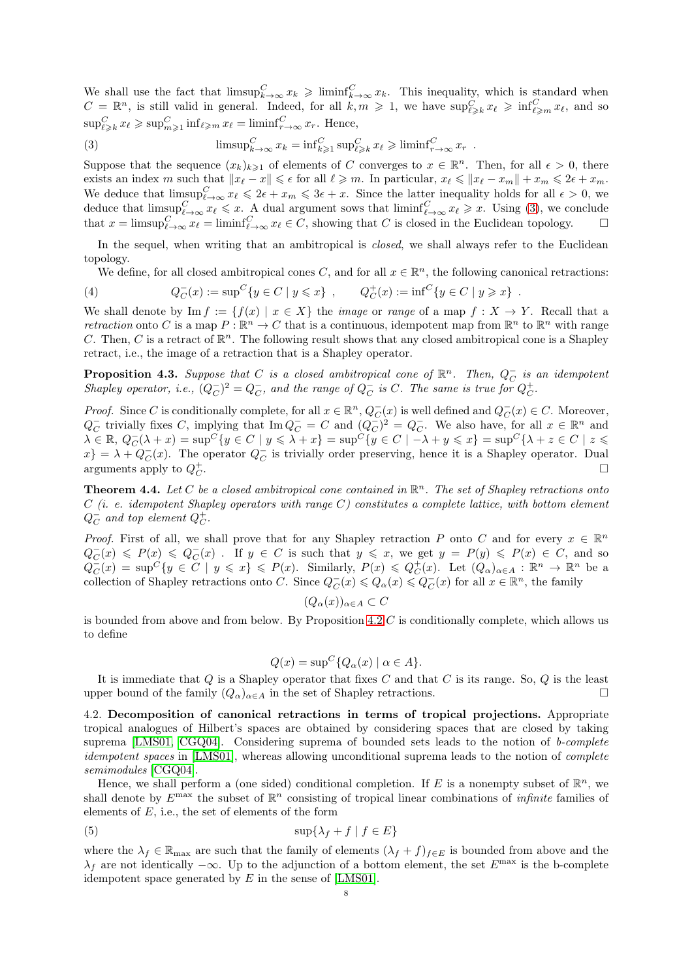We shall use the fact that  $\limsup_{k\to\infty}^C x_k \geq \liminf_{k\to\infty}^C x_k$ . This inequality, which is standard when  $C = \mathbb{R}^n$ , is still valid in general. Indeed, for all  $k, m \geqslant 1$ , we have  $\sup_{\ell \geqslant k} C_{\ell} \geqslant \inf_{\ell \geqslant m} C_{\ell} x_{\ell}$ , and so  $\sup_{\ell \geqslant k}^C x_\ell \geqslant \sup_{m \geqslant 1}^C \inf_{\ell \geqslant m} x_\ell = \liminf_{r \to \infty}^C x_r$ . Hence,

<span id="page-7-0"></span>(3) 
$$
\limsup_{k \to \infty} C x_k = \inf_{k \ge 1} C \sup_{\ell \ge k} x_\ell \ge \liminf_{r \to \infty} C r \quad .
$$

Suppose that the sequence  $(x_k)_{k\geqslant 1}$  of elements of C converges to  $x \in \mathbb{R}^n$ . Then, for all  $\epsilon > 0$ , there exists an index m such that  $||x_{\ell} - x|| \leq \epsilon$  for all  $\ell \geq m$ . In particular,  $x_{\ell} \leq ||x_{\ell} - x_m|| + x_m \leq 2\epsilon + x_m$ . We deduce that  $\limsup_{\ell\to\infty}^C x_\ell \leq 2\epsilon + x_m \leq 3\epsilon + x$ . Since the latter inequality holds for all  $\epsilon > 0$ , we deduce that  $\limsup_{\ell \to \infty}^C x_{\ell} \leq x$ . A dual argument sows that  $\liminf_{\ell \to \infty}^C x_{\ell} \geq x$ . Using [\(3\)](#page-7-0), we conclude that  $x = \limsup_{\ell \to \infty}^C x_{\ell} = \liminf_{\ell \to \infty}^C x_{\ell} \in C$ , showing that C is closed in the Euclidean topology.  $\square$ 

In the sequel, when writing that an ambitropical is *closed*, we shall always refer to the Euclidean topology.

We define, for all closed ambitropical cones C, and for all  $x \in \mathbb{R}^n$ , the following canonical retractions:

<span id="page-7-1"></span>(4) 
$$
Q_C^-(x) := \sup^C \{ y \in C \mid y \leq x \}, \qquad Q_C^+(x) := \inf^C \{ y \in C \mid y \geq x \}.
$$

We shall denote by Im  $f := \{f(x) \mid x \in X\}$  the *image* or *range* of a map  $f : X \to Y$ . Recall that a retraction onto C is a map  $P: \mathbb{R}^n \to C$  that is a continuous, idempotent map from  $\mathbb{R}^n$  to  $\mathbb{R}^n$  with range C. Then, C is a retract of  $\mathbb{R}^n$ . The following result shows that any closed ambitropical cone is a Shapley retract, i.e., the image of a retraction that is a Shapley operator.

<span id="page-7-2"></span>**Proposition 4.3.** Suppose that C is a closed ambitropical cone of  $\mathbb{R}^n$ . Then,  $Q_C^-$  is an idempotent Shapley operator, i.e.,  $(Q_C^-)^2 = Q_C^-$ , and the range of  $Q_C^-$  is C. The same is true for  $Q_C^+$ .

*Proof.* Since C is conditionally complete, for all  $x \in \mathbb{R}^n$ ,  $Q_C^-(x)$  is well defined and  $Q_C^-(x) \in C$ . Moreover,  $Q_C^-$  trivially fixes C, implying that  $\text{Im } Q_C^- = C$  and  $(Q_C^-)^2 = Q_C^-$ . We also have, for all  $x \in \mathbb{R}^n$  and  $\lambda \in \mathbb{R},\ Q_C^-(\lambda + x) = \sup C\{y \in C \mid y \leqslant \lambda + x\} = \sup C\{y \in C \mid -\lambda + y \leqslant x\} = \sup C\{\lambda + z \in C \mid z \leqslant \lambda + x\}$  $x\} = \lambda + Q_C^-(x)$ . The operator  $Q_C^-$  is trivially order preserving, hence it is a Shapley operator. Dual arguments apply to  $Q_C^+$ .

**Theorem 4.4.** Let C be a closed ambitropical cone contained in  $\mathbb{R}^n$ . The set of Shapley retractions onto  $C$  (i. e. idempotent Shapley operators with range C) constitutes a complete lattice, with bottom element  $Q_C^+$  and top element  $Q_C^+$ .

*Proof.* First of all, we shall prove that for any Shapley retraction P onto C and for every  $x \in \mathbb{R}^n$  $Q_C^-(x) \leqslant P(x) \leqslant Q_C^-(x)$ . If  $y \in C$  is such that  $y \leqslant x$ , we get  $y = P(y) \leqslant P(x) \in C$ , and so  $Q_C^-(x) = \sup^C \{y \in C \mid y \leqslant x\} \leqslant P(x)$ . Similarly,  $P(x) \leqslant Q_C^+(x)$ . Let  $(Q_\alpha)_{\alpha \in A} : \mathbb{R}^n \to \mathbb{R}^n$  be a collection of Shapley retractions onto C. Since  $Q_C^-(x) \leq Q_\alpha(x) \leq Q_C^-(x)$  for all  $x \in \mathbb{R}^n$ , the family

$$
(Q_{\alpha}(x))_{\alpha \in A} \subset C
$$

is bounded from above and from below. By Proposition [4.2](#page-6-0)  $C$  is conditionally complete, which allows us to define

$$
Q(x) = \sup^{C} \{ Q_{\alpha}(x) \mid \alpha \in A \}.
$$

It is immediate that  $Q$  is a Shapley operator that fixes  $C$  and that  $C$  is its range. So,  $Q$  is the least upper bound of the family  $(Q_{\alpha})_{\alpha \in A}$  in the set of Shapley retractions.

4.2. Decomposition of canonical retractions in terms of tropical projections. Appropriate tropical analogues of Hilbert's spaces are obtained by considering spaces that are closed by taking suprema [\[LMS01,](#page-27-9) [CGQ04\]](#page-26-13). Considering suprema of bounded sets leads to the notion of b-complete idempotent spaces in [\[LMS01\]](#page-27-9), whereas allowing unconditional suprema leads to the notion of *complete* semimodules [\[CGQ04\]](#page-26-13).

Hence, we shall perform a (one sided) conditional completion. If E is a nonempty subset of  $\mathbb{R}^n$ , we shall denote by  $E^{\text{max}}$  the subset of  $\mathbb{R}^n$  consisting of tropical linear combinations of *infinite* families of elements of  $E$ , i.e., the set of elements of the form

<span id="page-7-3"></span>
$$
(5) \t\t sup{\lambda_f + f \mid f \in E}
$$

where the  $\lambda_f \in \mathbb{R}_{\text{max}}$  are such that the family of elements  $(\lambda_f + f)_{f \in E}$  is bounded from above and the  $\lambda_f$  are not identically  $-\infty$ . Up to the adjunction of a bottom element, the set  $E^{\text{max}}$  is the b-complete idempotent space generated by  $E$  in the sense of [\[LMS01\]](#page-27-9).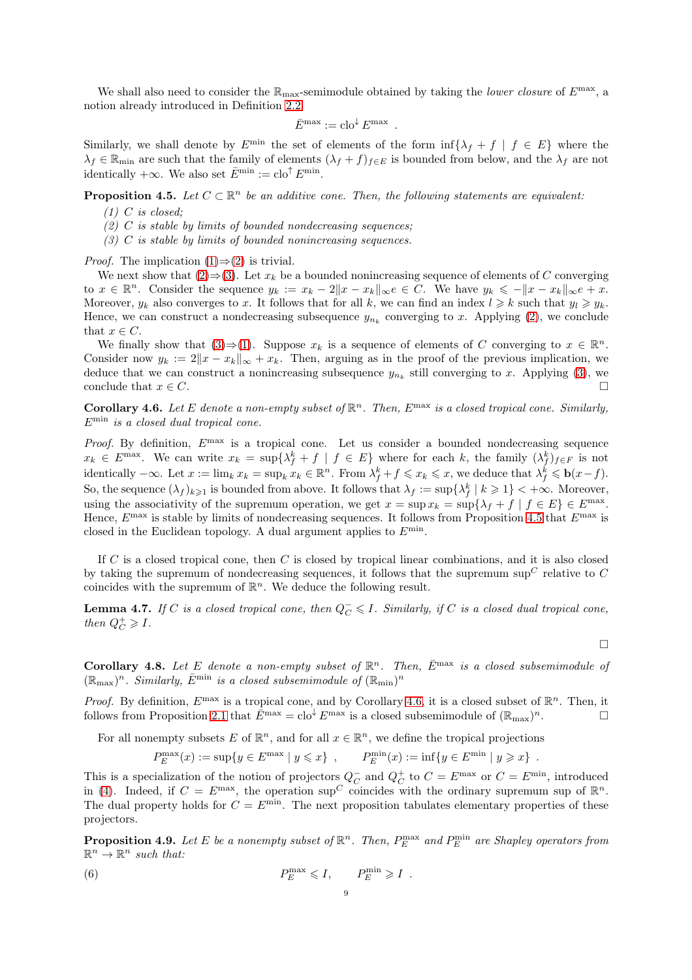We shall also need to consider the  $\mathbb{R}_{\max}$ -semimodule obtained by taking the *lower closure* of  $E^{\max}$ , a notion already introduced in Definition [2.2:](#page-3-2)

$$
\bar{E}^{\max} := \operatorname{clo}^{\downarrow} E^{\max} .
$$

Similarly, we shall denote by  $E^{\min}$  the set of elements of the form  $\inf\{\lambda_f + f \mid f \in E\}$  where the  $\lambda_f \in \mathbb{R}_{\text{min}}$  are such that the family of elements  $(\lambda_f + f)_{f \in E}$  is bounded from below, and the  $\lambda_f$  are not identically  $+\infty$ . We also set  $\bar{E}^{\min} := \mathbf{clo}^{\uparrow} E^{\min}$ .

<span id="page-8-3"></span><span id="page-8-1"></span><span id="page-8-0"></span>**Proposition 4.5.** Let  $C \subset \mathbb{R}^n$  be an additive cone. Then, the following statements are equivalent:

- $(1)$  C is closed:
- <span id="page-8-2"></span> $(2)$  C is stable by limits of bounded nondecreasing sequences;
- $(3)$  C is stable by limits of bounded nonincreasing sequences.

*Proof.* The implication  $(1) \Rightarrow (2)$  $(1) \Rightarrow (2)$  $(1) \Rightarrow (2)$  is trivial.

We next show that  $(2) \Rightarrow (3)$  $(2) \Rightarrow (3)$ . Let  $x_k$  be a bounded nonincreasing sequence of elements of C converging to  $x \in \mathbb{R}^n$ . Consider the sequence  $y_k := x_k - 2||x - x_k||_\infty e \in C$ . We have  $y_k \leq -||x - x_k||_\infty e + x$ . Moreover,  $y_k$  also converges to x. It follows that for all k, we can find an index  $l \geq k$  such that  $y_l \geq y_k$ . Hence, we can construct a nondecreasing subsequence  $y_{n_k}$  converging to x. Applying [\(2\)](#page-8-1), we conclude that  $x \in C$ .

We finally show that  $(3) \Rightarrow (1)$  $(3) \Rightarrow (1)$ . Suppose  $x_k$  is a sequence of elements of C converging to  $x \in \mathbb{R}^n$ . Consider now  $y_k := 2||x - x_k||_\infty + x_k$ . Then, arguing as in the proof of the previous implication, we deduce that we can construct a nonincreasing subsequence  $y_{n_k}$  still converging to x. Applying [\(3\)](#page-8-2), we conclude that  $x \in C$ .

<span id="page-8-4"></span>**Corollary 4.6.** Let E denote a non-empty subset of  $\mathbb{R}^n$ . Then,  $E^{\max}$  is a closed tropical cone. Similarly,  $E^{\min}$  is a closed dual tropical cone.

Proof. By definition,  $E^{\text{max}}$  is a tropical cone. Let us consider a bounded nondecreasing sequence  $x_k \in E^{\max}$ . We can write  $x_k = \sup\{\lambda_f^k + f \mid f \in E\}$  where for each k, the family  $(\lambda_f^k)_{f \in F}$  is not identically  $-\infty$ . Let  $x := \lim_k x_k = \sup_k x_k \in \mathbb{R}^n$ . From  $\lambda_f^k + f \leqslant x_k \leqslant x$ , we deduce that  $\lambda_f^k \leqslant \mathbf{b}(x-f)$ . So, the sequence  $(\lambda_f)_{k\geqslant1}$  is bounded from above. It follows that  $\lambda_f := \sup\{\lambda_f^k \mid k \geqslant 1\} < +\infty$ . Moreover, using the associativity of the supremum operation, we get  $x = \sup x_k = \sup \{\lambda_f + f \mid f \in E\} \in E^{\max}$ . Hence,  $E^{\max}$  is stable by limits of nondecreasing sequences. It follows from Proposition [4.5](#page-8-3) that  $E^{\max}$  is closed in the Euclidean topology. A dual argument applies to  $E^{\min}$ .

If C is a closed tropical cone, then C is closed by tropical linear combinations, and it is also closed by taking the supremum of nondecreasing sequences, it follows that the supremum sup<sup> $C$ </sup> relative to  $C$ coincides with the supremum of  $\mathbb{R}^n$ . We deduce the following result.

<span id="page-8-6"></span>**Lemma 4.7.** If C is a closed tropical cone, then  $Q_C^-\leq I$ . Similarly, if C is a closed dual tropical cone, then  $Q_C^+ \geqslant I$ .

 $\Box$ 

**Corollary 4.8.** Let E denote a non-empty subset of  $\mathbb{R}^n$ . Then,  $\bar{E}^{\text{max}}$  is a closed subsemimodule of  $(\mathbb{R}_{\max})^n$ . Similarly,  $\bar{E}^{\min}$  is a closed subsemimodule of  $(\mathbb{R}_{\min})^n$ 

*Proof.* By definition,  $E^{\max}$  is a tropical cone, and by Corollary [4.6,](#page-8-4) it is a closed subset of  $\mathbb{R}^n$ . Then, it follows from Proposition [2.1](#page-3-3) that  $\bar{E}^{\text{max}} = \text{clo}^{\downarrow} E^{\text{max}}$  is a closed subsemimodule of  $(\mathbb{R}_{\text{max}})^n$ .

For all nonempty subsets E of  $\mathbb{R}^n$ , and for all  $x \in \mathbb{R}^n$ , we define the tropical projections

$$
P_E^{\max}(x) := \sup\{y \in E^{\max} \mid y \leq x\}, \qquad P_E^{\min}(x) := \inf\{y \in E^{\min} \mid y \geq x\} .
$$

This is a specialization of the notion of projectors  $Q_C^-$  and  $Q_C^+$  to  $C = E^{\text{max}}$  or  $C = E^{\text{min}}$ , introduced in [\(4\)](#page-7-1). Indeed, if  $C = E^{\text{max}}$ , the operation sup<sup>C</sup> coincides with the ordinary supremum sup of  $\mathbb{R}^n$ . The dual property holds for  $C = E^{\min}$ . The next proposition tabulates elementary properties of these projectors.

<span id="page-8-7"></span>**Proposition 4.9.** Let E be a nonempty subset of  $\mathbb{R}^n$ . Then,  $P_E^{\max}$  and  $P_E^{\min}$  are Shapley operators from  $\mathbb{R}^n \to \mathbb{R}^n$  such that:

<span id="page-8-5"></span>(6) 
$$
P_E^{\max} \leqslant I, \qquad P_E^{\min} \geqslant I.
$$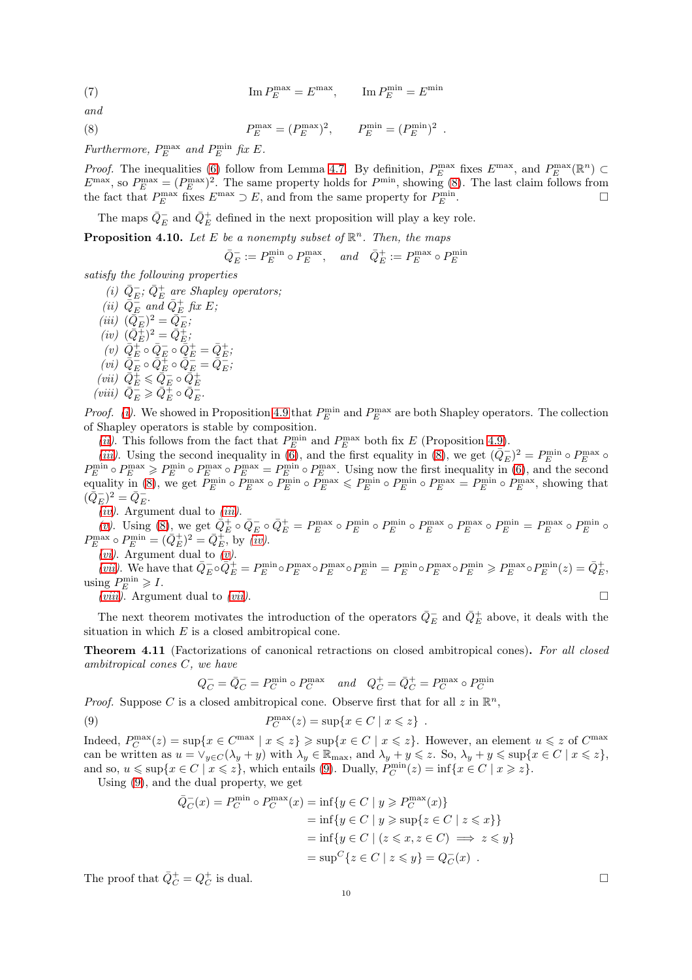(7) 
$$
\operatorname{Im} P_E^{\max} = E^{\max}, \qquad \operatorname{Im} P_E^{\min} = E^{\min}
$$

and

<span id="page-9-1"></span>(8) 
$$
P_E^{\max} = (P_E^{\max})^2
$$
,  $P_E^{\min} = (P_E^{\min})^2$ .

Furthermore,  $P_E^{\text{max}}$  and  $P_E^{\text{min}}$  fix E.

*Proof.* The inequalities [\(6\)](#page-8-5) follow from Lemma [4.7.](#page-8-6) By definition,  $P_E^{\max}$  fixes  $E^{\max}$ , and  $P_E^{\max}(\mathbb{R}^n)$   $\subset$  $E^{\text{max}}$ , so  $P_E^{\text{max}} = (P_E^{\text{max}})^2$ . The same property holds for  $P^{\text{min}}$ , showing [\(8\)](#page-9-1). The last claim follows from the fact that  $P_E^{\max}$  fixes  $E^{\max} \supset E$ , and from the same property for  $P_E^{\min}$  $E$  .

<span id="page-9-11"></span>The maps  $\bar{Q}^-_E$  and  $\bar{Q}^+_E$  defined in the next proposition will play a key role.

**Proposition 4.10.** Let E be a nonempty subset of  $\mathbb{R}^n$ . Then, the maps

$$
\bar{Q}_E^- := P_E^{\min} \circ P_E^{\max}, \quad \text{and} \quad \bar{Q}_E^+ := P_E^{\max} \circ P_E^{\min}
$$

<span id="page-9-2"></span>satisfy the following properties

- (i)  $\bar{Q}_{E}^-$ ;  $\bar{Q}_{E}^+$  are Shapley operators;
- <span id="page-9-7"></span><span id="page-9-6"></span><span id="page-9-5"></span><span id="page-9-4"></span><span id="page-9-3"></span>(ii)  $\overline{Q_E}$  and  $\overline{Q_E}$  fix E; (iii)  $(\bar{Q}_E^-)^2 = \bar{Q}_E^-$ ;  $(iv) \; (\bar{Q}_E^{\pm})^2 = \bar{Q}_E^{\pm};$  $(v) \ \ \bar{Q}_E^+ \circ \bar{Q}_E^- \circ \bar{Q}_E^+ = \bar{Q}_E^+;$  $(vi) \ \ \bar{Q}_{E}^{-} \circ \bar{Q}_{E}^{+} \circ \bar{Q}_{E}^{-} = \bar{Q}_{E}^{-}$ (vii)  $\overline{Q}_E^{\pm} \leq \overline{Q}_E^- \circ \overline{Q}_E^+$ <br>(viii)  $\overline{Q}_E^- \geq \overline{Q}_E^+ \circ \overline{Q}_E^-$ .

<span id="page-9-9"></span><span id="page-9-8"></span>*Proof.* (*i*). We showed in Proposition [4.9](#page-8-7) that  $P_E^{\min}$  and  $P_E^{\max}$  are both Shapley operators. The collection of Shapley operators is stable by composition.

(*ii*). This follows from the fact that  $P_E^{\min}$  and  $P_E^{\max}$  both fix E (Proposition [4.9\)](#page-8-7).

[\(iii\)](#page-9-4). Using the second inequality in  $(\overline{6})$ , and the first equality in [\(8\)](#page-9-1), we get  $(\overline{Q}_E)^2 = P_E^{\min} \circ P_E^{\max} \circ$  $P_E^{\min} \circ P_E^{\max} \geqslant P_E^{\min} \circ P_E^{\max} = P_E^{\min} \circ P_E^{\max}$ . Using now the first inequality in [\(6\)](#page-8-5), and the second equality in [\(8\)](#page-9-1), we get  $P_E^{\min} \circ P_E^{\min} \circ P_E^{\max} \leqslant P_E^{\min} \circ P_E^{\min} \circ P_E^{\max} = P_E^{\min} \circ P_E^{\max}$ , showing that  $(\bar{Q}_{E}^{-})^{2} = \bar{Q}_{E}^{-}.$ 

 $(iv)$ . Argument dual to  $(iii)$ .

[\(v\)](#page-9-6). Using [\(8\)](#page-9-1), we get  $\overline{Q}_E^+ \circ \overline{Q}_E^- \circ \overline{Q}_E^+ = P_E^{\max} \circ P_E^{\min} \circ P_E^{\min} \circ P_E^{\max} \circ P_E^{\min} \circ P_E^{\min} = P_E^{\max} \circ P_E^{\min}$  $P_E^{\max} \circ P_E^{\min} = (\bar{Q}_E^+)^2 = \bar{Q}_E^+$ , by  $(iv)$ .

(*vi*). Argument dual to  $(v)$ .

[\(vii\)](#page-9-8). We have that  $\overline{Q}_E^-\circ\overline{Q}_E^+ = P_E^{\min}\circ P_E^{\max}\circ P_E^{\min} = P_E^{\min}\circ P_E^{\max}\circ P_E^{\min} \geqslant P_E^{\max}\circ P_E^{\min}(z) = \overline{Q}_E^+$ using  $P_E^{\min} \geqslant I$ .

(*viii*). Argument dual to (*vii*).  $\square$ 

<span id="page-9-0"></span>The next theorem motivates the introduction of the operators  $\bar{Q}^-_E$  and  $\bar{Q}^+_E$  above, it deals with the situation in which  $E$  is a closed ambitropical cone.

Theorem 4.11 (Factorizations of canonical retractions on closed ambitropical cones). For all closed ambitropical cones C, we have

$$
Q_C^- = \bar{Q}_C^- = P_C^{\min} \circ P_C^{\max} \quad and \quad Q_C^+ = \bar{Q}_C^+ = P_C^{\max} \circ P_C^{\min}
$$

*Proof.* Suppose C is a closed ambitropical cone. Observe first that for all  $z$  in  $\mathbb{R}^n$ ,

<span id="page-9-10"></span>(9) 
$$
P_C^{\max}(z) = \sup\{x \in C \mid x \leqslant z\}.
$$

Indeed,  $P_C^{\max}(z) = \sup\{x \in C^{\max} \mid x \leqslant z\} \geqslant \sup\{x \in C \mid x \leqslant z\}$ . However, an element  $u \leqslant z$  of  $C^{\max}$ can be written as  $u = \vee_{y \in C} (\lambda_y + y)$  with  $\lambda_y \in \mathbb{R}_{\text{max}}$ , and  $\lambda_y + y \leqslant z$ . So,  $\lambda_y + y \leqslant \text{sup}\{x \in C \mid x \leqslant z\}$ , and so,  $u \le \sup\{x \in C \mid x \le z\}$ , which entails [\(9\)](#page-9-10). Dually,  $P_C^{\min}(z) = \inf\{x \in C \mid x \ge z\}$ .

Using [\(9\)](#page-9-10), and the dual property, we get

$$
\begin{aligned}\n\bar{Q}_C(x) &= P_C^{\min} \circ P_C^{\max}(x) = \inf\{y \in C \mid y \ge P_C^{\max}(x)\} \\
&= \inf\{y \in C \mid y \ge \sup\{z \in C \mid z \le x\}\} \\
&= \inf\{y \in C \mid (z \le x, z \in C) \implies z \le y\} \\
&= \sup^C\{z \in C \mid z \le y\} = Q_C^-(x)\n\end{aligned}
$$

The proof that  $\overline{Q}_C^+ = Q_C^+$ is dual.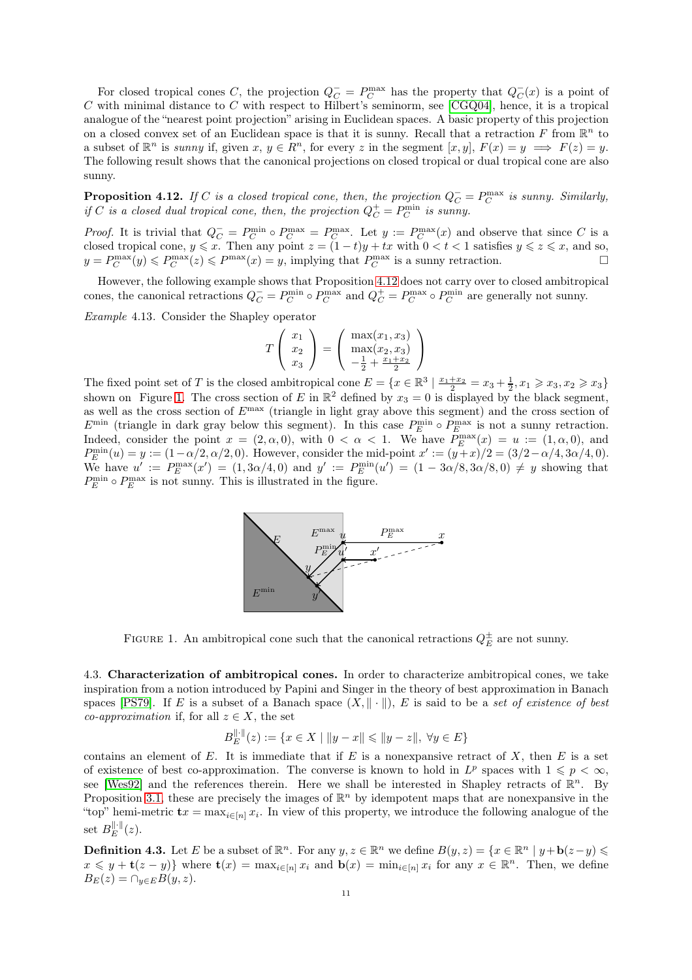For closed tropical cones C, the projection  $Q_C^- = P_C^{\max}$  has the property that  $Q_C^-(x)$  is a point of  $C$  with minimal distance to  $C$  with respect to Hilbert's seminorm, see [\[CGQ04\]](#page-26-13), hence, it is a tropical analogue of the "nearest point projection" arising in Euclidean spaces. A basic property of this projection on a closed convex set of an Euclidean space is that it is sunny. Recall that a retraction F from  $\mathbb{R}^n$  to a subset of  $\mathbb{R}^n$  is sunny if, given  $x, y \in \mathbb{R}^n$ , for every z in the segment  $[x, y]$ ,  $F(x) = y \implies F(z) = y$ . The following result shows that the canonical projections on closed tropical or dual tropical cone are also sunny.

<span id="page-10-0"></span>**Proposition 4.12.** If C is a closed tropical cone, then, the projection  $Q_C = P_C^{\text{max}}$  is sunny. Similarly, if C is a closed dual tropical cone, then, the projection  $Q_C^+ = P_C^{\min}$  is sunny.

*Proof.* It is trivial that  $Q_C^- = P_C^{\min} \circ P_C^{\max} = P_C^{\max}$ . Let  $y := P_C^{\max}(x)$  and observe that since C is a closed tropical cone,  $y \leq x$ . Then any point  $z = (1-t)y + tx$  with  $0 < t < 1$  satisfies  $y \leq z \leq x$ , and so,  $y = P_C^{\max}(y) \leq P_C^{\max}(z) \leq P^{\max}(x) = y$ , implying that  $P_C^{\max}$  is a sunny retraction.

However, the following example shows that Proposition [4.12](#page-10-0) does not carry over to closed ambitropical cones, the canonical retractions  $Q_C = P_C^{\min} \circ P_C^{\max}$  and  $Q_C^+ = P_C^{\max} \circ P_C^{\min}$  are generally not sunny.

Example 4.13. Consider the Shapley operator

$$
T\left(\begin{array}{c}x_1\\x_2\\x_3\end{array}\right) = \left(\begin{array}{c}\max(x_1, x_3)\\ \max(x_2, x_3)\\-\frac{1}{2} + \frac{x_1 + x_2}{2}\end{array}\right)
$$

The fixed point set of T is the closed ambitropical cone  $E = \{x \in \mathbb{R}^3 \mid \frac{x_1 + x_2}{2} = x_3 + \frac{1}{2}, x_1 \geq x_3, x_2 \geq x_3\}$ shown on Figure [1.](#page-10-1) The cross section of E in  $\mathbb{R}^2$  defined by  $x_3 = 0$  is displayed by the black segment, as well as the cross section of  $E^{\text{max}}$  (triangle in light gray above this segment) and the cross section of  $E^{\min}$  (triangle in dark gray below this segment). In this case  $P_E^{\min} \circ P_E^{\max}$  is not a sunny retraction. Indeed, consider the point  $x = (2, \alpha, 0)$ , with  $0 < \alpha < 1$ . We have  $P_E^{\max}(x) = u := (1, \alpha, 0)$ , and  $P_E^{\min}(u) = y := (1 - \alpha/2, \alpha/2, 0)$ . However, consider the mid-point  $x' := (y + x)/2 = (3/2 - \alpha/4, 3\alpha/4, 0)$ . We have  $u' := P_E^{\max}(x') = (1, 3\alpha/4, 0)$  and  $y' := P_E^{\min}(u') = (1 - 3\alpha/8, 3\alpha/8, 0) \neq y$  showing that  $P_{E}^{\min} \circ P_{E}^{\max}$  is not sunny. This is illustrated in the figure.



<span id="page-10-1"></span>FIGURE 1. An ambitropical cone such that the canonical retractions  $Q_E^{\pm}$  are not sunny.

4.3. Characterization of ambitropical cones. In order to characterize ambitropical cones, we take inspiration from a notion introduced by Papini and Singer in the theory of best approximation in Banach spaces [\[PS79\]](#page-27-10). If E is a subset of a Banach space  $(X, \|\cdot\|)$ , E is said to be a set of existence of best co-approximation if, for all  $z \in X$ , the set

$$
B_E^{\|\cdot\|}(z) := \{ x \in X \mid \|y - x\| \leq \|y - z\|, \ \forall y \in E \}
$$

contains an element of E. It is immediate that if E is a nonexpansive retract of X, then E is a set of existence of best co-approximation. The converse is known to hold in  $L^p$  spaces with  $1 \leqslant p < \infty$ , see [\[Wes92\]](#page-27-16) and the references therein. Here we shall be interested in Shapley retracts of  $\mathbb{R}^n$ . By Proposition [3.1,](#page-5-3) these are precisely the images of  $\mathbb{R}^n$  by idempotent maps that are nonexpansive in the "top" hemi-metric  $\mathbf{t}x = \max_{i \in [n]} x_i$ . In view of this property, we introduce the following analogue of the set  $B_{E}^{\|\cdot\|}(z)$ .

**Definition 4.3.** Let E be a subset of  $\mathbb{R}^n$ . For any  $y, z \in \mathbb{R}^n$  we define  $B(y, z) = \{x \in \mathbb{R}^n \mid y + b(z - y) \leq y \leq 0\}$  $x \leq y + \mathbf{t}(z - y)$  where  $\mathbf{t}(x) = \max_{i \in [n]} x_i$  and  $\mathbf{b}(x) = \min_{i \in [n]} x_i$  for any  $x \in \mathbb{R}^n$ . Then, we define  $B_E(z) = \bigcap_{y \in E} B(y, z).$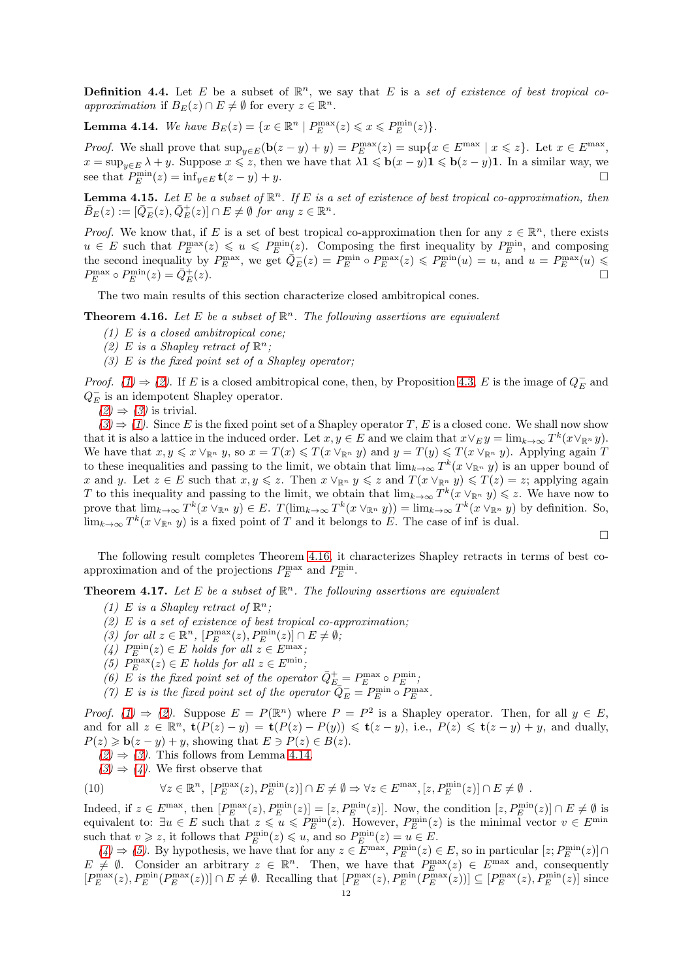**Definition 4.4.** Let E be a subset of  $\mathbb{R}^n$ , we say that E is a set of existence of best tropical coapproximation if  $B_E(z) \cap E \neq \emptyset$  for every  $z \in \mathbb{R}^n$ .

<span id="page-11-8"></span>**Lemma 4.14.** We have  $B_E(z) = \{x \in \mathbb{R}^n \mid P_E^{\max}(z) \leq x \leq P_E^{\min}(z)\}.$ 

*Proof.* We shall prove that  $\sup_{y \in E} (\mathbf{b}(z - y) + y) = P_E^{\max}(z) = \sup\{x \in E^{\max} \mid x \leq z\}$ . Let  $x \in E^{\max}$ ,  $x = \sup_{y \in E} \lambda + y$ . Suppose  $x \leq z$ , then we have that  $\lambda \mathbf{1} \leq \mathbf{b}(x - y)\mathbf{1} \leq \mathbf{b}(z - y)\mathbf{1}$ . In a similar way, we see that  $P_E^{\min}(z) = \inf_{y \in E} \mathbf{t}(z - y) + y.$ 

**Lemma 4.15.** Let E be a subset of  $\mathbb{R}^n$ . If E is a set of existence of best tropical co-approximation, then  $\bar{B}_E(z) := [\bar{Q}_E^-(z), \bar{Q}_E^+(z)] \cap E \neq \emptyset$  for any  $z \in \mathbb{R}^n$ .

*Proof.* We know that, if E is a set of best tropical co-approximation then for any  $z \in \mathbb{R}^n$ , there exists  $u \in E$  such that  $P_E^{\max}(z) \leq u \leq P_E^{\min}(z)$ . Composing the first inequality by  $P_E^{\min}$ , and composing the second inequality by  $P_E^{\max}$ , we get  $\overline{Q}_E^-(z) = P_E^{\min} \circ P_E^{\max}(z) \leqslant P_E^{\min}(u) = u$ , and  $u = P_E^{\max}(u) \leqslant$  $P_{E}^{\max}\circ P_{E}^{\min}(z)=\bar{Q}_{E}^{+}$  $(z).$ 

<span id="page-11-0"></span>The two main results of this section characterize closed ambitropical cones.

<span id="page-11-3"></span><span id="page-11-2"></span>**Theorem 4.16.** Let E be a subset of  $\mathbb{R}^n$ . The following assertions are equivalent

- (1) E is a closed ambitropical cone;
- <span id="page-11-4"></span>(2) E is a Shapley retract of  $\mathbb{R}^n$ ;
- $(3)$  E is the fixed point set of a Shapley operator;

*Proof.* [\(1\)](#page-11-2)  $\Rightarrow$  [\(2\)](#page-11-3). If E is a closed ambitropical cone, then, by Proposition [4.3,](#page-7-2) E is the image of  $Q_E^-$  and  $Q_E^-$  is an idempotent Shapley operator.

 $(2) \Rightarrow (3)$  $(2) \Rightarrow (3)$  $(2) \Rightarrow (3)$  is trivial.

 $(3) \Rightarrow (1)$  $(3) \Rightarrow (1)$  $(3) \Rightarrow (1)$ . Since E is the fixed point set of a Shapley operator T, E is a closed cone. We shall now show that it is also a lattice in the induced order. Let  $x, y \in E$  and we claim that  $x \vee_E y = \lim_{k \to \infty} T^k (x \vee_{\mathbb{R}^n} y)$ . We have that  $x, y \leq x \vee_{\mathbb{R}^n} y$ , so  $x = T(x) \leq T(x \vee_{\mathbb{R}^n} y)$  and  $y = T(y) \leq T(x \vee_{\mathbb{R}^n} y)$ . Applying again T to these inequalities and passing to the limit, we obtain that  $\lim_{k\to\infty} T^k(x\vee_{\mathbb{R}^n} y)$  is an upper bound of x and y. Let  $z \in E$  such that  $x, y \leq z$ . Then  $x \vee_{\mathbb{R}^n} y \leq z$  and  $T(x \vee_{\mathbb{R}^n} y) \leq T(z) = z$ ; applying again T to this inequality and passing to the limit, we obtain that  $\lim_{k\to\infty} T^k(x\vee_{\mathbb{R}^n}y)\leqslant z$ . We have now to prove that  $\lim_{k\to\infty} T^k(x\vee_{\mathbb{R}^n}y)\in E$ .  $T(\lim_{k\to\infty} T^k(x\vee_{\mathbb{R}^n}y)) = \lim_{k\to\infty} T^k(x\vee_{\mathbb{R}^n}y)$  by definition. So,  $\lim_{k\to\infty} T^k(x\vee_{\mathbb{R}^n}y)$  is a fixed point of T and it belongs to E. The case of inf is dual.  $\Box$ 

The following result completes Theorem [4.16,](#page-11-0) it characterizes Shapley retracts in terms of best coapproximation and of the projections  $P_E^{\text{max}}$  and  $P_E^{\text{min}}$ .

<span id="page-11-6"></span><span id="page-11-5"></span><span id="page-11-1"></span>**Theorem 4.17.** Let E be a subset of  $\mathbb{R}^n$ . The following assertions are equivalent

- (1) E is a Shapley retract of  $\mathbb{R}^n$ ;
- <span id="page-11-7"></span>(2)  $E$  is a set of existence of best tropical co-approximation;
- <span id="page-11-9"></span>(3) for all  $z \in \mathbb{R}^n$ ,  $[P_E^{\max}(z), P_E^{\min}(z)] \cap E \neq \emptyset$ ;
- <span id="page-11-10"></span>(4)  $P_E^{\min}(z) \in E$  holds for all  $z \in E^{\max}$ ;
- <span id="page-11-11"></span>(5)  $P_E^{\max}(z) \in E$  holds for all  $z \in E^{\min}$ ;
- <span id="page-11-12"></span>(6) E is the fixed point set of the operator  $\bar{Q}_{E}^{+} = P_{E}^{\max} \circ P_{E}^{\min}$ ;
- (7) E is is the fixed point set of the operator  $\overline{Q}_E^- = P_E^{\min} \circ P_E^{\max}$ .

*Proof.* [\(1\)](#page-11-5)  $\Rightarrow$  [\(2\)](#page-11-6). Suppose  $E = P(\mathbb{R}^n)$  where  $P = P^2$  is a Shapley operator. Then, for all  $y \in E$ , and for all  $z \in \mathbb{R}^n$ ,  $\mathbf{t}(P(z) - y) = \mathbf{t}(P(z) - P(y)) \leq \mathbf{t}(z - y)$ , i.e.,  $P(z) \leq \mathbf{t}(z - y) + y$ , and dually,  $P(z) \geq \mathbf{b}(z - y) + y$ , showing that  $E \ni P(z) \in B(z)$ .

- $(2) \Rightarrow (3)$  $(2) \Rightarrow (3)$  $(2) \Rightarrow (3)$ . This follows from Lemma [4.14.](#page-11-8)
- $(3) \Rightarrow (4)$  $(3) \Rightarrow (4)$  $(3) \Rightarrow (4)$ . We first observe that

(10) 
$$
\forall z \in \mathbb{R}^n, [P_E^{\max}(z), P_E^{\min}(z)] \cap E \neq \emptyset \Rightarrow \forall z \in E^{\max}, [z, P_E^{\min}(z)] \cap E \neq \emptyset.
$$

Indeed, if  $z \in E^{\max}$ , then  $[P_E^{\max}(z), P_E^{\min}(z)] = [z, P_E^{\min}(z)]$ . Now, the condition  $[z, P_E^{\min}(z)] \cap E \neq \emptyset$  is equivalent to:  $\exists u \in E$  such that  $z \leq u \leq P_E^{\min}(z)$ . However,  $P_E^{\min}(z)$  is the minimal vector  $v \in E^{\min}$ such that  $v \ge z$ , it follows that  $P_E^{\min}(z) \le u$ , and so  $P_E^{\min}(z) = u \in E$ .

 $(4) \Rightarrow (5)$  $(4) \Rightarrow (5)$  $(4) \Rightarrow (5)$ . By hypothesis, we have that for any  $z \in E^{\max}$ ,  $P_E^{\min}(z) \in E$ , so in particular  $[z; P_E^{\min}(z)] \cap$  $E \neq \emptyset$ . Consider an arbitrary  $z \in \mathbb{R}^n$ . Then, we have that  $P_E^{\max}(z) \in E^{\max}$  and, consequently  $[P_E^{\max}(z), P_E^{\min}(P_E^{\max}(z))] \cap E \neq \emptyset$ . Recalling that  $[P_E^{\max}(z), P_E^{\min}(P_E^{\max}(z))] \subseteq [P_E^{\max}(z), P_E^{\min}(z)]$  since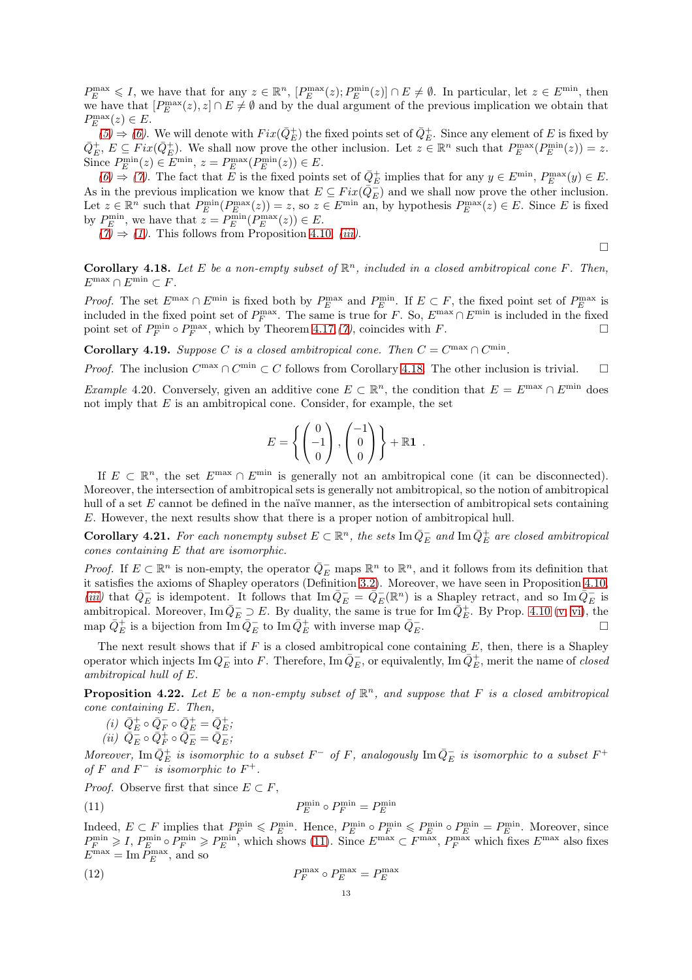$P_E^{\max} \leqslant I$ , we have that for any  $z \in \mathbb{R}^n$ ,  $[P_E^{\max}(z); P_E^{\min}(z)] \cap E \neq \emptyset$ . In particular, let  $z \in E^{\min}$ , then we have that  $[P_E^{\max}(z), z] \cap E \neq \emptyset$  and by the dual argument of the previous implication we obtain that  $P_{E}^{\max}(z) \in E.$ 

 $(5) \Rightarrow (6)$  $(5) \Rightarrow (6)$  $(5) \Rightarrow (6)$ . We will denote with  $Fix(\bar{Q}_E^+)$  the fixed points set of  $\bar{Q}_E^+$ . Since any element of E is fixed by  $\overline{Q}_E^+$ ,  $E \subseteq Fix(\overline{Q}_E^+)$ . We shall now prove the other inclusion. Let  $z \in \mathbb{R}^n$  such that  $P_E^{\max}(P_E^{\min}(z)) = z$ . Since  $P_E^{\min}(z) \in E^{\min}$ ,  $z = P_E^{\max}(P_E^{\min}(z)) \in E$ .

 $(6) \Rightarrow (7)$  $(6) \Rightarrow (7)$  $(6) \Rightarrow (7)$ . The fact that E is the fixed points set of  $\overline{Q}_E^+$  implies that for any  $y \in E^{\min}$ ,  $P_E^{\max}(y) \in E$ . As in the previous implication we know that  $E \subseteq Fix(\bar{Q}_{E}^{-})$  and we shall now prove the other inclusion. Let  $z \in \mathbb{R}^n$  such that  $P_E^{\min}(P_E^{\max}(z)) = z$ , so  $z \in E^{\min}$  an, by hypothesis  $P_E^{\max}(z) \in E$ . Since E is fixed by  $P_E^{\min}$ , we have that  $z = P_E^{\min}(P_E^{\max}(z)) \in E$ .

 $(7) \Rightarrow (1)$  $(7) \Rightarrow (1)$  $(7) \Rightarrow (1)$ . This follows from Proposition [4.10,](#page-9-11) *[\(iii\)](#page-9-4)*.

 $\Box$ 

<span id="page-12-0"></span>**Corollary 4.18.** Let E be a non-empty subset of  $\mathbb{R}^n$ , included in a closed ambitropical cone F. Then,  $E^{\max} \cap E^{\min} \subset F.$ 

*Proof.* The set  $E^{\max} \cap E^{\min}$  is fixed both by  $P_E^{\max}$  and  $P_E^{\min}$ . If  $E \subset F$ , the fixed point set of  $P_E^{\max}$  is included in the fixed point set of  $P_F^{\max}$ . The same is true for F. So,  $E^{\max} \cap E^{\min}$  is included in the fixed point set of  $P_F^{\min} \circ P_F^{\max}$ , which by Theorem [4.17,](#page-11-1) [\(7\)](#page-11-12), coincides with F.

**Corollary 4.19.** Suppose C is a closed ambitropical cone. Then  $C = C^{\max} \cap C^{\min}$ .

*Proof.* The inclusion  $C^{max} \cap C^{min} \subset C$  follows from Corollary [4.18.](#page-12-0) The other inclusion is trivial.  $\square$ 

*Example* 4.20. Conversely, given an additive cone  $E \subset \mathbb{R}^n$ , the condition that  $E = E^{\max} \cap E^{\min}$  does not imply that  $E$  is an ambitropical cone. Consider, for example, the set

$$
E = \left\{ \begin{pmatrix} 0 \\ -1 \\ 0 \end{pmatrix}, \begin{pmatrix} -1 \\ 0 \\ 0 \end{pmatrix} \right\} + \mathbb{R} \mathbf{1}.
$$

If  $E \subset \mathbb{R}^n$ , the set  $E^{\max} \cap E^{\min}$  is generally not an ambitropical cone (it can be disconnected). Moreover, the intersection of ambitropical sets is generally not ambitropical, so the notion of ambitropical hull of a set E cannot be defined in the naïve manner, as the intersection of ambitropical sets containing E. However, the next results show that there is a proper notion of ambitropical hull.

**Corollary 4.21.** For each nonempty subset  $E \subset \mathbb{R}^n$ , the sets  $\text{Im}\,\bar{Q}_E^-$  and  $\text{Im}\,\bar{Q}_E^+$  are closed ambitropical cones containing E that are isomorphic.

*Proof.* If  $E \subset \mathbb{R}^n$  is non-empty, the operator  $\overline{Q}_E^-$  maps  $\mathbb{R}^n$  to  $\mathbb{R}^n$ , and it follows from its definition that it satisfies the axioms of Shapley operators (Definition [3.2\)](#page-4-1). Moreover, we have seen in Proposition [4.10,](#page-9-11) [\(iii\)](#page-9-4) that  $\overline{Q}_E^-$  is idempotent. It follows that Im  $\overline{Q}_E^- = \overline{Q}_E^-({\mathbb R}^n)$  is a Shapley retract, and so Im  $\overline{Q}_E^-$  is ambitropical. Moreover, Im  $\overline{Q}_E \supset E$ . By duality, the same is true for Im  $\overline{Q}_E^+$ . By Prop. [4.10](#page-9-11) [\(v,](#page-9-6) [vi\)](#page-9-7), the map  $\bar{Q}_E^+$  is a bijection from  $\text{Im}\,\bar{Q}_E^-$  to  $\text{Im}\,\bar{Q}_E^+$  with inverse map  $\bar{Q}_E^ \overline{E}$ .

The next result shows that if  $F$  is a closed ambitropical cone containing  $E$ , then, there is a Shapley operator which injects Im  $Q_E^-$  into F. Therefore, Im  $\bar{Q}_E^-$ , or equivalently, Im  $\bar{Q}_E^+$ , merit the name of *closed* ambitropical hull of E.

<span id="page-12-3"></span>**Proposition 4.22.** Let E be a non-empty subset of  $\mathbb{R}^n$ , and suppose that F is a closed ambitropical cone containing E. Then,

<span id="page-12-4"></span>
$$
(i) \ \ \bar{Q}^+_E \circ \bar{Q}^-_F \circ \bar{Q}^+_E = \bar{Q}^+_E;
$$

$$
(ii) \ \ \bar{Q}_E^{\perp} \circ \bar{Q}_F^{\perp} \circ \bar{Q}_E^{\perp} = \bar{Q}_E^{\perp};
$$

Moreover,  $\text{Im}\,\bar{Q}_E^+$  is isomorphic to a subset  $F^-$  of F, analogously  $\text{Im}\,\bar{Q}_E^-$  is isomorphic to a subset  $F^+$ of F and  $F^-$  is isomorphic to  $F^+$ .

*Proof.* Observe first that since  $E \subset F$ ,

<span id="page-12-1"></span>
$$
P_E^{\min} \circ P_F^{\min} = P_E^{\min}
$$

Indeed,  $E \subset F$  implies that  $P_F^{\min} \leqslant P_E^{\min}$ . Hence,  $P_E^{\min} \circ P_F^{\min} \leqslant P_E^{\min} \circ P_E^{\min} = P_E^{\min}$ . Moreover, since  $P_F^{\min} \geqslant I$ ,  $P_E^{\min} \circ P_F^{\min} \geqslant P_E^{\min}$ , which shows [\(11\)](#page-12-1). Since  $E^{\max} \subset F^{\max}$ ,  $P_F^{\max}$  which fixes  $E^{\max}$  also fixes  $E^{\text{max}} = \text{Im} P_E^{\text{max}}$ , and so

<span id="page-12-2"></span>
$$
P_F^{\max} \circ P_E^{\max} = P_E^{\max}
$$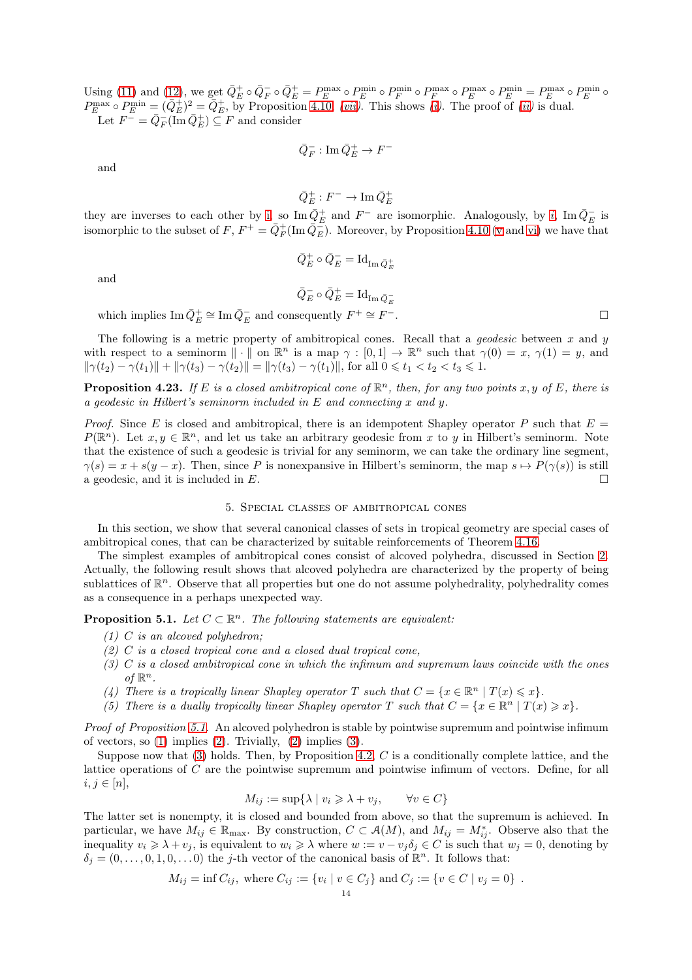Using [\(11\)](#page-12-1) and [\(12\)](#page-12-2), we get  $\bar{Q}_E^+ \circ \bar{Q}_F^- \circ \bar{Q}_E^+ = P_E^{\text{max}} \circ P_E^{\text{min}} \circ P_F^{\text{min}} \circ P_F^{\text{max}} \circ P_E^{\text{max}} \circ P_E^{\text{min}} = P_E^{\text{max}} \circ P_E^{\text{min}} \circ P_E^{\text{min}}$  $P_E^{\text{max}} \circ P_E^{\text{min}} = (\bar{Q}_E^+)^2 = \bar{Q}_E^+$ , by Proposition [4.10,](#page-9-11) *[\(vii\)](#page-9-8)*. This shows *[\(i\)](#page-12-3)*. The proof of *[\(ii\)](#page-12-4)* is dual. Let  $F^- = \bar{Q}_F^- (\overline{\text{Im}} \,\bar{Q}_E^+) \subseteq F$  and consider

$$
\bar{Q}^-_F: \operatorname{Im} \bar{Q}^+_E \to F^-
$$

and

$$
\bar{Q}^+_E : F^- \to \text{Im}\,\bar{Q}^+_E
$$

they are inverses to each other by [i,](#page-12-3) so  $\text{Im}\,\bar{Q}_E^+$  and  $F^-$  are [i](#page-12-3)somorphic. Analogously, by i,  $\text{Im}\,\bar{Q}_E^-$  is isomorphic to the subset of  $F, F^+ = \bar{Q}_F^+ (\text{Im } \bar{Q}_E^-)$ . Moreover, by Proposition [4.10](#page-9-11) [\(v](#page-9-6) and [vi\)](#page-9-7) we have that

and

$$
\bar{Q}^+_E \circ \bar{Q}^-_E = \mathrm{Id}_{\mathrm{Im}\, \bar{Q}^+_E}
$$

 $\bar{Q}^-_E \circ \bar{Q}^+_E = \mathrm{Id}_{\mathrm{Im}\,\bar{Q}^-_E}$ 

which implies  $\operatorname{Im} \bar{Q}_E^+ \cong \operatorname{Im} \bar{Q}_E^-$  and consequently  $F^+ \cong F$ 

The following is a metric property of ambitropical cones. Recall that a *geodesic* between x and y with respect to a seminorm  $\|\cdot\|$  on  $\mathbb{R}^n$  is a map  $\gamma : [0,1] \to \mathbb{R}^n$  such that  $\gamma(0) = x$ ,  $\gamma(1) = y$ , and  $\|\gamma(t_2) - \gamma(t_1)\| + \|\gamma(t_3) - \gamma(t_2)\| = \|\gamma(t_3) - \gamma(t_1)\|$ , for all  $0 \le t_1 < t_2 < t_3 \le 1$ .

<span id="page-13-6"></span>**Proposition 4.23.** If E is a closed ambitropical cone of  $\mathbb{R}^n$ , then, for any two points x, y of E, there is a geodesic in Hilbert's seminorm included in E and connecting x and y.

*Proof.* Since E is closed and ambitropical, there is an idempotent Shapley operator P such that  $E =$  $P(\mathbb{R}^n)$ . Let  $x, y \in \mathbb{R}^n$ , and let us take an arbitrary geodesic from x to y in Hilbert's seminorm. Note that the existence of such a geodesic is trivial for any seminorm, we can take the ordinary line segment,  $\gamma(s) = x + s(y - x)$ . Then, since P is nonexpansive in Hilbert's seminorm, the map  $s \mapsto P(\gamma(s))$  is still a geodesic, and it is included in  $E$ .

# 5. Special classes of ambitropical cones

In this section, we show that several canonical classes of sets in tropical geometry are special cases of ambitropical cones, that can be characterized by suitable reinforcements of Theorem [4.16.](#page-11-0)

The simplest examples of ambitropical cones consist of alcoved polyhedra, discussed in Section [2.](#page-2-2) Actually, the following result shows that alcoved polyhedra are characterized by the property of being sublattices of  $\mathbb{R}^n$ . Observe that all properties but one do not assume polyhedrality, polyhedrality comes as a consequence in a perhaps unexpected way.

<span id="page-13-1"></span><span id="page-13-0"></span>**Proposition 5.1.** Let  $C \subset \mathbb{R}^n$ . The following statements are equivalent:

- <span id="page-13-2"></span> $(1)$  C is an alcoved polyhedron;
- <span id="page-13-3"></span> $(2)$  C is a closed tropical cone and a closed dual tropical cone,
- (3) C is a closed ambitropical cone in which the infimum and supremum laws coincide with the ones of  $\mathbb{R}^n$ .
- <span id="page-13-5"></span><span id="page-13-4"></span>(4) There is a tropically linear Shapley operator T such that  $C = \{x \in \mathbb{R}^n \mid T(x) \leq x\}.$
- (5) There is a dually tropically linear Shapley operator T such that  $C = \{x \in \mathbb{R}^n \mid T(x) \geq x\}.$

Proof of Proposition [5.1.](#page-13-0) An alcoved polyhedron is stable by pointwise supremum and pointwise infimum of vectors, so  $(1)$  implies  $(2)$ . Trivially,  $(2)$  implies  $(3)$ .

Suppose now that  $(3)$  holds. Then, by Proposition [4.2,](#page-6-0) C is a conditionally complete lattice, and the lattice operations of C are the pointwise supremum and pointwise infimum of vectors. Define, for all  $i, j \in [n],$ 

$$
M_{ij} := \sup \{ \lambda \mid v_i \geqslant \lambda + v_j, \qquad \forall v \in C \}
$$

The latter set is nonempty, it is closed and bounded from above, so that the supremum is achieved. In particular, we have  $M_{ij} \in \mathbb{R}_{\text{max}}$ . By construction,  $C \subset \mathcal{A}(M)$ , and  $M_{ij} = M^*_{ij}$ . Observe also that the inequality  $v_i \geq \lambda + v_j$ , is equivalent to  $w_i \geq \lambda$  where  $w := v - v_j \delta_j \in C$  is such that  $w_j = 0$ , denoting by  $\delta_j = (0, \ldots, 0, 1, 0, \ldots, 0)$  the j-th vector of the canonical basis of  $\mathbb{R}^n$ . It follows that:

$$
M_{ij} = \inf C_{ij}
$$
, where  $C_{ij} := \{v_i \mid v \in C_j\}$  and  $C_j := \{v \in C \mid v_j = 0\}$ .

−. □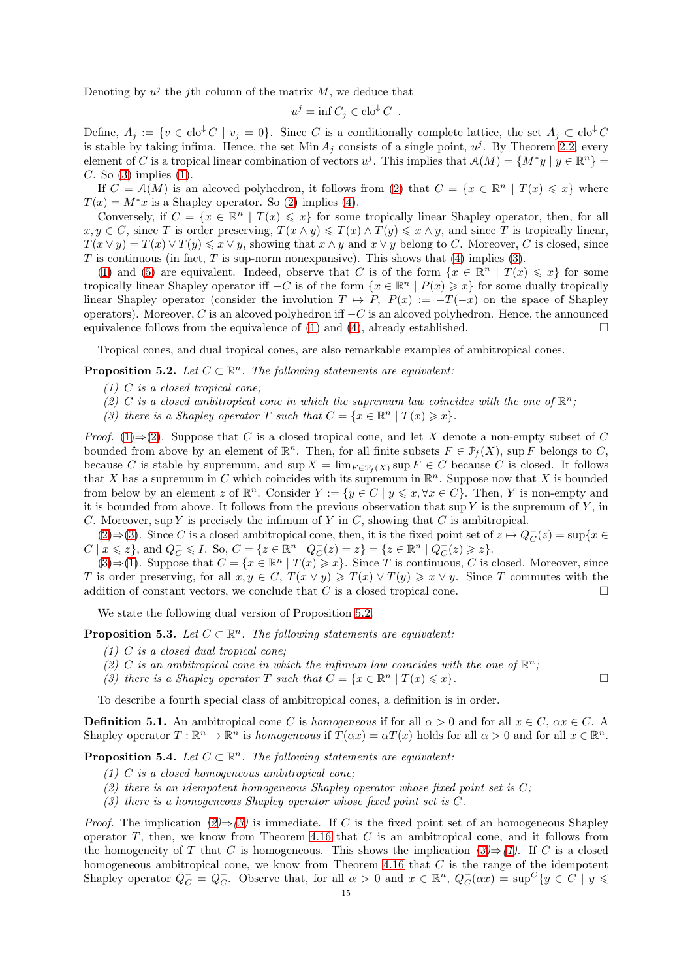Denoting by  $u^j$  the j<sup>th</sup> column of the matrix M, we deduce that

$$
u^j = \inf C_j \in \operatorname{clo}^{\downarrow} C .
$$

Define,  $A_i := \{v \in \text{clo}^{\downarrow} C \mid v_i = 0\}$ . Since C is a conditionally complete lattice, the set  $A_i \subset \text{clo}^{\downarrow} C$ is stable by taking infima. Hence, the set  $Min A_j$  consists of a single point,  $u^j$ . By Theorem [2.2,](#page-3-1) every element of C is a tropical linear combination of vectors  $u^j$ . This implies that  $\mathcal{A}(M) = \{M^*y \mid y \in \mathbb{R}^n\} =$  $C.$  So  $(3)$  implies  $(1)$ .

If  $C = \mathcal{A}(M)$  is an alcoved polyhedron, it follows from [\(2\)](#page-4-2) that  $C = \{x \in \mathbb{R}^n \mid T(x) \leq x\}$  where  $T(x) = M^*x$  is a Shapley operator. So [\(2\)](#page-4-2) implies [\(4\)](#page-13-4).

Conversely, if  $C = \{x \in \mathbb{R}^n \mid T(x) \leq x\}$  for some tropically linear Shapley operator, then, for all  $x, y \in C$ , since T is order preserving,  $T(x \wedge y) \leq T(x) \wedge T(y) \leq x \wedge y$ , and since T is tropically linear,  $T(x \vee y) = T(x) \vee T(y) \leq x \vee y$ , showing that  $x \wedge y$  and  $x \vee y$  belong to C. Moreover, C is closed, since T is continuous (in fact, T is sup-norm nonexpansive). This shows that  $(4)$  implies  $(3)$ .

[\(1\)](#page-13-1) and [\(5\)](#page-13-5) are equivalent. Indeed, observe that C is of the form  $\{x \in \mathbb{R}^n \mid T(x) \leq x\}$  for some tropically linear Shapley operator iff  $-C$  is of the form  $\{x \in \mathbb{R}^n \mid P(x) \geq x\}$  for some dually tropically linear Shapley operator (consider the involution  $T \mapsto P$ ,  $P(x) := -T(-x)$  on the space of Shapley operators). Moreover, C is an alcoved polyhedron iff  $-C$  is an alcoved polyhedron. Hence, the announced equivalence follows from the equivalence of [\(1\)](#page-13-1) and [\(4\)](#page-13-4), already established.  $\square$ 

<span id="page-14-3"></span>Tropical cones, and dual tropical cones, are also remarkable examples of ambitropical cones.

<span id="page-14-1"></span><span id="page-14-0"></span>**Proposition 5.2.** Let  $C \subset \mathbb{R}^n$ . The following statements are equivalent:

- $(1)$  C is a closed tropical cone;
- <span id="page-14-2"></span>(2) C is a closed ambitropical cone in which the supremum law coincides with the one of  $\mathbb{R}^n$ ;
- (3) there is a Shapley operator T such that  $C = \{x \in \mathbb{R}^n \mid T(x) \geq x\}.$

*Proof.* [\(1\)](#page-14-0)⇒[\(2\)](#page-14-1). Suppose that C is a closed tropical cone, and let X denote a non-empty subset of C bounded from above by an element of  $\mathbb{R}^n$ . Then, for all finite subsets  $F \in \mathcal{P}_f(X)$ , sup F belongs to C, because C is stable by supremum, and  $\sup X = \lim_{F \in \mathcal{P}_f(X)} \sup F \in C$  because C is closed. It follows that X has a supremum in C which coincides with its supremum in  $\mathbb{R}^n$ . Suppose now that X is bounded from below by an element z of  $\mathbb{R}^n$ . Consider  $Y := \{y \in C \mid y \leqslant x, \forall x \in C\}$ . Then, Y is non-empty and it is bounded from above. It follows from the previous observation that  $\sup Y$  is the supremum of Y, in C. Moreover, sup Y is precisely the infimum of Y in C, showing that C is ambitropical.

[\(2\)](#page-14-1)  $\Rightarrow$  [\(3\)](#page-14-2). Since C is a closed ambitropical cone, then, it is the fixed point set of  $z \mapsto Q_C^-(z) = \sup\{x \in$  $C \mid x \leqslant z\}$ , and  $Q_C^- \leqslant I$ . So,  $C = \{z \in \mathbb{R}^n \mid Q_C^-(z) = z\} = \{z \in \mathbb{R}^n \mid Q_C^-(z) \geqslant z\}$ .

 $(3) \Rightarrow (1)$  $(3) \Rightarrow (1)$  $(3) \Rightarrow (1)$ . Suppose that  $C = \{x \in \mathbb{R}^n \mid T(x) \geq x\}$ . Since T is continuous, C is closed. Moreover, since T is order preserving, for all  $x, y \in C$ ,  $T(x \vee y) \geq T(x) \vee T(y) \geq x \vee y$ . Since T commutes with the addition of constant vectors, we conclude that C is a closed tropical cone.

We state the following dual version of Proposition [5.2.](#page-14-3)

**Proposition 5.3.** Let  $C \subset \mathbb{R}^n$ . The following statements are equivalent:

- (1) C is a closed dual tropical cone;
- (2) C is an ambitropical cone in which the infimum law coincides with the one of  $\mathbb{R}^n$ ;
- (3) there is a Shapley operator T such that  $C = \{x \in \mathbb{R}^n \mid T(x) \leq x\}.$

<span id="page-14-7"></span>To describe a fourth special class of ambitropical cones, a definition is in order.

**Definition 5.1.** An ambitropical cone C is homogeneous if for all  $\alpha > 0$  and for all  $x \in C$ ,  $\alpha x \in C$ . Shapley operator  $T: \mathbb{R}^n \to \mathbb{R}^n$  is homogeneous if  $T(\alpha x) = \alpha T(x)$  holds for all  $\alpha > 0$  and for all  $x \in \mathbb{R}^n$ .

<span id="page-14-6"></span>**Proposition 5.4.** Let  $C \subset \mathbb{R}^n$ . The following statements are equivalent:

- <span id="page-14-4"></span> $(1)$  C is a closed homogeneous ambitropical cone;
- <span id="page-14-5"></span>(2) there is an idempotent homogeneous Shapley operator whose fixed point set is  $C$ ;
- $(3)$  there is a homogeneous Shapley operator whose fixed point set is C.

*Proof.* The implication  $(2) \Rightarrow (3)$  $(2) \Rightarrow (3)$  $(2) \Rightarrow (3)$  is immediate. If C is the fixed point set of an homogeneous Shapley operator  $T$ , then, we know from Theorem [4.16](#page-11-0) that  $C$  is an ambitropical cone, and it follows from the homogeneity of T that C is homogeneous. This shows the implication  $(3) \Rightarrow (1)$  $(3) \Rightarrow (1)$  $(3) \Rightarrow (1)$ . If C is a closed homogeneous ambitropical cone, we know from Theorem [4.16](#page-11-0) that  $C$  is the range of the idempotent Shapley operator  $\overline{Q}_C^- = Q_C^-$ . Observe that, for all  $\alpha > 0$  and  $x \in \mathbb{R}^n$ ,  $Q_C(\alpha x) = \sup^C \{y \in C \mid y \leq \alpha\}$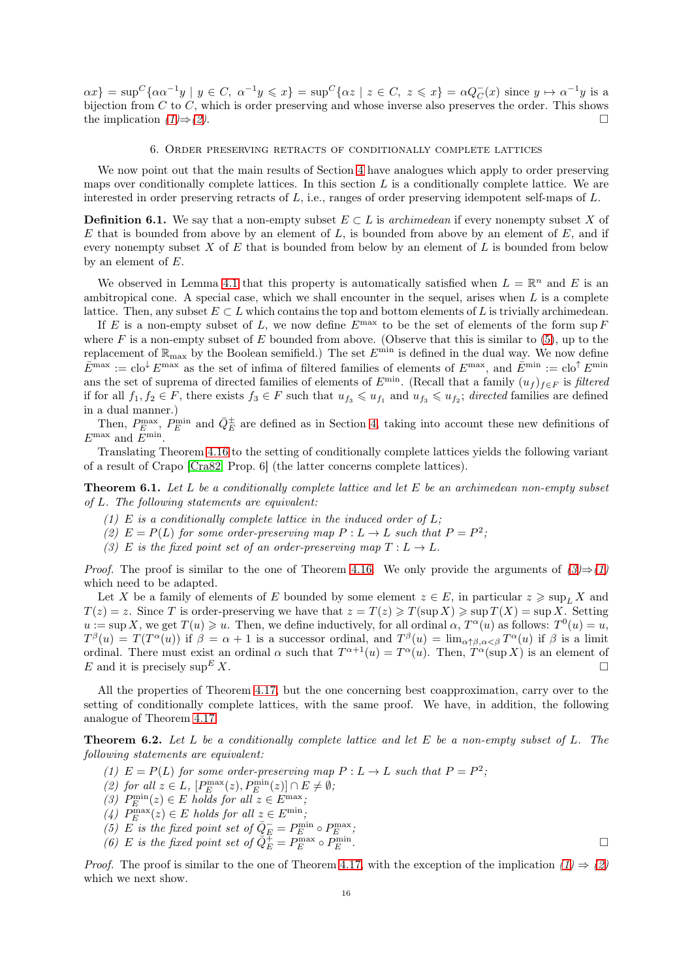$\alpha x$ } = sup<sup>C</sup>{ $\alpha\alpha^{-1}y \mid y \in C$ ,  $\alpha^{-1}y \leq x$ } = sup<sup>C</sup>{ $\alpha z \mid z \in C$ ,  $z \leq x$ } =  $\alpha Q_C^-(x)$  since  $y \mapsto \alpha^{-1}y$  is a bijection from  $C$  to  $C$ , which is order preserving and whose inverse also preserves the order. This shows the implication  $(1) \Rightarrow (2)$  $(1) \Rightarrow (2)$  $(1) \Rightarrow (2)$ .

### 6. Order preserving retracts of conditionally complete lattices

<span id="page-15-0"></span>We now point out that the main results of Section [4](#page-6-1) have analogues which apply to order preserving maps over conditionally complete lattices. In this section  $L$  is a conditionally complete lattice. We are interested in order preserving retracts of L, i.e., ranges of order preserving idempotent self-maps of L.

**Definition 6.1.** We say that a non-empty subset  $E \subset L$  is archimedean if every nonempty subset X of  $E$  that is bounded from above by an element of  $L$ , is bounded from above by an element of  $E$ , and if every nonempty subset  $X$  of  $E$  that is bounded from below by an element of  $L$  is bounded from below by an element of  $E$ .

We observed in Lemma [4.1](#page-6-2) that this property is automatically satisfied when  $L = \mathbb{R}^n$  and E is an ambitropical cone. A special case, which we shall encounter in the sequel, arises when  $L$  is a complete lattice. Then, any subset  $E \subset L$  which contains the top and bottom elements of L is trivially archimedean.

If E is a non-empty subset of L, we now define  $E^{\max}$  to be the set of elements of the form sup F where F is a non-empty subset of E bounded from above. (Observe that this is similar to  $(5)$ , up to the replacement of  $\mathbb{R}_{\max}$  by the Boolean semifield.) The set  $E^{\min}$  is defined in the dual way. We now define  $\bar{E}^{\max} := \text{clo}^{\downarrow} E^{\max}$  as the set of infima of filtered families of elements of  $E^{\max}$ , and  $\bar{E}^{\min} := \text{clo}^{\uparrow} E^{\min}$ ans the set of suprema of directed families of elements of  $E^{\min}$ . (Recall that a family  $(u_f)_{f\in F}$  is filtered if for all  $f_1, f_2 \in F$ , there exists  $f_3 \in F$  such that  $u_{f_3} \leqslant u_{f_1}$  and  $u_{f_3} \leqslant u_{f_2}$ ; directed families are defined in a dual manner.)

Then,  $P_E^{\max}$ ,  $P_E^{\min}$  and  $\bar{Q}_E^{\pm}$  are defined as in Section [4,](#page-6-1) taking into account these new definitions of  $E^{\text{max}}$  and  $E^{\text{min}}$ .

<span id="page-15-4"></span>Translating Theorem [4.16](#page-11-0) to the setting of conditionally complete lattices yields the following variant of a result of Crapo [\[Cra82,](#page-26-25) Prop. 6] (the latter concerns complete lattices).

<span id="page-15-2"></span>**Theorem 6.1.** Let L be a conditionally complete lattice and let E be an archimedean non-empty subset of L. The following statements are equivalent:

- (1) E is a conditionally complete lattice in the induced order of  $L$ ;
- <span id="page-15-1"></span>(2)  $E = P(L)$  for some order-preserving map  $P: L \to L$  such that  $P = P^2$ ;
- (3) E is the fixed point set of an order-preserving map  $T: L \to L$ .

*Proof.* The proof is similar to the one of Theorem [4.16.](#page-11-0) We only provide the arguments of  $(3) \Rightarrow (1)$  $(3) \Rightarrow (1)$  $(3) \Rightarrow (1)$ which need to be adapted.

Let X be a family of elements of E bounded by some element  $z \in E$ , in particular  $z \ge \sup_L X$  and  $T(z) = z$ . Since T is order-preserving we have that  $z = T(z) \geq T(\sup X) \geq \sup T(X) = \sup X$ . Setting  $u := \sup X$ , we get  $T(u) \geq u$ . Then, we define inductively, for all ordinal  $\alpha$ ,  $T^{\alpha}(u)$  as follows:  $T^{0}(u) = u$ ,  $T^{\beta}(u) = T(T^{\alpha}(u))$  if  $\beta = \alpha + 1$  is a successor ordinal, and  $T^{\beta}(u) = \lim_{\alpha \uparrow \beta, \alpha < \beta} T^{\alpha}(u)$  if  $\beta$  is a limit ordinal. There must exist an ordinal  $\alpha$  such that  $T^{\alpha+1}(u) = T^{\alpha}(u)$ . Then,  $T^{\alpha}(\sup X)$  is an element of E and it is precisely  $\sup E X$ .

All the properties of Theorem [4.17,](#page-11-1) but the one concerning best coapproximation, carry over to the setting of conditionally complete lattices, with the same proof. We have, in addition, the following analogue of Theorem [4.17.](#page-11-1)

<span id="page-15-5"></span>**Theorem 6.2.** Let L be a conditionally complete lattice and let E be a non-empty subset of L. The following statements are equivalent:

- <span id="page-15-3"></span>(1)  $E = P(L)$  for some order-preserving map  $P: L \to L$  such that  $P = P^2$ ;
- (2) for all  $z \in L$ ,  $[P_E^{\max}(z), P_E^{\min}(z)] \cap E \neq \emptyset$ ;
- (3)  $P_E^{\min}(z) \in E$  holds for all  $z \in E^{\max}$ ;
- (4)  $P_{E}^{\max}(z) \in E$  holds for all  $z \in E^{\min}$ ;
- (5) E is the fixed point set of  $\overline{Q}_E^- = P_E^{\min} \circ P_E^{\max}$ ;
- (6) E is the fixed point set of  $\overline{Q}_E^{\pm} = P_E^{\max} \circ P_E^{\min}$  $\Box$   $E$ .

*Proof.* The proof is similar to the one of Theorem [4.17,](#page-11-1) with the exception of the implication  $(1) \Rightarrow (2)$  $(1) \Rightarrow (2)$  $(1) \Rightarrow (2)$ which we next show.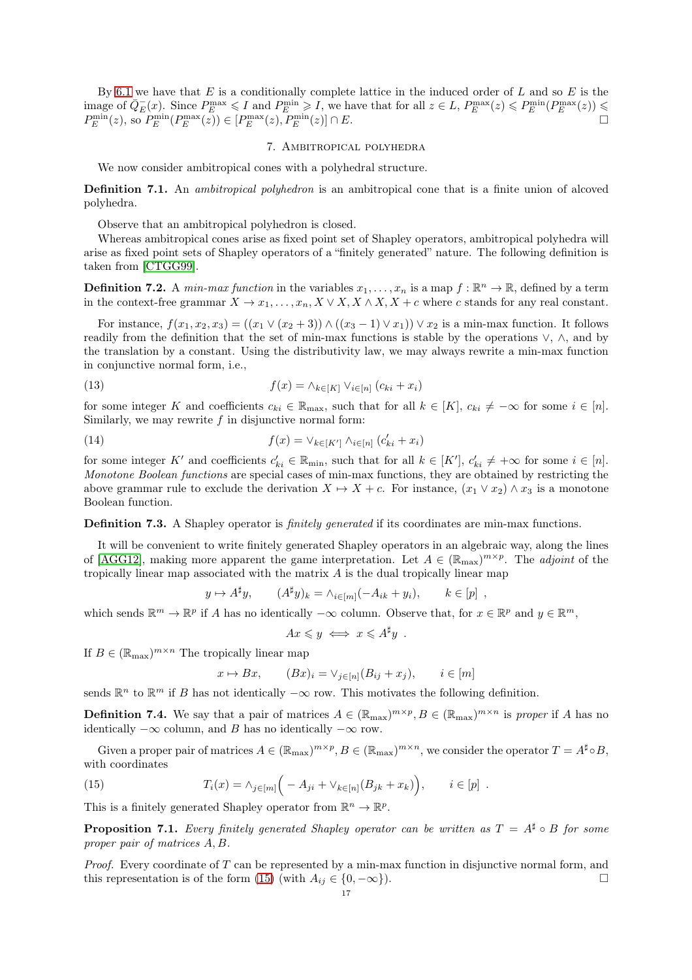By [6.1](#page-15-4) we have that E is a conditionally complete lattice in the induced order of L and so E is the image of  $\overline{Q}_{E}(x)$ . Since  $P_{E}^{\max}$  ≤ I and  $P_{E}^{\min}$  ≥ I, we have that for all  $z \in L$ ,  $P_{E}^{\max}(z)$  ≤  $P_{E}^{\min}(P_{E}^{\max}(z))$  ≤  $P_E^{\min}(z)$ , so  $P_E^{\min}(P_E^{\max}(z)) \in [P_E^{\max}(z), P_E^{\min}(z)] \cap E$ .

## 7. Ambitropical polyhedra

We now consider ambitropical cones with a polyhedral structure.

Definition 7.1. An ambitropical polyhedron is an ambitropical cone that is a finite union of alcoved polyhedra.

Observe that an ambitropical polyhedron is closed.

Whereas ambitropical cones arise as fixed point set of Shapley operators, ambitropical polyhedra will arise as fixed point sets of Shapley operators of a "finitely generated" nature. The following definition is taken from [\[CTGG99\]](#page-26-37).

**Definition 7.2.** A *min-max function* in the variables  $x_1, \ldots, x_n$  is a map  $f : \mathbb{R}^n \to \mathbb{R}$ , defined by a term in the context-free grammar  $X \to x_1, \ldots, x_n, X \vee X, X \wedge X, X + c$  where c stands for any real constant.

For instance,  $f(x_1, x_2, x_3) = ((x_1 \vee (x_2 + 3)) \wedge ((x_3 - 1) \vee x_1)) \vee x_2$  is a min-max function. It follows readily from the definition that the set of min-max functions is stable by the operations ∨, ∧, and by the translation by a constant. Using the distributivity law, we may always rewrite a min-max function in conjunctive normal form, i.e.,

(13) 
$$
f(x) = \wedge_{k \in [K]} \vee_{i \in [n]} (c_{ki} + x_i)
$$

for some integer K and coefficients  $c_{ki} \in \mathbb{R}_{\text{max}}$ , such that for all  $k \in [K]$ ,  $c_{ki} \neq -\infty$  for some  $i \in [n]$ . Similarly, we may rewrite  $f$  in disjunctive normal form:

(14) 
$$
f(x) = \vee_{k \in [K']} \wedge_{i \in [n]} (c'_{ki} + x_i)
$$

for some integer K' and coefficients  $c'_{ki} \in \mathbb{R}_{min}$ , such that for all  $k \in [K']$ ,  $c'_{ki} \neq +\infty$  for some  $i \in [n]$ . Monotone Boolean functions are special cases of min-max functions, they are obtained by restricting the above grammar rule to exclude the derivation  $X \mapsto X + c$ . For instance,  $(x_1 \vee x_2) \wedge x_3$  is a monotone Boolean function.

Definition 7.3. A Shapley operator is *finitely generated* if its coordinates are min-max functions.

It will be convenient to write finitely generated Shapley operators in an algebraic way, along the lines of [\[AGG12\]](#page-25-3), making more apparent the game interpretation. Let  $A \in (\mathbb{R}_{max})^{m \times p}$ . The *adjoint* of the tropically linear map associated with the matrix A is the dual tropically linear map

$$
y \mapsto A^{\sharp}y
$$
,  $(A^{\sharp}y)_k = \wedge_{i \in [m]} (-A_{ik} + y_i)$ ,  $k \in [p]$ ,

which sends  $\mathbb{R}^m \to \mathbb{R}^p$  if A has no identically  $-\infty$  column. Observe that, for  $x \in \mathbb{R}^p$  and  $y \in \mathbb{R}^m$ ,

$$
Ax \leq y \iff x \leq A^{\sharp}y .
$$

If  $B \in (\mathbb{R}_{\max})^{m \times n}$  The tropically linear map

$$
x \mapsto Bx, \qquad (Bx)_i = \vee_{j \in [n]} (B_{ij} + x_j), \qquad i \in [m]
$$

sends  $\mathbb{R}^n$  to  $\mathbb{R}^m$  if B has not identically  $-\infty$  row. This motivates the following definition.

**Definition 7.4.** We say that a pair of matrices  $A \in (\mathbb{R}_{max})^{m \times p}, B \in (\mathbb{R}_{max})^{m \times n}$  is proper if A has no identically  $-\infty$  column, and B has no identically  $-\infty$  row.

Given a proper pair of matrices  $A \in (\mathbb{R}_{max})^{m \times p}, B \in (\mathbb{R}_{max})^{m \times n}$ , we consider the operator  $T = A^{\sharp} \circ B$ , with coordinates

<span id="page-16-0"></span>(15) 
$$
T_i(x) = \wedge_{j \in [m]} \Big( -A_{ji} + \vee_{k \in [n]} (B_{jk} + x_k) \Big), \qquad i \in [p] .
$$

This is a finitely generated Shapley operator from  $\mathbb{R}^n \to \mathbb{R}^p$ .

**Proposition 7.1.** Every finitely generated Shapley operator can be written as  $T = A^{\sharp} \circ B$  for some proper pair of matrices A, B.

*Proof.* Every coordinate of  $T$  can be represented by a min-max function in disjunctive normal form, and this representation is of the form [\(15\)](#page-16-0) (with  $A_{ij} \in \{0, -\infty\}$ ).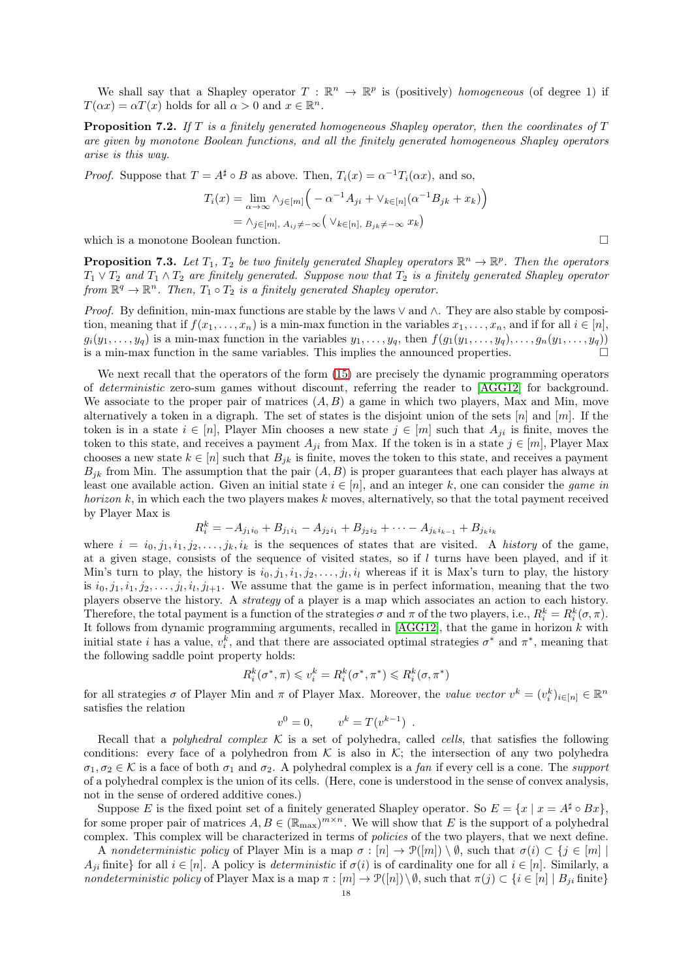We shall say that a Shapley operator  $T : \mathbb{R}^n \to \mathbb{R}^p$  is (positively) homogeneous (of degree 1) if  $T(\alpha x) = \alpha T(x)$  holds for all  $\alpha > 0$  and  $x \in \mathbb{R}^n$ .

**Proposition 7.2.** If T is a finitely generated homogeneous Shapley operator, then the coordinates of  $T$ are given by monotone Boolean functions, and all the finitely generated homogeneous Shapley operators arise is this way.

*Proof.* Suppose that  $T = A^{\sharp} \circ B$  as above. Then,  $T_i(x) = \alpha^{-1} T_i(\alpha x)$ , and so,

$$
T_i(x) = \lim_{\alpha \to \infty} \lambda_{j \in [m]} \left( -\alpha^{-1} A_{ji} + \vee_{k \in [n]} (\alpha^{-1} B_{jk} + x_k) \right)
$$
  
=  $\lambda_{j \in [m], A_{ij} \neq -\infty} (\vee_{k \in [n], B_{jk} \neq -\infty} x_k)$ 

which is a monotone Boolean function.

**Proposition 7.3.** Let  $T_1$ ,  $T_2$  be two finitely generated Shapley operators  $\mathbb{R}^n \to \mathbb{R}^p$ . Then the operators  $T_1 \vee T_2$  and  $T_1 \wedge T_2$  are finitely generated. Suppose now that  $T_2$  is a finitely generated Shapley operator from  $\mathbb{R}^q \to \mathbb{R}^n$ . Then,  $T_1 \circ T_2$  is a finitely generated Shapley operator.

Proof. By definition, min-max functions are stable by the laws  $\lor$  and  $\land$ . They are also stable by composition, meaning that if  $f(x_1, \ldots, x_n)$  is a min-max function in the variables  $x_1, \ldots, x_n$ , and if for all  $i \in [n]$ ,  $g_i(y_1,\ldots,y_q)$  is a min-max function in the variables  $y_1,\ldots,y_q$ , then  $f(g_1(y_1,\ldots,y_q),\ldots,g_n(y_1,\ldots,y_q))$ is a min-max function in the same variables. This implies the announced properties.  $\Box$ 

We next recall that the operators of the form [\(15\)](#page-16-0) are precisely the dynamic programming operators of deterministic zero-sum games without discount, referring the reader to [\[AGG12\]](#page-25-3) for background. We associate to the proper pair of matrices  $(A, B)$  a game in which two players, Max and Min, move alternatively a token in a digraph. The set of states is the disjoint union of the sets  $[n]$  and  $[m]$ . If the token is in a state  $i \in [n]$ , Player Min chooses a new state  $j \in [m]$  such that  $A_{ii}$  is finite, moves the token to this state, and receives a payment  $A_{ji}$  from Max. If the token is in a state  $j \in [m]$ , Player Max chooses a new state  $k \in [n]$  such that  $B_{jk}$  is finite, moves the token to this state, and receives a payment  $B_{ik}$  from Min. The assumption that the pair  $(A, B)$  is proper guarantees that each player has always at least one available action. Given an initial state  $i \in [n]$ , and an integer k, one can consider the *game in* horizon  $k$ , in which each the two players makes k moves, alternatively, so that the total payment received by Player Max is

$$
R_i^k = -A_{j_1i_0} + B_{j_1i_1} - A_{j_2i_1} + B_{j_2i_2} + \cdots - A_{j_ki_{k-1}} + B_{j_ki_k}
$$

where  $i = i_0, j_1, i_1, j_2, \ldots, j_k, i_k$  is the sequences of states that are visited. A history of the game, at a given stage, consists of the sequence of visited states, so if  $l$  turns have been played, and if it Min's turn to play, the history is  $i_0, j_1, i_1, j_2, \ldots, j_l, i_l$  whereas if it is Max's turn to play, the history is  $i_0, j_1, i_1, j_2, \ldots, j_l, i_l, j_{l+1}$ . We assume that the game is in perfect information, meaning that the two players observe the history. A strategy of a player is a map which associates an action to each history. Therefore, the total payment is a function of the strategies  $\sigma$  and  $\pi$  of the two players, i.e.,  $R_i^k = R_i^k(\sigma, \pi)$ . It follows from dynamic programming arguments, recalled in  $[AGG12]$ , that the game in horizon k with initial state *i* has a value,  $v_i^k$ , and that there are associated optimal strategies  $\sigma^*$  and  $\pi^*$ , meaning that the following saddle point property holds:

$$
R_i^k(\sigma^*, \pi) \leqslant v_i^k = R_i^k(\sigma^*, \pi^*) \leqslant R_i^k(\sigma, \pi^*)
$$

for all strategies  $\sigma$  of Player Min and  $\pi$  of Player Max. Moreover, the value vector  $v^k = (v_i^k)_{i \in [n]} \in \mathbb{R}^n$ satisfies the relation

$$
v^0 = 0, \qquad v^k = T(v^{k-1}) \ .
$$

Recall that a *polyhedral complex*  $K$  is a set of polyhedra, called *cells*, that satisfies the following conditions: every face of a polyhedron from  $K$  is also in  $K$ ; the intersection of any two polyhedra  $\sigma_1, \sigma_2 \in \mathcal{K}$  is a face of both  $\sigma_1$  and  $\sigma_2$ . A polyhedral complex is a fan if every cell is a cone. The *support* of a polyhedral complex is the union of its cells. (Here, cone is understood in the sense of convex analysis, not in the sense of ordered additive cones.)

Suppose E is the fixed point set of a finitely generated Shapley operator. So  $E = \{x \mid x = A^{\sharp} \circ Bx\}$ , for some proper pair of matrices  $A, B \in (\mathbb{R}_{max})^{m \times n}$ . We will show that E is the support of a polyhedral complex. This complex will be characterized in terms of policies of the two players, that we next define.

A nondeterministic policy of Player Min is a map  $\sigma : [n] \to \mathcal{P}([m]) \setminus \emptyset$ , such that  $\sigma(i) \subset \{j \in [m] \mid$  $A_{ii}$  finite} for all  $i \in [n]$ . A policy is *deterministic* if  $\sigma(i)$  is of cardinality one for all  $i \in [n]$ . Similarly, a nondeterministic policy of Player Max is a map  $\pi : [m] \to \mathcal{P}([n])\setminus\emptyset$ , such that  $\pi(j) \subset \{i \in [n] \mid B_{ji} \text{ finite}\}\$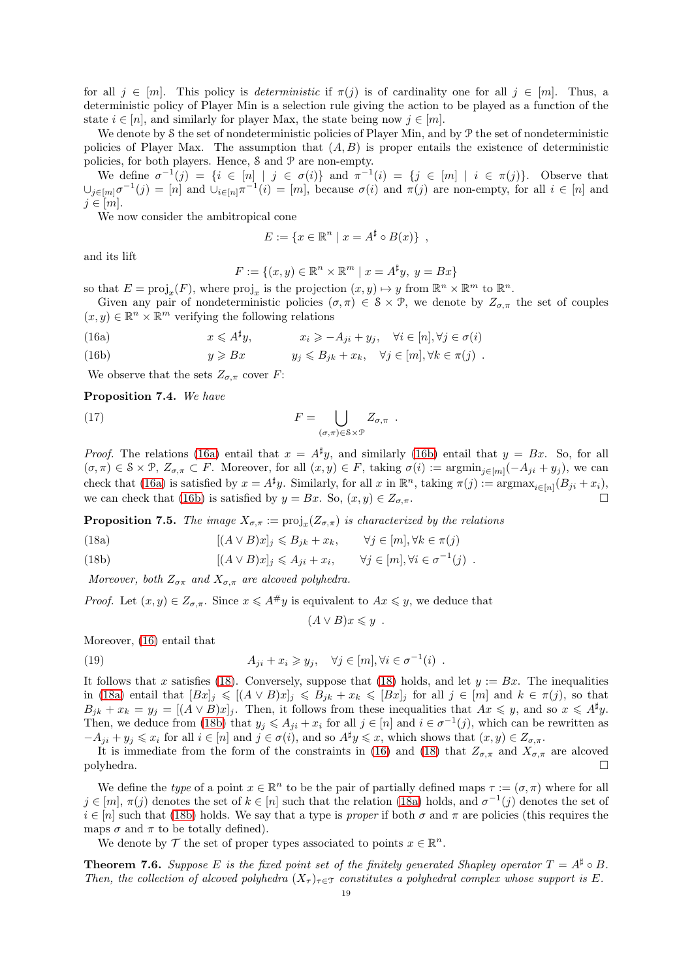for all  $j \in [m]$ . This policy is *deterministic* if  $\pi(j)$  is of cardinality one for all  $j \in [m]$ . Thus, a deterministic policy of Player Min is a selection rule giving the action to be played as a function of the state  $i \in [n]$ , and similarly for player Max, the state being now  $j \in [m]$ .

We denote by S the set of nondeterministic policies of Player Min, and by  $\mathcal P$  the set of nondeterministic policies of Player Max. The assumption that  $(A, B)$  is proper entails the existence of deterministic policies, for both players. Hence, S and P are non-empty.

We define  $\sigma^{-1}(j) = \{i \in [n] \mid j \in \sigma(i)\}\$  and  $\pi^{-1}(i) = \{j \in [m] \mid i \in \pi(j)\}\$ . Observe that  $\cup_{j\in[m]}\sigma^{-1}(j)=[n]$  and  $\cup_{i\in[n]}\pi^{-1}(i)=[m]$ , because  $\sigma(i)$  and  $\pi(j)$  are non-empty, for all  $i\in[n]$  and  $j \in [m]$ .

We now consider the ambitropical cone

$$
E := \{ x \in \mathbb{R}^n \mid x = A^{\sharp} \circ B(x) \},
$$

and its lift

$$
F := \{(x, y) \in \mathbb{R}^n \times \mathbb{R}^m \mid x = A^{\sharp}y, \ y = Bx\}
$$

so that  $E = \text{proj}_x(F)$ , where  $\text{proj}_x$  is the projection  $(x, y) \mapsto y$  from  $\mathbb{R}^n \times \mathbb{R}^m$  to  $\mathbb{R}^n$ .

Given any pair of nondeterministic policies  $(\sigma, \pi) \in \mathcal{S} \times \mathcal{P}$ , we denote by  $Z_{\sigma,\pi}$  the set of couples  $(x, y) \in \mathbb{R}^n \times \mathbb{R}^m$  verifying the following relations

<span id="page-18-1"></span>(16a) 
$$
x \leq A^{\sharp}y, \qquad x_i \geq -A_{ji} + y_j, \quad \forall i \in [n], \forall j \in \sigma(i)
$$

<span id="page-18-2"></span>(16b) 
$$
y \geqslant Bx \qquad \qquad y_j \leqslant B_{jk} + x_k, \quad \forall j \in [m], \forall k \in \pi(j) .
$$

We observe that the sets  $Z_{\sigma,\pi}$  cover F:

Proposition 7.4. We have

<span id="page-18-5"></span>(17) 
$$
F = \bigcup_{(\sigma,\pi) \in \mathcal{S} \times \mathcal{P}} Z_{\sigma,\pi} .
$$

*Proof.* The relations [\(16a\)](#page-18-1) entail that  $x = A^{\sharp}y$ , and similarly [\(16b\)](#page-18-2) entail that  $y = Bx$ . So, for all  $(\sigma, \pi) \in \mathcal{S} \times \mathcal{P}, Z_{\sigma, \pi} \subset F$ . Moreover, for all  $(x, y) \in F$ , taking  $\sigma(i) := \operatorname{argmin}_{j \in [m]} (-A_{ji} + y_j)$ , we can check that [\(16a\)](#page-18-1) is satisfied by  $x = A^{\sharp}y$ . Similarly, for all x in  $\mathbb{R}^{n}$ , taking  $\pi(j) := \argmax_{i \in [n]} (B_{ji} + x_{i}),$ we can check that [\(16b\)](#page-18-2) is satisfied by  $y = Bx$ . So,  $(x, y) \in Z_{\sigma, \pi}$ .

<span id="page-18-6"></span>**Proposition 7.5.** The image  $X_{\sigma,\pi} := \text{proj}_x(Z_{\sigma,\pi})$  is characterized by the relations

- <span id="page-18-4"></span>(18a)  $[(A \lor B)x]_j \leq B_{jk} + x_k, \qquad \forall j \in [m], \forall k \in \pi(j)$
- <span id="page-18-3"></span>(18b)  $[(A \lor B)x]_j \leq A_{ji} + x_i, \quad \forall j \in [m], \forall i \in \sigma^{-1}(j)$ .

Moreover, both  $Z_{\sigma\pi}$  and  $X_{\sigma,\pi}$  are alcoved polyhedra.

*Proof.* Let  $(x, y) \in Z_{\sigma,\pi}$ . Since  $x \leq A^{\#}y$  is equivalent to  $Ax \leq y$ , we deduce that

$$
(A \vee B)x \leq y \ .
$$

Moreover, [\(16\)](#page-18-2) entail that

(19) 
$$
A_{ji} + x_i \geq y_j, \quad \forall j \in [m], \forall i \in \sigma^{-1}(i) .
$$

It follows that x satisfies [\(18\)](#page-18-3). Conversely, suppose that [\(18\)](#page-18-3) holds, and let  $y := Bx$ . The inequalities in [\(18a\)](#page-18-4) entail that  $[Bx]_j \leqslant [(A \vee B)x]_j \leqslant B_{jk} + x_k \leqslant [Bx]_j$  for all  $j \in [m]$  and  $k \in \pi(j)$ , so that  $B_{jk} + x_k = y_j = [(A \vee B)x]_j$ . Then, it follows from these inequalities that  $Ax \leq y$ , and so  $x \leq A^{\sharp}y$ . Then, we deduce from [\(18b\)](#page-18-3) that  $y_j \leq A_{ji} + x_i$  for all  $j \in [n]$  and  $i \in \sigma^{-1}(j)$ , which can be rewritten as  $-A_{ii} + y_i \leq x_i$  for all  $i \in [n]$  and  $j \in \sigma(i)$ , and so  $A^{\sharp}y \leq x$ , which shows that  $(x, y) \in Z_{\sigma,\pi}$ .

It is immediate from the form of the constraints in [\(16\)](#page-18-2) and [\(18\)](#page-18-3) that  $Z_{\sigma,\pi}$  and  $X_{\sigma,\pi}$  are alcoved polyhedra.  $\Box$ polyhedra.  $\Box$ 

We define the type of a point  $x \in \mathbb{R}^n$  to be the pair of partially defined maps  $\tau := (\sigma, \pi)$  where for all  $j \in [m], \pi(j)$  denotes the set of  $k \in [n]$  such that the relation [\(18a\)](#page-18-4) holds, and  $\sigma^{-1}(j)$  denotes the set of  $i \in [n]$  such that [\(18b\)](#page-18-3) holds. We say that a type is proper if both  $\sigma$  and  $\pi$  are policies (this requires the maps  $\sigma$  and  $\pi$  to be totally defined).

<span id="page-18-0"></span>We denote by  $\mathcal T$  the set of proper types associated to points  $x \in \mathbb{R}^n$ .

**Theorem 7.6.** Suppose E is the fixed point set of the finitely generated Shapley operator  $T = A^{\sharp} \circ B$ . Then, the collection of alcoved polyhedra  $(X_\tau)_{\tau \in \mathcal{T}}$  constitutes a polyhedral complex whose support is E.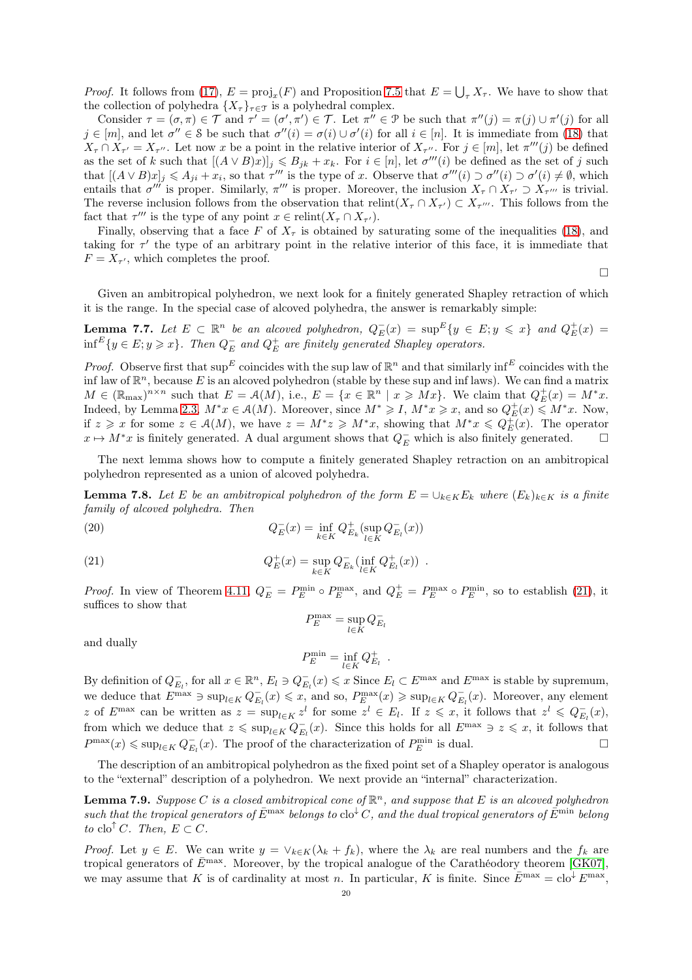*Proof.* It follows from [\(17\)](#page-18-5),  $E = \text{proj}_x(F)$  and Proposition [7.5](#page-18-6) that  $E = \bigcup_{\tau} X_{\tau}$ . We have to show that the collection of polyhedra  $\{X_{\tau}\}_{\tau \in \mathcal{T}}$  is a polyhedral complex.

Consider  $\tau = (\sigma, \pi) \in \mathcal{T}$  and  $\tau' = (\sigma', \pi') \in \mathcal{T}$ . Let  $\pi'' \in \mathcal{P}$  be such that  $\pi''(j) = \pi(j) \cup \pi'(j)$  for all  $j \in [m]$ , and let  $\sigma'' \in \mathcal{S}$  be such that  $\sigma''(i) = \sigma(i) \cup \sigma'(i)$  for all  $i \in [n]$ . It is immediate from [\(18\)](#page-18-3) that  $X_{\tau} \cap X_{\tau'} = X_{\tau''}$ . Let now x be a point in the relative interior of  $X_{\tau''}$ . For  $j \in [m]$ , let  $\pi'''(j)$  be defined as the set of k such that  $[(A \vee B)x)]_j \leq B_{jk} + x_k$ . For  $i \in [n]$ , let  $\sigma'''(i)$  be defined as the set of j such that  $[(A \vee B)x]_j \leq A_{ji} + x_i$ , so that  $\tau'''$  is the type of x. Observe that  $\sigma'''(i) \supset \sigma'(i) \supset \sigma'(i) \neq \emptyset$ , which entails that  $\sigma'''$  is proper. Similarly,  $\pi'''$  is proper. Moreover, the inclusion  $X_{\tau} \cap X_{\tau'} \supset X_{\tau'''}$  is trivial. The reverse inclusion follows from the observation that  $relint(X_\tau \cap X_{\tau'}) \subset X_{\tau''}$ . This follows from the fact that  $\tau'''$  is the type of any point  $x \in \text{relint}(X_{\tau} \cap X_{\tau'})$ .

Finally, observing that a face F of  $X<sub>\tau</sub>$  is obtained by saturating some of the inequalities [\(18\)](#page-18-3), and taking for  $\tau'$  the type of an arbitrary point in the relative interior of this face, it is immediate that  $F = X_{\tau'}$ , which completes the proof.

 $\Box$ 

<span id="page-19-2"></span>Given an ambitropical polyhedron, we next look for a finitely generated Shapley retraction of which it is the range. In the special case of alcoved polyhedra, the answer is remarkably simple:

**Lemma 7.7.** Let  $E \subset \mathbb{R}^n$  be an alcoved polyhedron,  $Q_E^-(x) = \sup E \{y \in E : y \leq x\}$  and  $Q_E^+(x) =$  $\inf^{E} \{y \in E; y \geqslant x\}$ . Then  $Q_{E}^-$  and  $Q_{E}^+$  are finitely generated Shapley operators.

*Proof.* Observe first that  $\sup E$  coincides with the sup law of  $\mathbb{R}^n$  and that similarly  $\inf^E$  coincides with the inf law of  $\mathbb{R}^n$ , because E is an alcoved polyhedron (stable by these sup and inf laws). We can find a matrix  $M \in (\mathbb{R}_{\text{max}})^{n \times n}$  such that  $E = \mathcal{A}(M)$ , i.e.,  $E = \{x \in \mathbb{R}^n \mid x \geqslant Mx\}$ . We claim that  $Q_E^+(x) = M^*x$ . Indeed, by Lemma [2.3,](#page-4-0)  $M^*x \in \mathcal{A}(M)$ . Moreover, since  $M^* \geqslant I$ ,  $M^*x \geqslant x$ , and so  $Q_E^+(x) \leqslant M^*x$ . Now, if  $z \geq x$  for some  $z \in \mathcal{A}(M)$ , we have  $z = M^*z \geq M^*x$ , showing that  $M^*x \leqslant Q_E^{\pm}(x)$ . The operator  $x \mapsto M^*x$  is finitely generated. A dual argument shows that  $Q_E^-$  which is also finitely generated.  $\square$ 

<span id="page-19-1"></span>The next lemma shows how to compute a finitely generated Shapley retraction on an ambitropical polyhedron represented as a union of alcoved polyhedra.

**Lemma 7.8.** Let E be an ambitropical polyhedron of the form  $E = \bigcup_{k \in K} E_k$  where  $(E_k)_{k \in K}$  is a finite family of alcoved polyhedra. Then

<span id="page-19-3"></span>(20) 
$$
Q_E^-(x) = \inf_{k \in K} Q_{E_k}^+( \sup_{l \in K} Q_{E_l}^-(x))
$$

<span id="page-19-0"></span>(21) 
$$
Q_E^+(x) = \sup_{k \in K} Q_{E_k}^-(\inf_{l \in K} Q_{E_l}^+(x)) .
$$

*Proof.* In view of Theorem [4.11,](#page-9-0)  $Q_E^- = P_E^{\min} \circ P_E^{\max}$ , and  $Q_E^+ = P_E^{\max} \circ P_E^{\min}$ , so to establish [\(21\)](#page-19-0), it suffices to show that

$$
P_E^{\max} = \sup_{l \in K} Q_{E_l}^-
$$

and dually

$$
P_E^{\min} = \inf_{l \in K} Q_{E_l}^+ .
$$

By definition of  $Q_{E_l}^-$ , for all  $x \in \mathbb{R}^n$ ,  $E_l \ni Q_{E_l}^-(x) \leq x$  Since  $E_l \subset E^{\max}$  and  $E^{\max}$  is stable by supremum, we deduce that  $E^{\max} \ni \sup_{l \in K} Q_{E_l}^-(x) \leqslant x$ , and so,  $P_E^{\max}(x) \geqslant \sup_{l \in K} Q_{E_l}^-(x)$ . Moreover, any element z of  $E^{\max}$  can be written as  $z = \sup_{l \in K} z^l$  for some  $z^l \in E_l$ . If  $z \leqslant x$ , it follows that  $z^l \leqslant Q_{E_l}(x)$ , from which we deduce that  $z \leq \sup_{l \in K} Q_{E_l}^-(x)$ . Since this holds for all  $E^{\max} \ni z \leqslant x$ , it follows that  $P^{\max}(x) \leq \sup_{l \in K} Q_{E_l}^-(x)$ . The proof of the characterization of  $P_E^{\min}$  is dual.

The description of an ambitropical polyhedron as the fixed point set of a Shapley operator is analogous to the "external" description of a polyhedron. We next provide an "internal" characterization.

**Lemma 7.9.** Suppose C is a closed ambitropical cone of  $\mathbb{R}^n$ , and suppose that E is an alcoved polyhedron such that the tropical generators of  $\bar{E}^{\text{max}}$  belongs to clo<sup> $\downarrow$ </sup>C, and the dual tropical generators of  $\bar{E}^{\text{min}}$  belong to clo<sup> $\uparrow$ </sup>C. Then,  $E \subset C$ .

*Proof.* Let  $y \in E$ . We can write  $y = \vee_{k \in K} (\lambda_k + f_k)$ , where the  $\lambda_k$  are real numbers and the  $f_k$  are tropical generators of  $\bar{E}^{\text{max}}$ . Moreover, by the tropical analogue of the Carathéodory theorem [\[GK07\]](#page-26-32), we may assume that K is of cardinality at most n. In particular, K is finite. Since  $\bar{E}^{\max} = \text{clo}^{\downarrow} E^{\max}$ ,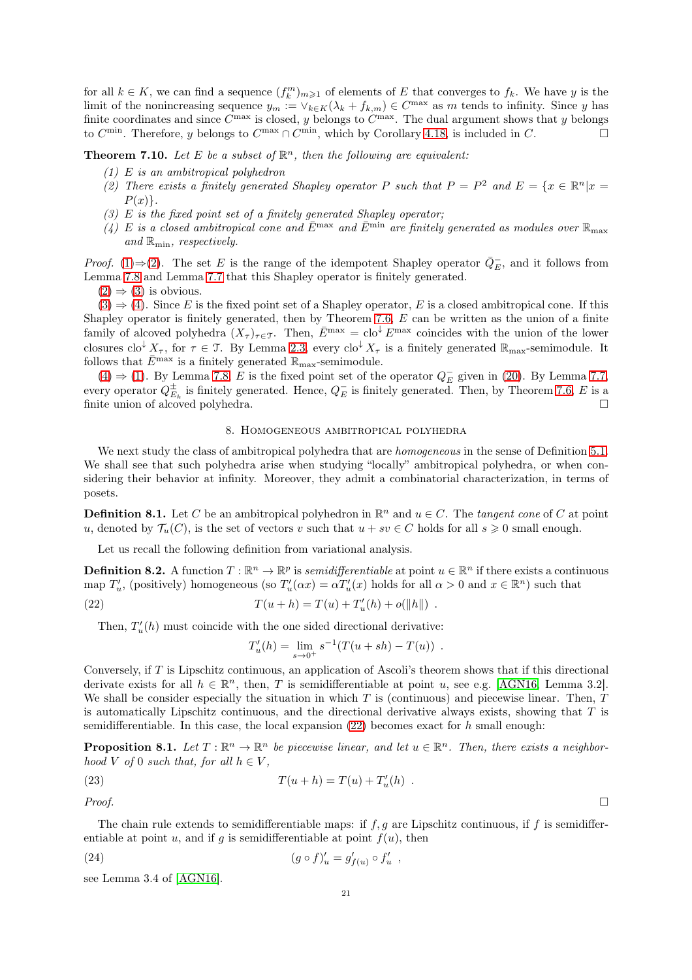for all  $k \in K$ , we can find a sequence  $(f_k^m)_{m \geq 1}$  of elements of E that converges to  $f_k$ . We have y is the limit of the nonincreasing sequence  $y_m := \vee_{k \in K} (\lambda_k + f_{k,m}) \in C^{\max}$  as m tends to infinity. Since y has finite coordinates and since  $C^{\max}$  is closed, y belongs to  $C^{\max}$ . The dual argument shows that y belongs to  $C^{\min}$ . Therefore, y belongs to  $C^{\max} \cap C^{\min}$ , which by Corollary [4.18,](#page-12-0) is included in C.

<span id="page-20-2"></span><span id="page-20-1"></span><span id="page-20-0"></span>**Theorem 7.10.** Let E be a subset of  $\mathbb{R}^n$ , then the following are equivalent:

- (1) E is an ambitropical polyhedron
- (2) There exists a finitely generated Shapley operator P such that  $P = P^2$  and  $E = \{x \in \mathbb{R}^n | x =$  $P(x)$ .
- <span id="page-20-4"></span><span id="page-20-3"></span> $(3)$  E is the fixed point set of a finitely generated Shapley operator;
- (4) E is a closed ambitropical cone and  $\bar{E}^{\text{max}}$  and  $\bar{E}^{\text{min}}$  are finitely generated as modules over  $\mathbb{R}_{\text{max}}$ and  $\mathbb{R}_{\text{min}}$ , respectively.

*Proof.* [\(1\)](#page-20-1)⇒[\(2\)](#page-20-2). The set E is the range of the idempotent Shapley operator  $\overline{Q}_E^-$ , and it follows from Lemma [7.8](#page-19-1) and Lemma [7.7](#page-19-2) that this Shapley operator is finitely generated.

 $(2) \Rightarrow (3)$  $(2) \Rightarrow (3)$  $(2) \Rightarrow (3)$  is obvious.

 $(3) \Rightarrow (4)$  $(3) \Rightarrow (4)$  $(3) \Rightarrow (4)$ . Since E is the fixed point set of a Shapley operator, E is a closed ambitropical cone. If this Shapley operator is finitely generated, then by Theorem [7.6,](#page-18-0) E can be written as the union of a finite family of alcoved polyhedra  $(X_\tau)_{\tau \in \mathcal{T}}$ . Then,  $\bar{E}^{\text{max}} = \text{clo}^{\downarrow} E^{\text{max}}$  coincides with the union of the lower closures clo<sup>↓</sup>  $X_{\tau}$ , for  $\tau \in \mathcal{T}$ . By Lemma [2.3,](#page-4-0) every clo<sup>↓</sup>  $X_{\tau}$  is a finitely generated  $\mathbb{R}_{\max}$ -semimodule. It follows that  $\bar{E}^{\text{max}}$  is a finitely generated  $\mathbb{R}_{\text{max}}$ -semimodule.

[\(4\)](#page-20-4)  $\Rightarrow$  [\(1\)](#page-20-1). By Lemma [7.8,](#page-19-1) E is the fixed point set of the operator  $Q_E^-$  given in [\(20\)](#page-19-3). By Lemma [7.7,](#page-19-2) every operator  $Q_{E_k}^{\pm}$  is finitely generated. Hence,  $Q_E^-$  is finitely generated. Then, by Theorem [7.6,](#page-18-0) E is a finite union of alcoved polyhedra.

### 8. Homogeneous ambitropical polyhedra

We next study the class of ambitropical polyhedra that are *homogeneous* in the sense of Definition [5.1.](#page-14-7) We shall see that such polyhedra arise when studying "locally" ambitropical polyhedra, or when considering their behavior at infinity. Moreover, they admit a combinatorial characterization, in terms of posets.

**Definition 8.1.** Let C be an ambitropical polyhedron in  $\mathbb{R}^n$  and  $u \in C$ . The tangent cone of C at point u, denoted by  $\mathcal{T}_u(C)$ , is the set of vectors v such that  $u + sv \in C$  holds for all  $s \geqslant 0$  small enough.

Let us recall the following definition from variational analysis.

**Definition 8.2.** A function  $T : \mathbb{R}^n \to \mathbb{R}^p$  is *semidifferentiable* at point  $u \in \mathbb{R}^n$  if there exists a continuous map  $T'_u$ , (positively) homogeneous (so  $T'_u(\alpha x) = \alpha T'_u(x)$  holds for all  $\alpha > 0$  and  $x \in \mathbb{R}^n$ ) such that

<span id="page-20-5"></span>(22) 
$$
T(u+h) = T(u) + T'_u(h) + o(||h||) .
$$

Then,  $T_u'(h)$  must coincide with the one sided directional derivative:

$$
T'_u(h) = \lim_{s \to 0^+} s^{-1}(T(u + sh) - T(u)) .
$$

Conversely, if T is Lipschitz continuous, an application of Ascoli's theorem shows that if this directional derivate exists for all  $h \in \mathbb{R}^n$ , then, T is semidifferentiable at point u, see e.g. [\[AGN16,](#page-25-4) Lemma 3.2]. We shall be consider especially the situation in which  $T$  is (continuous) and piecewise linear. Then,  $T$ is automatically Lipschitz continuous, and the directional derivative always exists, showing that  $T$  is semidifferentiable. In this case, the local expansion  $(22)$  becomes exact for h small enough:

**Proposition 8.1.** Let  $T : \mathbb{R}^n \to \mathbb{R}^n$  be piecewise linear, and let  $u \in \mathbb{R}^n$ . Then, there exists a neighborhood V of 0 such that, for all  $h \in V$ ,

<span id="page-20-6"></span>(23) 
$$
T(u+h) = T(u) + T'_u(h) .
$$

Proof.  $\Box$ 

The chain rule extends to semidifferentiable maps: if  $f, g$  are Lipschitz continuous, if f is semidifferentiable at point u, and if g is semidifferentiable at point  $f(u)$ , then

<span id="page-20-7"></span>(24) 
$$
(g \circ f)'_u = g'_{f(u)} \circ f'_u ,
$$

see Lemma 3.4 of [\[AGN16\]](#page-25-4).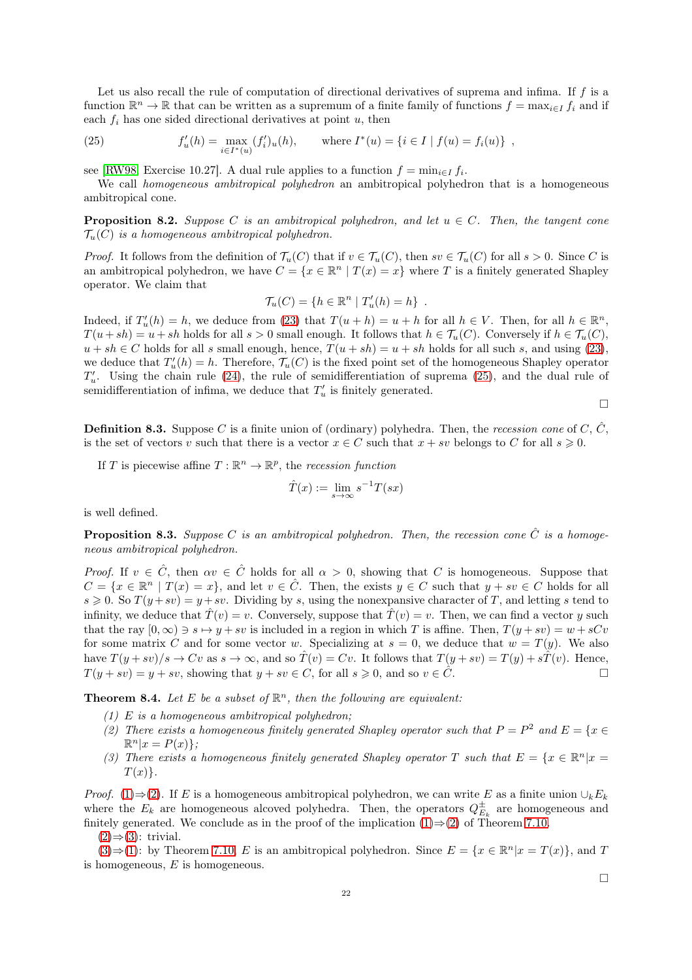Let us also recall the rule of computation of directional derivatives of suprema and infima. If f is a function  $\mathbb{R}^n \to \mathbb{R}$  that can be written as a supremum of a finite family of functions  $f = \max_{i \in I} f_i$  and if each  $f_i$  has one sided directional derivatives at point  $u$ , then

<span id="page-21-0"></span>(25) 
$$
f'_u(h) = \max_{i \in I^*(u)} (f'_i)_u(h), \quad \text{where } I^*(u) = \{i \in I \mid f(u) = f_i(u)\},
$$

see [\[RW98,](#page-27-17) Exercise 10.27]. A dual rule applies to a function  $f = \min_{i \in I} f_i$ .

We call *homogeneous ambitropical polyhedron* an ambitropical polyhedron that is a homogeneous ambitropical cone.

**Proposition 8.2.** Suppose C is an ambitropical polyhedron, and let  $u \in C$ . Then, the tangent cone  $\mathcal{T}_u(C)$  is a homogeneous ambitropical polyhedron.

*Proof.* It follows from the definition of  $\mathcal{T}_u(C)$  that if  $v \in \mathcal{T}_u(C)$ , then  $sv \in \mathcal{T}_u(C)$  for all  $s > 0$ . Since C is an ambitropical polyhedron, we have  $C = \{x \in \mathbb{R}^n \mid T(x) = x\}$  where T is a finitely generated Shapley operator. We claim that

$$
\mathcal{T}_u(C) = \{ h \in \mathbb{R}^n \mid T'_u(h) = h \} .
$$

Indeed, if  $T'_u(h) = h$ , we deduce from [\(23\)](#page-20-6) that  $T(u+h) = u + h$  for all  $h \in V$ . Then, for all  $h \in \mathbb{R}^n$ ,  $T(u + sh) = u + sh$  holds for all  $s > 0$  small enough. It follows that  $h \in \mathcal{T}_u(C)$ . Conversely if  $h \in \mathcal{T}_u(C)$ ,  $u + sh \in C$  holds for all s small enough, hence,  $T(u + sh) = u + sh$  holds for all such s, and using [\(23\)](#page-20-6), we deduce that  $T'_u(h) = h$ . Therefore,  $\mathcal{T}_u(C)$  is the fixed point set of the homogeneous Shapley operator  $T'_u$ . Using the chain rule [\(24\)](#page-20-7), the rule of semidifferentiation of suprema [\(25\)](#page-21-0), and the dual rule of semidifferentiation of infima, we deduce that  $T'_u$  is finitely generated.

 $\Box$ 

**Definition 8.3.** Suppose C is a finite union of (ordinary) polyhedra. Then, the recession cone of C,  $\hat{C}$ , is the set of vectors v such that there is a vector  $x \in C$  such that  $x + sv$  belongs to C for all  $s \ge 0$ .

If T is piecewise affine  $T : \mathbb{R}^n \to \mathbb{R}^p$ , the recession function

$$
\hat{T}(x) := \lim_{s \to \infty} s^{-1} T(sx)
$$

is well defined.

**Proposition 8.3.** Suppose C is an ambitropical polyhedron. Then, the recession cone  $\hat{C}$  is a homogeneous ambitropical polyhedron.

*Proof.* If  $v \in \hat{C}$ , then  $\alpha v \in \hat{C}$  holds for all  $\alpha > 0$ , showing that C is homogeneous. Suppose that  $C = \{x \in \mathbb{R}^n \mid T(x) = x\}$ , and let  $v \in \hat{C}$ . Then, the exists  $y \in C$  such that  $y + sv \in C$  holds for all  $s \geq 0$ . So  $T(y + sv) = y + sv$ . Dividing by s, using the nonexpansive character of T, and letting s tend to infinity, we deduce that  $\hat{T}(v) = v$ . Conversely, suppose that  $\hat{T}(v) = v$ . Then, we can find a vector y such that the ray  $[0, \infty) \ni s \mapsto y + sv$  is included in a region in which T is affine. Then,  $T(y + sv) = w + sCv$ for some matrix C and for some vector w. Specializing at  $s = 0$ , we deduce that  $w = T(y)$ . We also have  $T(y+sv)/s \to Cv$  as  $s \to \infty$ , and so  $\hat{T}(v) = Cv$ . It follows that  $T(y+sv) = T(y) + s\hat{T}(v)$ . Hence,  $T(y + sv) = y + sv$ , showing that  $y + sv \in C$ , for all  $s \geq 0$ , and so  $v \in \hat{C}$ .

<span id="page-21-4"></span><span id="page-21-1"></span>**Theorem 8.4.** Let E be a subset of  $\mathbb{R}^n$ , then the following are equivalent:

- <span id="page-21-2"></span> $(1)$  E is a homogeneous ambitropical polyhedron;
- (2) There exists a homogeneous finitely generated Shapley operator such that  $P = P^2$  and  $E = \{x \in$  $\mathbb{R}^n | x = P(x) \};$
- <span id="page-21-3"></span>(3) There exists a homogeneous finitely generated Shapley operator T such that  $E = \{x \in \mathbb{R}^n | x =$  $T(x)\}.$

*Proof.* [\(1\)](#page-21-1)⇒[\(2\)](#page-21-2). If E is a homogeneous ambitropical polyhedron, we can write E as a finite union  $\cup_k E_k$ where the  $E_k$  are homogeneous alcoved polyhedra. Then, the operators  $Q_{E_k}^{\pm}$  are homogeneous and finitely generated. We conclude as in the proof of the implication  $(1) \Rightarrow (2)$  $(1) \Rightarrow (2)$  of Theorem [7.10.](#page-20-0)

 $(2) \Rightarrow (3)$  $(2) \Rightarrow (3)$  $(2) \Rightarrow (3)$ : trivial.

 $(3) \Rightarrow (1)$  $(3) \Rightarrow (1)$  $(3) \Rightarrow (1)$ : by Theorem [7.10,](#page-20-0) E is an ambitropical polyhedron. Since  $E = \{x \in \mathbb{R}^n | x = T(x)\}$ , and T is homogeneous,  $E$  is homogeneous.

 $\Box$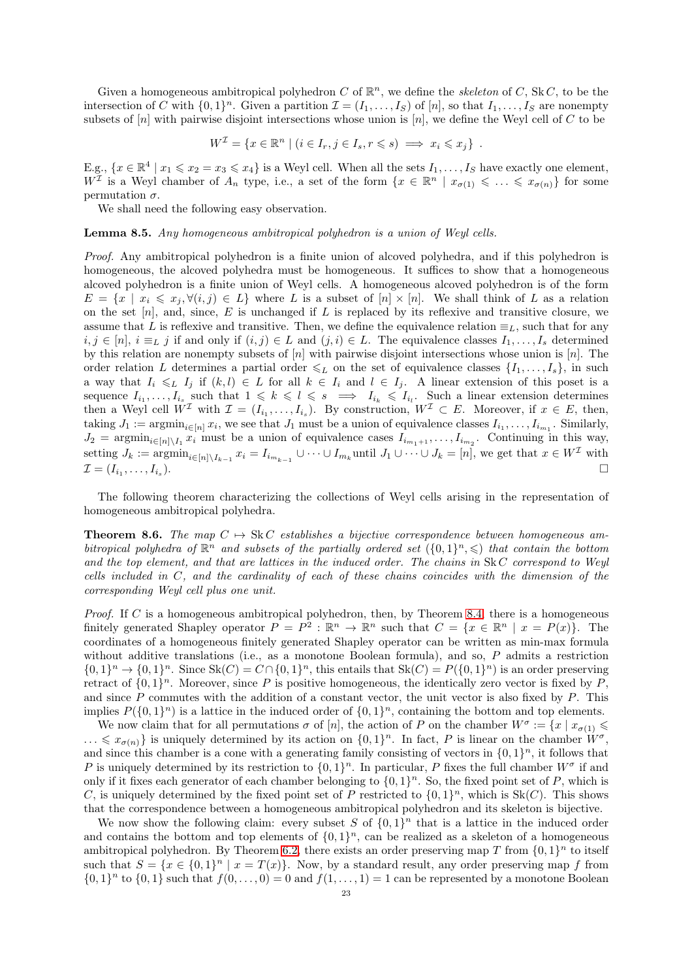Given a homogeneous ambitropical polyhedron C of  $\mathbb{R}^n$ , we define the *skeleton* of C, SkC, to be the intersection of C with  $\{0,1\}^n$ . Given a partition  $\mathcal{I} = (I_1, \ldots, I_S)$  of  $[n]$ , so that  $I_1, \ldots, I_S$  are nonempty subsets of  $[n]$  with pairwise disjoint intersections whose union is  $[n]$ , we define the Weyl cell of C to be

$$
W^{\mathcal{I}} = \{ x \in \mathbb{R}^n \mid (i \in I_r, j \in I_s, r \leqslant s) \implies x_i \leqslant x_j \} .
$$

E.g.,  $\{x \in \mathbb{R}^4 \mid x_1 \leqslant x_2 = x_3 \leqslant x_4\}$  is a Weyl cell. When all the sets  $I_1, \ldots, I_S$  have exactly one element,  $W^{\mathcal{I}}$  is a Weyl chamber of  $A_n$  type, i.e., a set of the form  $\{x \in \mathbb{R}^n \mid x_{\sigma(1)} \leq \ldots \leq x_{\sigma(n)}\}$  for some permutation  $\sigma$ .

<span id="page-22-1"></span>We shall need the following easy observation.

Lemma 8.5. Any homogeneous ambitropical polyhedron is a union of Weyl cells.

Proof. Any ambitropical polyhedron is a finite union of alcoved polyhedra, and if this polyhedron is homogeneous, the alcoved polyhedra must be homogeneous. It suffices to show that a homogeneous alcoved polyhedron is a finite union of Weyl cells. A homogeneous alcoved polyhedron is of the form  $E = \{x \mid x_i \leq x_j, \forall (i, j) \in L\}$  where L is a subset of  $[n] \times [n]$ . We shall think of L as a relation on the set  $[n]$ , and, since, E is unchanged if L is replaced by its reflexive and transitive closure, we assume that L is reflexive and transitive. Then, we define the equivalence relation  $\equiv_L$ , such that for any  $i, j \in [n], i \equiv_L j$  if and only if  $(i, j) \in L$  and  $(j, i) \in L$ . The equivalence classes  $I_1, \ldots, I_s$  determined by this relation are nonempty subsets of  $[n]$  with pairwise disjoint intersections whose union is  $[n]$ . The order relation L determines a partial order  $\leq_L$  on the set of equivalence classes  $\{I_1, \ldots, I_s\}$ , in such a way that  $I_i \leq L I_j$  if  $(k, l) \in L$  for all  $k \in I_i$  and  $l \in I_j$ . A linear extension of this poset is a sequence  $I_{i_1},\ldots,I_{i_s}$  such that  $1 \leq k \leq l \leq s \implies I_{i_k} \leq I_{i_l}$ . Such a linear extension determines then a Weyl cell  $W^{\mathcal{I}}$  with  $\mathcal{I} = (I_{i_1}, \ldots, I_{i_s})$ . By construction,  $W^{\mathcal{I}} \subset E$ . Moreover, if  $x \in E$ , then, taking  $J_1 := \operatorname{argmin}_{i \in [n]} x_i$ , we see that  $J_1$  must be a union of equivalence classes  $I_{i_1}, \ldots, I_{i_{m_1}}$ . Similarly,  $J_2 = \operatorname{argmin}_{i \in [n] \setminus I_1} x_i$  must be a union of equivalence cases  $I_{i_{m_1+1}}, \ldots, I_{i_{m_2}}$ . Continuing in this way, setting  $J_k := \operatorname{argmin}_{i \in [n] \setminus I_{k-1}} x_i = I_{i_{m_{k-1}}} \cup \cdots \cup I_{m_k}$ until  $J_1 \cup \cdots \cup J_k = [n]$ , we get that  $x \in W^{\mathcal{I}}$  with  $\mathcal{I} = (I_{i_1}, \ldots, I_{i_s})$ ).  $\Box$ 

<span id="page-22-0"></span>The following theorem characterizing the collections of Weyl cells arising in the representation of homogeneous ambitropical polyhedra.

**Theorem 8.6.** The map  $C \rightarrow SkC$  establishes a bijective correspondence between homogeneous ambitropical polyhedra of  $\mathbb{R}^n$  and subsets of the partially ordered set  $(\{0,1\}^n, \leqslant)$  that contain the bottom and the top element, and that are lattices in the induced order. The chains in SkC correspond to Weyl cells included in C, and the cardinality of each of these chains coincides with the dimension of the corresponding Weyl cell plus one unit.

*Proof.* If C is a homogeneous ambitropical polyhedron, then, by Theorem [8.4,](#page-21-4) there is a homogeneous finitely generated Shapley operator  $P = P^2 : \mathbb{R}^n \to \mathbb{R}^n$  such that  $C = \{x \in \mathbb{R}^n \mid x = P(x)\}.$  The coordinates of a homogeneous finitely generated Shapley operator can be written as min-max formula without additive translations (i.e., as a monotone Boolean formula), and so,  $P$  admits a restriction  $\{0,1\}^n \to \{0,1\}^n$ . Since Sk $(C) = C \cap \{0,1\}^n$ , this entails that Sk $(C) = P(\{0,1\}^n)$  is an order preserving retract of  $\{0,1\}^n$ . Moreover, since P is positive homogeneous, the identically zero vector is fixed by P, and since P commutes with the addition of a constant vector, the unit vector is also fixed by P. This implies  $P({0,1}^n)$  is a lattice in the induced order of  ${0,1}^n$ , containing the bottom and top elements.

We now claim that for all permutations  $\sigma$  of [n], the action of P on the chamber  $W^{\sigma} := \{x \mid x_{\sigma(1)} \leq \sigma\}$  $\ldots \leq x_{\sigma(n)}$  is uniquely determined by its action on  $\{0,1\}^n$ . In fact, P is linear on the chamber  $W^{\sigma}$ , and since this chamber is a cone with a generating family consisting of vectors in  $\{0,1\}^n$ , it follows that P is uniquely determined by its restriction to  $\{0,1\}^n$ . In particular, P fixes the full chamber  $W^{\sigma}$  if and only if it fixes each generator of each chamber belonging to  $\{0,1\}^n$ . So, the fixed point set of P, which is C, is uniquely determined by the fixed point set of P restricted to  $\{0,1\}^n$ , which is  $Sk(C)$ . This shows that the correspondence between a homogeneous ambitropical polyhedron and its skeleton is bijective.

We now show the following claim: every subset S of  $\{0,1\}^n$  that is a lattice in the induced order and contains the bottom and top elements of  $\{0,1\}^n$ , can be realized as a skeleton of a homogeneous ambitropical polyhedron. By Theorem [6.2,](#page-15-5) there exists an order preserving map T from  $\{0,1\}^n$  to itself such that  $S = \{x \in \{0,1\}^n | x = T(x)\}\.$  Now, by a standard result, any order preserving map f from  $\{0,1\}^n$  to  $\{0,1\}$  such that  $f(0,\ldots,0)=0$  and  $f(1,\ldots,1)=1$  can be represented by a monotone Boolean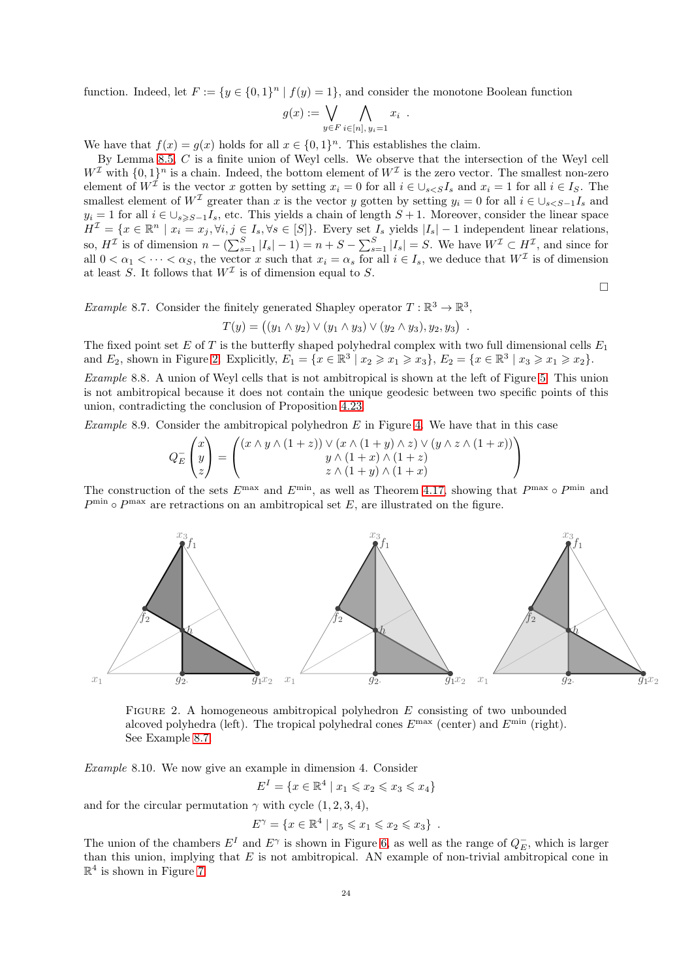function. Indeed, let  $F := \{y \in \{0,1\}^n | f(y) = 1\}$ , and consider the monotone Boolean function

$$
g(x) := \bigvee_{y \in F} \bigwedge_{i \in [n], y_i = 1} x_i
$$

.

We have that  $f(x) = g(x)$  holds for all  $x \in \{0,1\}^n$ . This establishes the claim.

By Lemma [8.5,](#page-22-1)  $C$  is a finite union of Weyl cells. We observe that the intersection of the Weyl cell  $W^{\mathcal{I}}$  with  $\{0,1\}^n$  is a chain. Indeed, the bottom element of  $W^{\mathcal{I}}$  is the zero vector. The smallest non-zero element of  $W^{\mathcal{I}}$  is the vector x gotten by setting  $x_i = 0$  for all  $i \in \bigcup_{s < S} I_s$  and  $x_i = 1$  for all  $i \in I_S$ . The smallest element of  $W^{\mathcal{I}}$  greater than x is the vector y gotten by setting  $y_i = 0$  for all  $i \in \bigcup_{s \leq S-1} I_s$  and  $y_i = 1$  for all  $i \in \bigcup_{s \geq S-1} I_s$ , etc. This yields a chain of length  $S+1$ . Moreover, consider the linear space  $H^{\mathcal{I}} = \{x \in \mathbb{R}^n \mid x_i = x_j, \forall i, j \in I_s, \forall s \in [S]\}.$  Every set  $I_s$  yields  $|I_s| - 1$  independent linear relations, so,  $H^{\mathcal{I}}$  is of dimension  $n - \left(\sum_{s=1}^{S} |I_s| - 1\right) = n + S - \sum_{s=1}^{S} |I_s| = S$ . We have  $W^{\mathcal{I}} \subset H^{\mathcal{I}}$ , and since for all  $0 < \alpha_1 < \cdots < \alpha_S$ , the vector x such that  $x_i = \alpha_s$  for all  $i \in I_s$ , we deduce that  $W<sup>\mathcal{I}</sup>$  is of dimension at least S. It follows that  $W<sup>\mathcal{I}</sup>$  is of dimension equal to S.

 $\Box$ 

<span id="page-23-1"></span>*Example* 8.7. Consider the finitely generated Shapley operator  $T : \mathbb{R}^3 \to \mathbb{R}^3$ ,

$$
T(y) = ((y_1 \wedge y_2) \vee (y_1 \wedge y_3) \vee (y_2 \wedge y_3), y_2, y_3).
$$

The fixed point set E of T is the butterfly shaped polyhedral complex with two full dimensional cells  $E_1$ and  $E_2$ , shown in Figure [2.](#page-23-0) Explicitly,  $E_1 = \{x \in \mathbb{R}^3 \mid x_2 \geq x_1 \geq x_3\}$ ,  $E_2 = \{x \in \mathbb{R}^3 \mid x_3 \geq x_1 \geq x_2\}$ .

Example 8.8. A union of Weyl cells that is not ambitropical is shown at the left of Figure [5.](#page-24-0) This union is not ambitropical because it does not contain the unique geodesic between two specific points of this union, contradicting the conclusion of Proposition [4.23.](#page-13-6)

*Example* 8.9. Consider the ambitropical polyhedron  $E$  in Figure [4.](#page-24-1) We have that in this case

$$
Q_E^{-}\begin{pmatrix} x \\ y \\ z \end{pmatrix} = \begin{pmatrix} (x \wedge y \wedge (1+z)) \vee (x \wedge (1+y) \wedge z) \vee (y \wedge z \wedge (1+x)) \\ y \wedge (1+x) \wedge (1+z) \\ z \wedge (1+y) \wedge (1+x) \end{pmatrix}
$$

The construction of the sets  $E^{\text{max}}$  and  $E^{\text{min}}$ , as well as Theorem [4.17,](#page-11-1) showing that  $P^{\text{max}} \circ P^{\text{min}}$  and  $P^{\min} \circ P^{\max}$  are retractions on an ambitropical set E, are illustrated on the figure.



<span id="page-23-0"></span>FIGURE 2. A homogeneous ambitropical polyhedron  $E$  consisting of two unbounded alcoved polyhedra (left). The tropical polyhedral cones  $E^{\text{max}}$  (center) and  $E^{\text{min}}$  (right). See Example [8.7.](#page-23-1)

Example 8.10. We now give an example in dimension 4. Consider

$$
E^I = \{ x \in \mathbb{R}^4 \mid x_1 \leqslant x_2 \leqslant x_3 \leqslant x_4 \}
$$

and for the circular permutation  $\gamma$  with cycle  $(1, 2, 3, 4)$ ,

$$
E^{\gamma} = \{ x \in \mathbb{R}^4 \mid x_5 \leqslant x_1 \leqslant x_2 \leqslant x_3 \} .
$$

The union of the chambers  $E^I$  and  $E^{\gamma}$  is shown in Figure [6,](#page-25-5) as well as the range of  $Q_E^-$ , which is larger than this union, implying that  $E$  is not ambitropical. AN example of non-trivial ambitropical cone in  $\mathbb{R}^4$  is shown in Figure [7.](#page-25-6)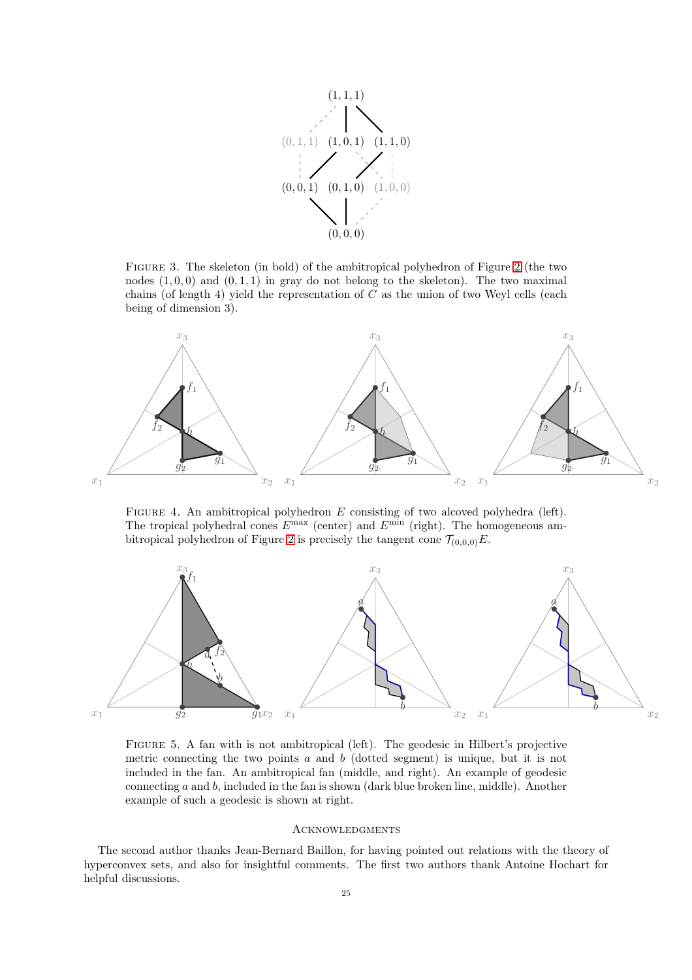

Figure 3. The skeleton (in bold) of the ambitropical polyhedron of Figure [2](#page-23-0) (the two nodes  $(1, 0, 0)$  and  $(0, 1, 1)$  in gray do not belong to the skeleton). The two maximal chains (of length 4) yield the representation of  $C$  as the union of two Weyl cells (each being of dimension 3).



<span id="page-24-1"></span>FIGURE 4. An ambitropical polyhedron  $E$  consisting of two alcoved polyhedra (left). The tropical polyhedral cones  $E^{\text{max}}$  (center) and  $E^{\text{min}}$  (right). The homogeneous am-bitropical polyhedron of Figure [2](#page-23-0) is precisely the tangent cone  $\mathcal{T}_{(0,0,0)}E$ .



<span id="page-24-0"></span>Figure 5. A fan with is not ambitropical (left). The geodesic in Hilbert's projective metric connecting the two points  $a$  and  $b$  (dotted segment) is unique, but it is not included in the fan. An ambitropical fan (middle, and right). An example of geodesic connecting  $a$  and  $b$ , included in the fan is shown (dark blue broken line, middle). Another example of such a geodesic is shown at right.

### Acknowledgments

The second author thanks Jean-Bernard Baillon, for having pointed out relations with the theory of hyperconvex sets, and also for insightful comments. The first two authors thank Antoine Hochart for helpful discussions.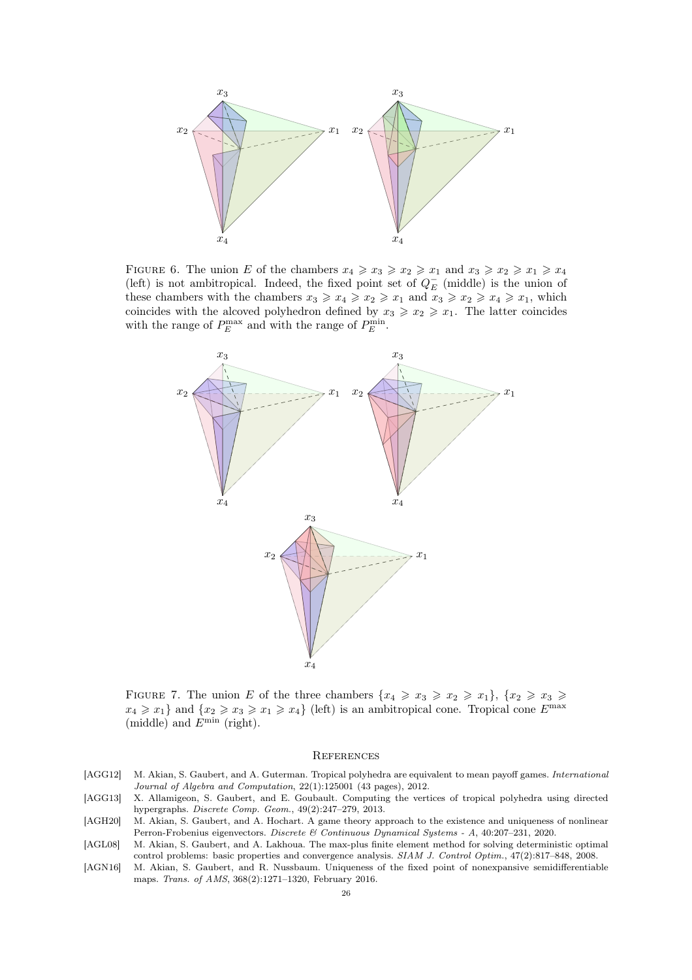

<span id="page-25-5"></span>FIGURE 6. The union E of the chambers  $x_4 \geq x_3 \geq x_2 \geq x_1$  and  $x_3 \geq x_2 \geq x_1 \geq x_4$ (left) is not ambitropical. Indeed, the fixed point set of  $Q_E^-$  (middle) is the union of these chambers with the chambers  $x_3 \geq x_4 \geq x_2 \geq x_1$  and  $x_3 \geq x_2 \geq x_4 \geq x_1$ , which coincides with the alcoved polyhedron defined by  $x_3 \geq x_2 \geq x_1$ . The latter coincides with the range of  $P_E^{\text{max}}$  and with the range of  $P_E^{\text{min}}$ .



<span id="page-25-6"></span>FIGURE 7. The union E of the three chambers  $\{x_4 \geq x_3 \geq x_2 \geq x_1\}$ ,  $\{x_2 \geq x_3 \geq x_4\}$  $x_4 \geq x_1$  and  $\{x_2 \geq x_3 \geq x_1 \geq x_4\}$  (left) is an ambitropical cone. Tropical cone  $E^{\max}$ (middle) and  $E^{\min}$  (right).

### **REFERENCES**

- <span id="page-25-3"></span>[AGG12] M. Akian, S. Gaubert, and A. Guterman. Tropical polyhedra are equivalent to mean payoff games. *International Journal of Algebra and Computation*, 22(1):125001 (43 pages), 2012.
- <span id="page-25-2"></span>[AGG13] X. Allamigeon, S. Gaubert, and E. Goubault. Computing the vertices of tropical polyhedra using directed hypergraphs. *Discrete Comp. Geom.*, 49(2):247–279, 2013.
- <span id="page-25-0"></span>[AGH20] M. Akian, S. Gaubert, and A. Hochart. A game theory approach to the existence and uniqueness of nonlinear Perron-Frobenius eigenvectors. *Discrete & Continuous Dynamical Systems - A*, 40:207–231, 2020.
- <span id="page-25-1"></span>[AGL08] M. Akian, S. Gaubert, and A. Lakhoua. The max-plus finite element method for solving deterministic optimal control problems: basic properties and convergence analysis. *SIAM J. Control Optim.*, 47(2):817–848, 2008.
- <span id="page-25-4"></span>[AGN16] M. Akian, S. Gaubert, and R. Nussbaum. Uniqueness of the fixed point of nonexpansive semidifferentiable maps. *Trans. of AMS*, 368(2):1271–1320, February 2016.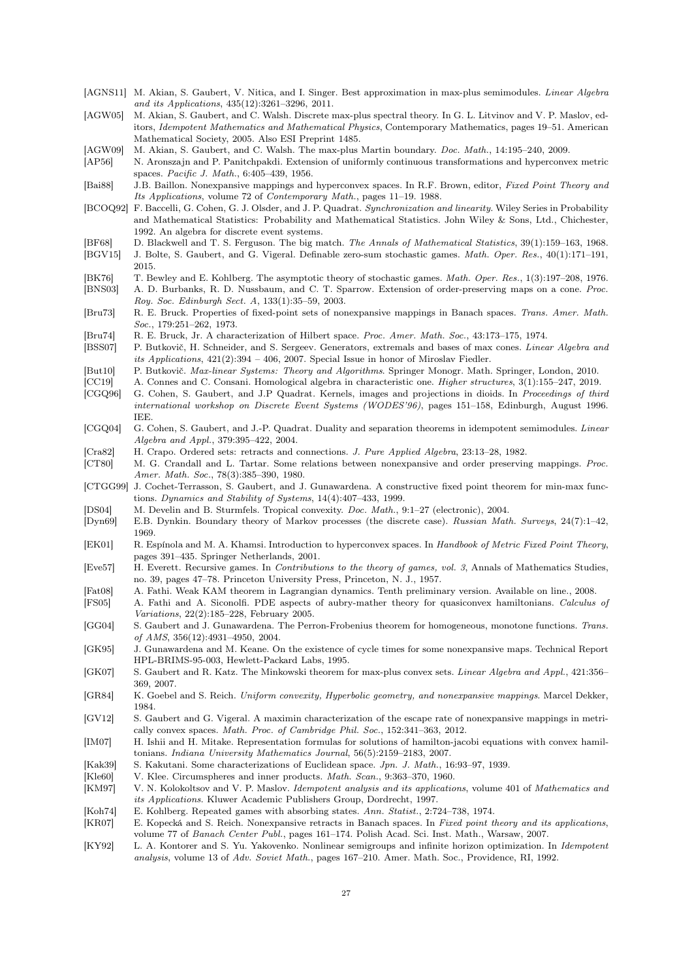- <span id="page-26-24"></span>[AGNS11] M. Akian, S. Gaubert, V. Nitica, and I. Singer. Best approximation in max-plus semimodules. *Linear Algebra and its Applications*, 435(12):3261–3296, 2011.
- <span id="page-26-34"></span>[AGW05] M. Akian, S. Gaubert, and C. Walsh. Discrete max-plus spectral theory. In G. L. Litvinov and V. P. Maslov, editors, *Idempotent Mathematics and Mathematical Physics*, Contemporary Mathematics, pages 19–51. American Mathematical Society, 2005. Also ESI Preprint 1485.
- <span id="page-26-6"></span>[AGW09] M. Akian, S. Gaubert, and C. Walsh. The max-plus Martin boundary. *Doc. Math.*, 14:195–240, 2009.

<span id="page-26-26"></span>[AP56] N. Aronszajn and P. Panitchpakdi. Extension of uniformly continuous transformations and hyperconvex metric spaces. *Pacific J. Math.*, 6:405–439, 1956.

<span id="page-26-27"></span>[Bai88] J.B. Baillon. Nonexpansive mappings and hyperconvex spaces. In R.F. Brown, editor, *Fixed Point Theory and Its Applications*, volume 72 of *Contemporary Math.*, pages 11–19. 1988.

- <span id="page-26-4"></span>[BCOQ92] F. Baccelli, G. Cohen, G. J. Olsder, and J. P. Quadrat. *Synchronization and linearity*. Wiley Series in Probability and Mathematical Statistics: Probability and Mathematical Statistics. John Wiley & Sons, Ltd., Chichester, 1992. An algebra for discrete event systems.
- <span id="page-26-31"></span><span id="page-26-1"></span>[BF68] D. Blackwell and T. S. Ferguson. The big match. *The Annals of Mathematical Statistics*, 39(1):159–163, 1968. [BGV15] J. Bolte, S. Gaubert, and G. Vigeral. Definable zero-sum stochastic games. *Math. Oper. Res.*, 40(1):171–191, 2015.
- <span id="page-26-2"></span>[BK76] T. Bewley and E. Kohlberg. The asymptotic theory of stochastic games. *Math. Oper. Res.*, 1(3):197–208, 1976.
- <span id="page-26-36"></span>[BNS03] A. D. Burbanks, R. D. Nussbaum, and C. T. Sparrow. Extension of order-preserving maps on a cone. *Proc. Roy. Soc. Edinburgh Sect. A*, 133(1):35–59, 2003.
- <span id="page-26-18"></span>[Bru73] R. E. Bruck. Properties of fixed-point sets of nonexpansive mappings in Banach spaces. *Trans. Amer. Math. Soc.*, 179:251–262, 1973.
- <span id="page-26-22"></span>[Bru74] R. E. Bruck, Jr. A characterization of Hilbert space. *Proc. Amer. Math. Soc.*, 43:173–175, 1974.
- <span id="page-26-33"></span>[BSS07] P. Butkovič, H. Schneider, and S. Sergeev. Generators, extremals and bases of max cones. *Linear Algebra and its Applications*, 421(2):394 – 406, 2007. Special Issue in honor of Miroslav Fiedler.
- <span id="page-26-35"></span>[But10] P. Butkovič. *Max-linear Systems: Theory and Algorithms*. Springer Monogr. Math. Springer, London, 2010.
- <span id="page-26-11"></span>[CC19] A. Connes and C. Consani. Homological algebra in characteristic one. *Higher structures*, 3(1):155–247, 2019.
- <span id="page-26-12"></span>[CGQ96] G. Cohen, S. Gaubert, and J.P Quadrat. Kernels, images and projections in dioids. In *Proceedings of third international workshop on Discrete Event Systems (WODES'96)*, pages 151–158, Edinburgh, August 1996. IEE.
- <span id="page-26-13"></span>[CGQ04] G. Cohen, S. Gaubert, and J.-P. Quadrat. Duality and separation theorems in idempotent semimodules. *Linear Algebra and Appl.*, 379:395–422, 2004.
- <span id="page-26-25"></span>[Cra82] H. Crapo. Ordered sets: retracts and connections. *J. Pure Applied Algebra*, 23:13–28, 1982.
- <span id="page-26-14"></span>[CT80] M. G. Crandall and L. Tartar. Some relations between nonexpansive and order preserving mappings. *Proc. Amer. Math. Soc.*, 78(3):385–390, 1980.
- <span id="page-26-37"></span>[CTGG99] J. Cochet-Terrasson, S. Gaubert, and J. Gunawardena. A constructive fixed point theorem for min-max functions. *Dynamics and Stability of Systems*, 14(4):407–433, 1999.
- <span id="page-26-23"></span>[DS04] M. Develin and B. Sturmfels. Tropical convexity. *Doc. Math.*, 9:1–27 (electronic), 2004.
- <span id="page-26-10"></span>[Dyn69] E.B. Dynkin. Boundary theory of Markov processes (the discrete case). *Russian Math. Surveys*, 24(7):1–42, 1969.
- <span id="page-26-28"></span>[EK01] R. Espínola and M. A. Khamsi. Introduction to hyperconvex spaces. In *Handbook of Metric Fixed Point Theory*, pages 391–435. Springer Netherlands, 2001.
- <span id="page-26-29"></span>[Eve57] H. Everett. Recursive games. In *Contributions to the theory of games, vol. 3*, Annals of Mathematics Studies, no. 39, pages 47–78. Princeton University Press, Princeton, N. J., 1957.
- <span id="page-26-9"></span>[Fat08] A. Fathi. Weak KAM theorem in Lagrangian dynamics. Tenth preliminary version. Available on line., 2008.
- <span id="page-26-7"></span>[FS05] A. Fathi and A. Siconolfi. PDE aspects of aubry-mather theory for quasiconvex hamiltonians. *Calculus of Variations*, 22(2):185–228, February 2005.
- <span id="page-26-0"></span>[GG04] S. Gaubert and J. Gunawardena. The Perron-Frobenius theorem for homogeneous, monotone functions. *Trans. of AMS*, 356(12):4931–4950, 2004.
- <span id="page-26-15"></span>[GK95] J. Gunawardena and M. Keane. On the existence of cycle times for some nonexpansive maps. Technical Report HPL-BRIMS-95-003, Hewlett-Packard Labs, 1995.
- <span id="page-26-32"></span>[GK07] S. Gaubert and R. Katz. The Minkowski theorem for max-plus convex sets. *Linear Algebra and Appl.*, 421:356– 369, 2007.
- <span id="page-26-19"></span>[GR84] K. Goebel and S. Reich. *Uniform convexity, Hyperbolic geometry, and nonexpansive mappings*. Marcel Dekker, 1984.
- <span id="page-26-16"></span>[GV12] S. Gaubert and G. Vigeral. A maximin characterization of the escape rate of nonexpansive mappings in metrically convex spaces. *Math. Proc. of Cambridge Phil. Soc.*, 152:341–363, 2012.
- <span id="page-26-8"></span>[IM07] H. Ishii and H. Mitake. Representation formulas for solutions of hamilton-jacobi equations with convex hamiltonians. *Indiana University Mathematics Journal*, 56(5):2159–2183, 2007.
- <span id="page-26-20"></span>[Kak39] S. Kakutani. Some characterizations of Euclidean space. *Jpn. J. Math.*, 16:93–97, 1939.
- <span id="page-26-21"></span>[Kle60] V. Klee. Circumspheres and inner products. *Math. Scan.*, 9:363–370, 1960.
- <span id="page-26-5"></span>[KM97] V. N. Kolokoltsov and V. P. Maslov. *Idempotent analysis and its applications*, volume 401 of *Mathematics and its Applications*. Kluwer Academic Publishers Group, Dordrecht, 1997.
- <span id="page-26-30"></span>[Koh74] E. Kohlberg. Repeated games with absorbing states. *Ann. Statist.*, 2:724–738, 1974.
- <span id="page-26-17"></span>[KR07] E. Kopecká and S. Reich. Nonexpansive retracts in Banach spaces. In *Fixed point theory and its applications*, volume 77 of *Banach Center Publ.*, pages 161–174. Polish Acad. Sci. Inst. Math., Warsaw, 2007.
- <span id="page-26-3"></span>[KY92] L. A. Kontorer and S. Yu. Yakovenko. Nonlinear semigroups and infinite horizon optimization. In *Idempotent analysis*, volume 13 of *Adv. Soviet Math.*, pages 167–210. Amer. Math. Soc., Providence, RI, 1992.